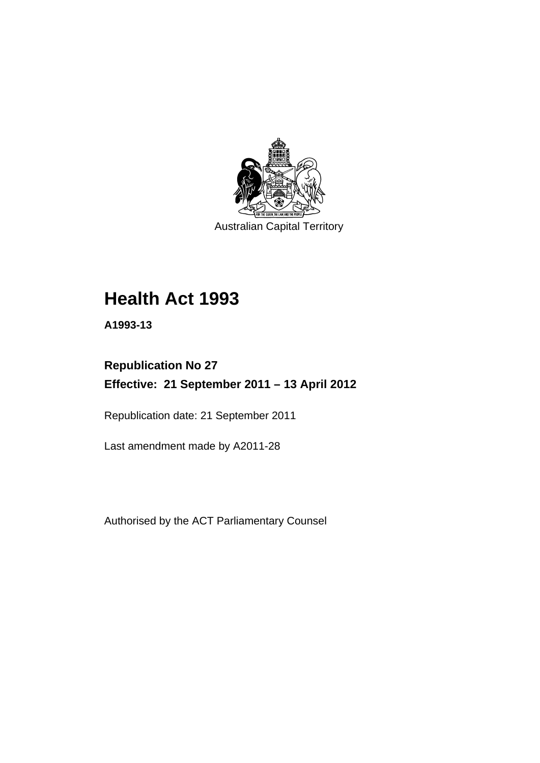

Australian Capital Territory

# **Health Act 1993**

**A1993-13** 

# **Republication No 27 Effective: 21 September 2011 – 13 April 2012**

Republication date: 21 September 2011

Last amendment made by A2011-28

Authorised by the ACT Parliamentary Counsel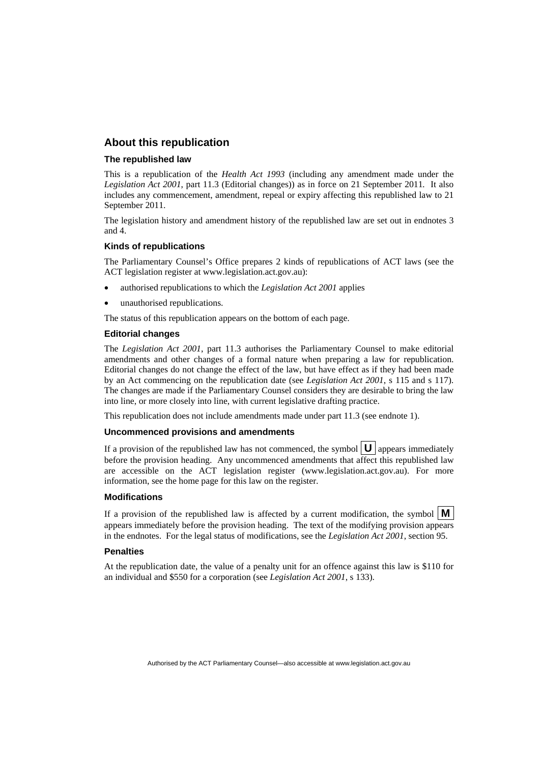#### **About this republication**

#### **The republished law**

This is a republication of the *Health Act 1993* (including any amendment made under the *Legislation Act 2001*, part 11.3 (Editorial changes)) as in force on 21 September 2011*.* It also includes any commencement, amendment, repeal or expiry affecting this republished law to 21 September 2011.

The legislation history and amendment history of the republished law are set out in endnotes 3 and 4.

#### **Kinds of republications**

The Parliamentary Counsel's Office prepares 2 kinds of republications of ACT laws (see the ACT legislation register at www.legislation.act.gov.au):

- authorised republications to which the *Legislation Act 2001* applies
- unauthorised republications.

The status of this republication appears on the bottom of each page.

#### **Editorial changes**

The *Legislation Act 2001*, part 11.3 authorises the Parliamentary Counsel to make editorial amendments and other changes of a formal nature when preparing a law for republication. Editorial changes do not change the effect of the law, but have effect as if they had been made by an Act commencing on the republication date (see *Legislation Act 2001*, s 115 and s 117). The changes are made if the Parliamentary Counsel considers they are desirable to bring the law into line, or more closely into line, with current legislative drafting practice.

This republication does not include amendments made under part 11.3 (see endnote 1).

#### **Uncommenced provisions and amendments**

If a provision of the republished law has not commenced, the symbol  $\mathbf{U}$  appears immediately before the provision heading. Any uncommenced amendments that affect this republished law are accessible on the ACT legislation register (www.legislation.act.gov.au). For more information, see the home page for this law on the register.

#### **Modifications**

If a provision of the republished law is affected by a current modification, the symbol  $\mathbf{M}$ appears immediately before the provision heading. The text of the modifying provision appears in the endnotes. For the legal status of modifications, see the *Legislation Act 2001*, section 95.

#### **Penalties**

At the republication date, the value of a penalty unit for an offence against this law is \$110 for an individual and \$550 for a corporation (see *Legislation Act 2001*, s 133).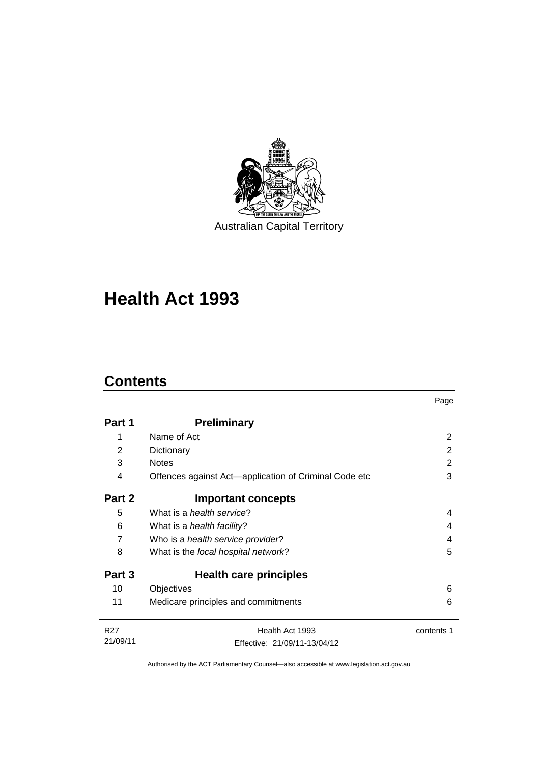

Australian Capital Territory

# **Health Act 1993**

# **Contents**

|                 |                                                       | Page       |
|-----------------|-------------------------------------------------------|------------|
| Part 1          | <b>Preliminary</b>                                    |            |
| 1               | Name of Act                                           | 2          |
| 2               | Dictionary                                            | 2          |
| 3               | <b>Notes</b>                                          | 2          |
| 4               | Offences against Act—application of Criminal Code etc | 3          |
| Part 2          | <b>Important concepts</b>                             |            |
| 5               | What is a <i>health service</i> ?                     | 4          |
| 6               | What is a <i>health facility</i> ?                    | 4          |
| 7               | Who is a health service provider?                     | 4          |
| 8               | What is the local hospital network?                   | 5          |
| Part 3          | Health care principles                                |            |
| 10              | Objectives                                            | 6          |
| 11              | Medicare principles and commitments                   | 6          |
| R <sub>27</sub> | Health Act 1993                                       | contents 1 |
| 21/09/11        | Effective: 21/09/11-13/04/12                          |            |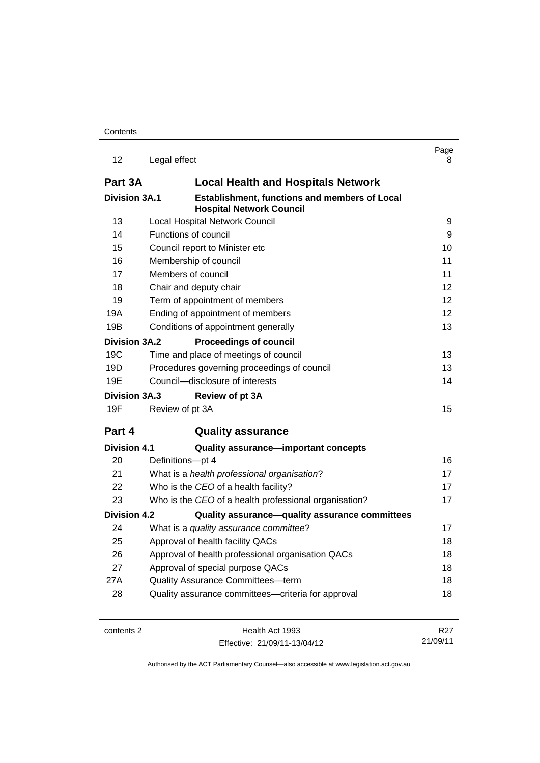| 12                   | Legal effect                                                                            | Page<br>8.      |
|----------------------|-----------------------------------------------------------------------------------------|-----------------|
| Part 3A              | <b>Local Health and Hospitals Network</b>                                               |                 |
| <b>Division 3A.1</b> | <b>Establishment, functions and members of Local</b><br><b>Hospital Network Council</b> |                 |
| 13                   | <b>Local Hospital Network Council</b>                                                   | 9               |
| 14                   | Functions of council                                                                    | 9               |
| 15                   | Council report to Minister etc                                                          | 10              |
| 16                   | Membership of council                                                                   | 11              |
| 17                   | Members of council                                                                      | 11              |
| 18                   | Chair and deputy chair                                                                  | 12 <sup>2</sup> |
| 19                   | Term of appointment of members                                                          | 12              |
| 19A                  | Ending of appointment of members                                                        | 12 <sup>2</sup> |
| 19B                  | Conditions of appointment generally                                                     | 13              |
| Division 3A.2        | <b>Proceedings of council</b>                                                           |                 |
| 19C                  | Time and place of meetings of council                                                   | 13              |
| 19D                  | Procedures governing proceedings of council                                             | 13              |
| 19E                  | Council-disclosure of interests                                                         | 14              |
| <b>Division 3A.3</b> | Review of pt 3A                                                                         |                 |
| 19F                  | Review of pt 3A                                                                         | 15              |
| Part 4               | <b>Quality assurance</b>                                                                |                 |
| <b>Division 4.1</b>  | <b>Quality assurance-important concepts</b>                                             |                 |
| 20                   | Definitions-pt 4                                                                        | 16              |
| 21                   | What is a health professional organisation?                                             | 17              |
| 22                   | Who is the CEO of a health facility?                                                    | 17              |
| 23                   | Who is the CEO of a health professional organisation?                                   | 17              |
| <b>Division 4.2</b>  | Quality assurance-quality assurance committees                                          |                 |
| 24                   | What is a quality assurance committee?                                                  | 17              |
| 25                   | Approval of health facility QACs                                                        | 18              |
| 26                   | Approval of health professional organisation QACs                                       | 18              |
| 27                   | Approval of special purpose QACs                                                        | 18              |
| 27A                  | <b>Quality Assurance Committees-term</b>                                                | 18              |
| 28                   | Quality assurance committees-criteria for approval                                      | 18              |
|                      |                                                                                         |                 |

Effective: 21/09/11-13/04/12

21/09/11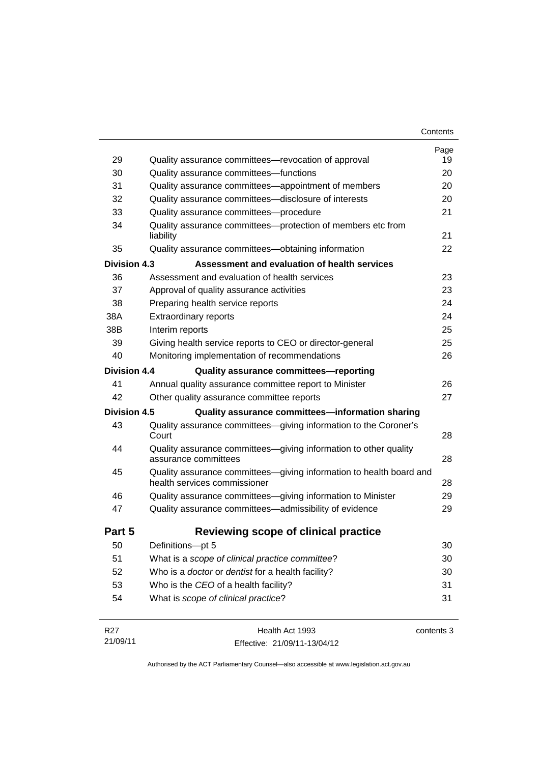| 29                  | Quality assurance committees—revocation of approval                                                 | Page<br>19 |
|---------------------|-----------------------------------------------------------------------------------------------------|------------|
| 30                  | Quality assurance committees-functions                                                              | 20         |
| 31                  | Quality assurance committees—appointment of members                                                 | 20         |
| 32                  | Quality assurance committees-disclosure of interests                                                | 20         |
| 33                  | Quality assurance committees-procedure                                                              | 21         |
| 34                  | Quality assurance committees-protection of members etc from<br>liability                            | 21         |
| 35                  | Quality assurance committees-obtaining information                                                  | 22         |
| <b>Division 4.3</b> | Assessment and evaluation of health services                                                        |            |
| 36                  | Assessment and evaluation of health services                                                        | 23         |
| 37                  | Approval of quality assurance activities                                                            | 23         |
| 38                  | Preparing health service reports                                                                    | 24         |
| 38A                 | <b>Extraordinary reports</b>                                                                        | 24         |
| 38B                 | Interim reports                                                                                     | 25         |
| 39                  | Giving health service reports to CEO or director-general                                            | 25         |
| 40                  | Monitoring implementation of recommendations                                                        | 26         |
| Division 4.4        | Quality assurance committees-reporting                                                              |            |
| 41                  | Annual quality assurance committee report to Minister                                               | 26         |
| 42                  | Other quality assurance committee reports                                                           | 27         |
| Division 4.5        | Quality assurance committees-information sharing                                                    |            |
| 43                  | Quality assurance committees-giving information to the Coroner's<br>Court                           | 28         |
| 44                  | Quality assurance committees-giving information to other quality<br>assurance committees            | 28         |
| 45                  | Quality assurance committees-giving information to health board and<br>health services commissioner | 28         |
| 46                  | Quality assurance committees-giving information to Minister                                         | 29         |
| 47                  | Quality assurance committees-admissibility of evidence                                              | 29         |
| Part 5              | Reviewing scope of clinical practice                                                                |            |
| 50                  | Definitions-pt 5                                                                                    | 30         |
| 51                  | What is a scope of clinical practice committee?                                                     | 30         |
| 52                  | Who is a doctor or dentist for a health facility?                                                   | 30         |
|                     |                                                                                                     |            |
| 53                  | Who is the CEO of a health facility?                                                                | 31         |

| R27      | Health Act 1993              | contents 3 |
|----------|------------------------------|------------|
| 21/09/11 | Effective: 21/09/11-13/04/12 |            |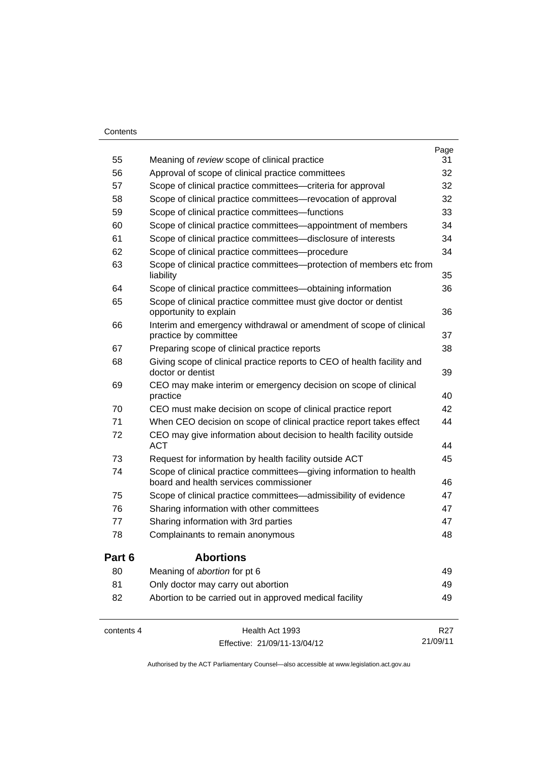#### **Contents**

| 55         | Meaning of review scope of clinical practice                                                                 | Page<br>31      |
|------------|--------------------------------------------------------------------------------------------------------------|-----------------|
| 56         | Approval of scope of clinical practice committees                                                            | 32              |
| 57         | Scope of clinical practice committees—criteria for approval                                                  | 32              |
| 58         | Scope of clinical practice committees—revocation of approval                                                 | 32              |
| 59         | Scope of clinical practice committees-functions                                                              | 33              |
| 60         | Scope of clinical practice committees—appointment of members                                                 | 34              |
| 61         | Scope of clinical practice committees—disclosure of interests                                                | 34              |
| 62         | Scope of clinical practice committees---procedure                                                            | 34              |
| 63         | Scope of clinical practice committees—protection of members etc from<br>liability                            | 35              |
| 64         | Scope of clinical practice committees-obtaining information                                                  | 36              |
| 65         | Scope of clinical practice committee must give doctor or dentist<br>opportunity to explain                   | 36              |
| 66         | Interim and emergency withdrawal or amendment of scope of clinical<br>practice by committee                  | 37              |
| 67         | Preparing scope of clinical practice reports                                                                 | 38              |
| 68         | Giving scope of clinical practice reports to CEO of health facility and<br>doctor or dentist                 | 39              |
| 69         | CEO may make interim or emergency decision on scope of clinical<br>practice                                  | 40              |
| 70         | CEO must make decision on scope of clinical practice report                                                  | 42              |
| 71         | When CEO decision on scope of clinical practice report takes effect                                          | 44              |
| 72         | CEO may give information about decision to health facility outside<br><b>ACT</b>                             | 44              |
| 73         | Request for information by health facility outside ACT                                                       | 45              |
| 74         | Scope of clinical practice committees-giving information to health<br>board and health services commissioner | 46              |
| 75         | Scope of clinical practice committees—admissibility of evidence                                              | 47              |
| 76         | Sharing information with other committees                                                                    | 47              |
| 77         | Sharing information with 3rd parties                                                                         | 47              |
| 78         | Complainants to remain anonymous                                                                             | 48              |
| Part 6     | <b>Abortions</b>                                                                                             |                 |
| 80         | Meaning of abortion for pt 6                                                                                 | 49              |
| 81         | Only doctor may carry out abortion                                                                           | 49              |
| 82         | Abortion to be carried out in approved medical facility                                                      | 49              |
| contents 4 | Health Act 1993                                                                                              | R <sub>27</sub> |

Effective: 21/09/11-13/04/12

21/09/11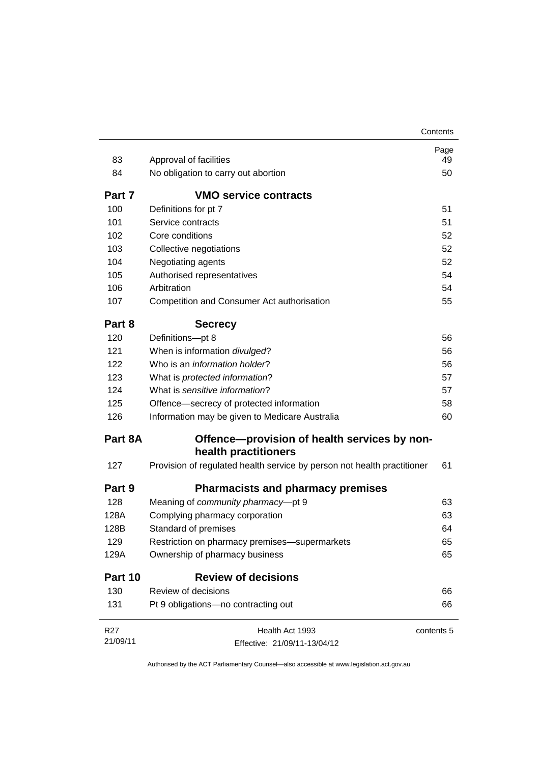|          |                                                                         | Contents   |
|----------|-------------------------------------------------------------------------|------------|
|          |                                                                         | Page       |
| 83       | Approval of facilities                                                  | 49         |
| 84       | No obligation to carry out abortion                                     | 50         |
| Part 7   | <b>VMO service contracts</b>                                            |            |
| 100      | Definitions for pt 7                                                    | 51         |
| 101      | Service contracts                                                       | 51         |
| 102      | Core conditions                                                         | 52         |
| 103      | Collective negotiations                                                 | 52         |
| 104      | Negotiating agents                                                      | 52         |
| 105      | Authorised representatives                                              | 54         |
| 106      | Arbitration                                                             | 54         |
| 107      | Competition and Consumer Act authorisation                              | 55         |
| Part 8   | <b>Secrecy</b>                                                          |            |
| 120      | Definitions-pt 8                                                        | 56         |
| 121      | When is information divulged?                                           | 56         |
| 122      | Who is an <i>information holder</i> ?                                   | 56         |
| 123      | What is protected information?                                          | 57         |
| 124      | What is sensitive information?                                          | 57         |
| 125      | Offence—secrecy of protected information                                | 58         |
| 126      | Information may be given to Medicare Australia                          | 60         |
| Part 8A  | Offence—provision of health services by non-                            |            |
|          | health practitioners                                                    |            |
| 127      | Provision of regulated health service by person not health practitioner | 61         |
| Part 9   | <b>Pharmacists and pharmacy premises</b>                                |            |
| 128      | Meaning of community pharmacy-pt 9                                      | 63         |
| 128A     | Complying pharmacy corporation                                          | 63         |
| 128B     | Standard of premises                                                    | 64         |
| 129      | Restriction on pharmacy premises-supermarkets                           | 65         |
| 129A     | Ownership of pharmacy business                                          | 65         |
| Part 10  | <b>Review of decisions</b>                                              |            |
| 130      | Review of decisions                                                     | 66         |
| 131      | Pt 9 obligations-no contracting out                                     | 66         |
| R27      | Health Act 1993                                                         | contents 5 |
| 21/09/11 | Effective: 21/09/11-13/04/12                                            |            |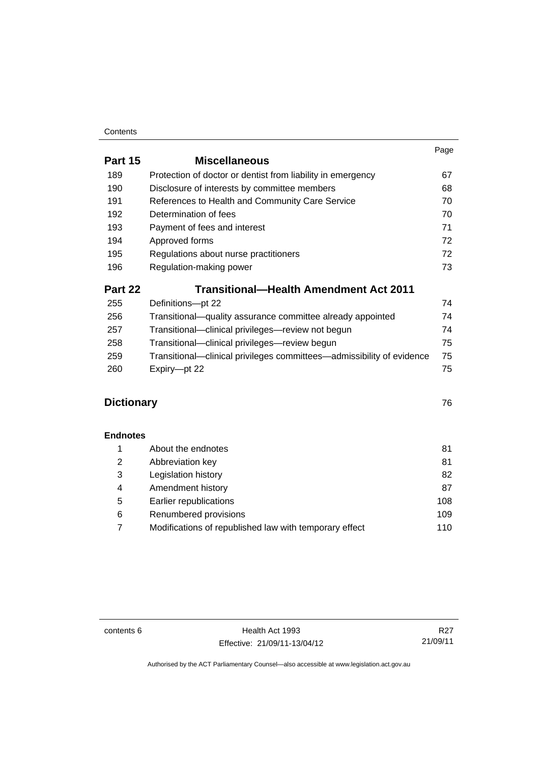#### **Contents**

|                   |                                                                       | Page |
|-------------------|-----------------------------------------------------------------------|------|
| Part 15           | <b>Miscellaneous</b>                                                  |      |
| 189               | Protection of doctor or dentist from liability in emergency           | 67   |
| 190               | Disclosure of interests by committee members                          | 68   |
| 191               | References to Health and Community Care Service                       | 70   |
| 192               | Determination of fees                                                 | 70   |
| 193               | Payment of fees and interest                                          | 71   |
| 194               | Approved forms                                                        | 72   |
| 195               | Regulations about nurse practitioners                                 | 72   |
| 196               | Regulation-making power                                               | 73   |
| Part 22           | Transitional—Health Amendment Act 2011                                |      |
| 255               | Definitions-pt 22                                                     | 74   |
| 256               | Transitional—quality assurance committee already appointed            | 74   |
| 257               | Transitional-clinical privileges-review not begun                     | 74   |
| 258               | Transitional-clinical privileges-review begun                         | 75   |
| 259               | Transitional—clinical privileges committees—admissibility of evidence | 75   |
| 260               | Expiry-pt 22                                                          | 75   |
| <b>Dictionary</b> |                                                                       | 76   |
| <b>Endnotes</b>   |                                                                       |      |
| 1                 | About the endnotes                                                    | 81   |
| 2                 | Abbreviation key                                                      | 81   |
| 3                 | Legislation history                                                   | 82   |
| 4                 | Amendment history                                                     | 87   |

contents 6 Health Act 1993 Effective: 21/09/11-13/04/12

R27 21/09/11

Authorised by the ACT Parliamentary Counsel—also accessible at www.legislation.act.gov.au

5 [Earlier republications 108](#page-115-0) 6 Renumbered provisions **109** 7 [Modifications of republished law with temporary effect 110](#page-117-0)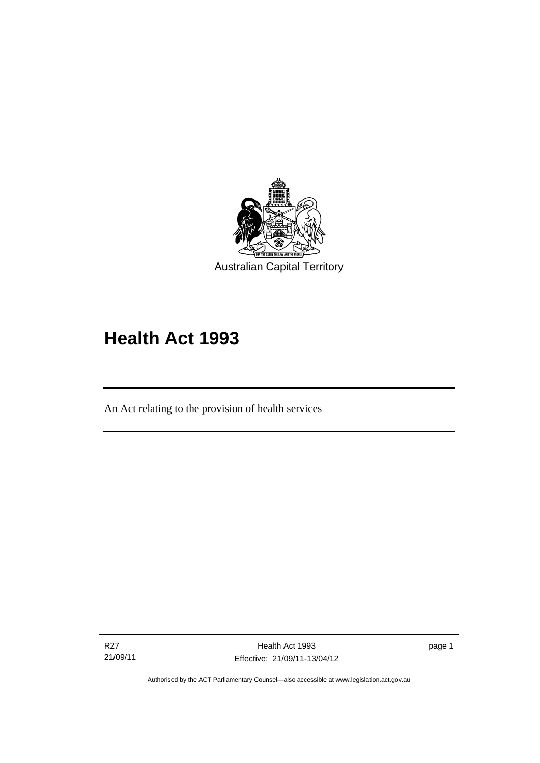

# **Health Act 1993**

An Act relating to the provision of health services

R27 21/09/11

Ī

page 1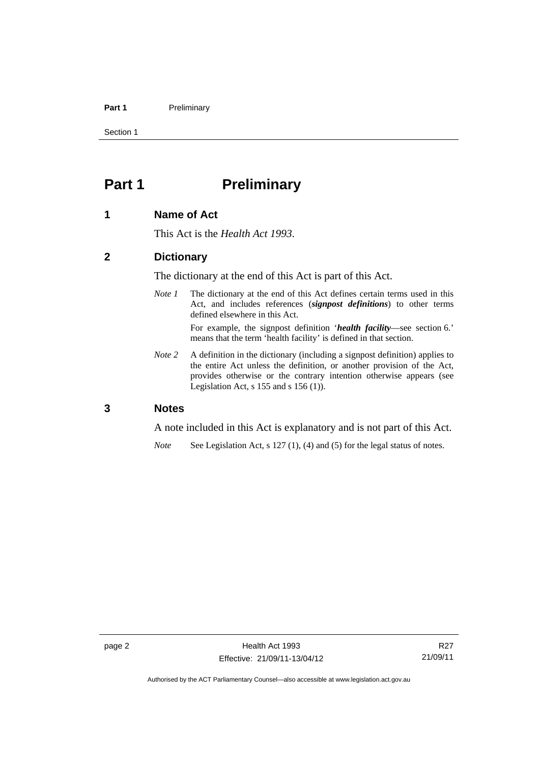#### Part 1 **Preliminary**

Section 1

# <span id="page-9-0"></span>**Part 1** Preliminary

#### <span id="page-9-1"></span>**1 Name of Act**

This Act is the *Health Act 1993*.

#### <span id="page-9-2"></span>**2 Dictionary**

The dictionary at the end of this Act is part of this Act.

*Note 1* The dictionary at the end of this Act defines certain terms used in this Act, and includes references (*signpost definitions*) to other terms defined elsewhere in this Act.

> For example, the signpost definition '*health facility*—see section 6.' means that the term 'health facility' is defined in that section.

*Note* 2 A definition in the dictionary (including a signpost definition) applies to the entire Act unless the definition, or another provision of the Act, provides otherwise or the contrary intention otherwise appears (see Legislation Act,  $s$  155 and  $s$  156 (1)).

#### <span id="page-9-3"></span>**3 Notes**

A note included in this Act is explanatory and is not part of this Act.

*Note* See Legislation Act, s 127 (1), (4) and (5) for the legal status of notes.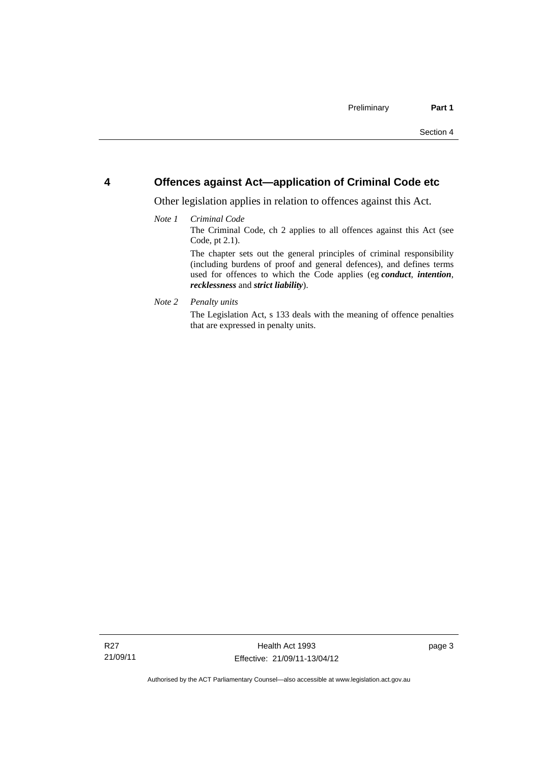#### <span id="page-10-0"></span>**4 Offences against Act—application of Criminal Code etc**

Other legislation applies in relation to offences against this Act.

#### *Note 1 Criminal Code*

The Criminal Code, ch 2 applies to all offences against this Act (see Code, pt 2.1).

The chapter sets out the general principles of criminal responsibility (including burdens of proof and general defences), and defines terms used for offences to which the Code applies (eg *conduct*, *intention*, *recklessness* and *strict liability*).

#### *Note 2 Penalty units*

The Legislation Act, s 133 deals with the meaning of offence penalties that are expressed in penalty units.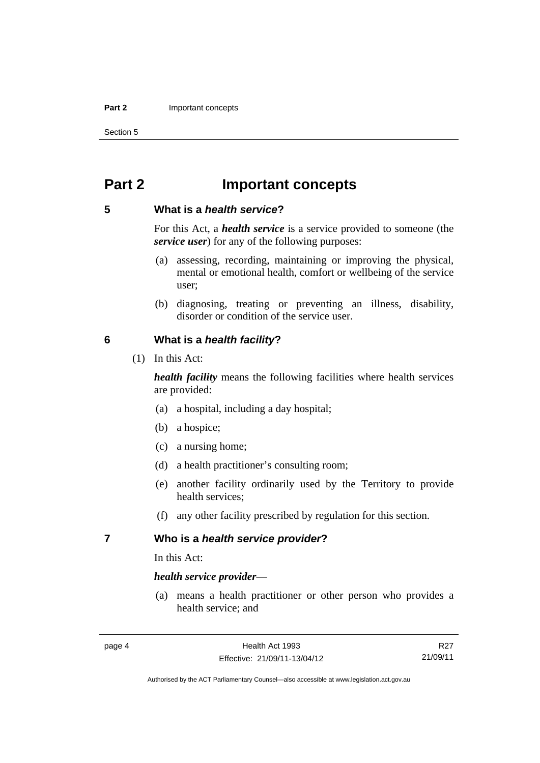#### **Part 2 Important concepts**

Section 5

# <span id="page-11-0"></span>**Part 2 Important concepts**

#### <span id="page-11-1"></span>**5 What is a** *health service***?**

For this Act, a *health service* is a service provided to someone (the *service user*) for any of the following purposes:

- (a) assessing, recording, maintaining or improving the physical, mental or emotional health, comfort or wellbeing of the service user;
- (b) diagnosing, treating or preventing an illness, disability, disorder or condition of the service user.

#### <span id="page-11-2"></span>**6 What is a** *health facility***?**

(1) In this Act:

*health facility* means the following facilities where health services are provided:

- (a) a hospital, including a day hospital;
- (b) a hospice;
- (c) a nursing home;
- (d) a health practitioner's consulting room;
- (e) another facility ordinarily used by the Territory to provide health services;
- (f) any other facility prescribed by regulation for this section.

#### <span id="page-11-3"></span>**7 Who is a** *health service provider***?**

In this Act:

#### *health service provider*—

 (a) means a health practitioner or other person who provides a health service; and

R27 21/09/11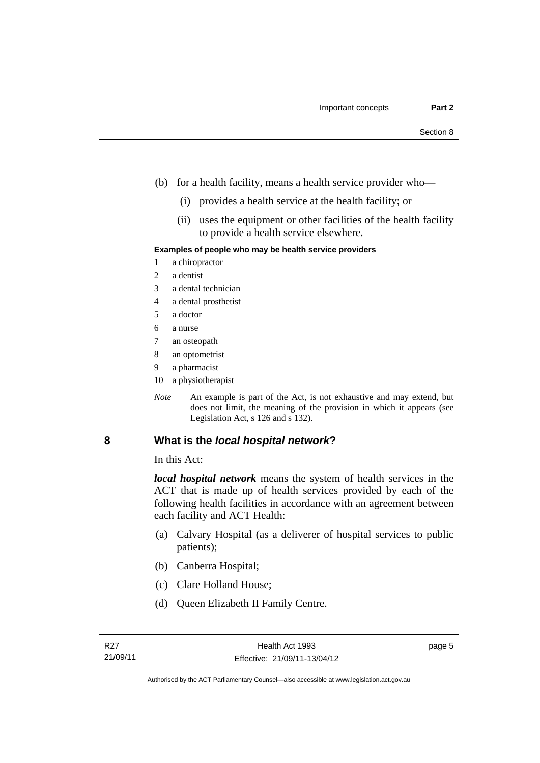- (b) for a health facility, means a health service provider who—
	- (i) provides a health service at the health facility; or
	- (ii) uses the equipment or other facilities of the health facility to provide a health service elsewhere.

#### **Examples of people who may be health service providers**

- 1 a chiropractor
- 2 a dentist
- 3 a dental technician
- 4 a dental prosthetist
- 5 a doctor
- 6 a nurse
- 7 an osteopath
- 8 an optometrist
- 9 a pharmacist
- 10 a physiotherapist
- *Note* An example is part of the Act, is not exhaustive and may extend, but does not limit, the meaning of the provision in which it appears (see Legislation Act, s 126 and s 132).

#### <span id="page-12-0"></span>**8 What is the** *local hospital network***?**

In this Act:

*local hospital network* means the system of health services in the ACT that is made up of health services provided by each of the following health facilities in accordance with an agreement between each facility and ACT Health:

- (a) Calvary Hospital (as a deliverer of hospital services to public patients);
- (b) Canberra Hospital;
- (c) Clare Holland House;
- (d) Queen Elizabeth II Family Centre.

page 5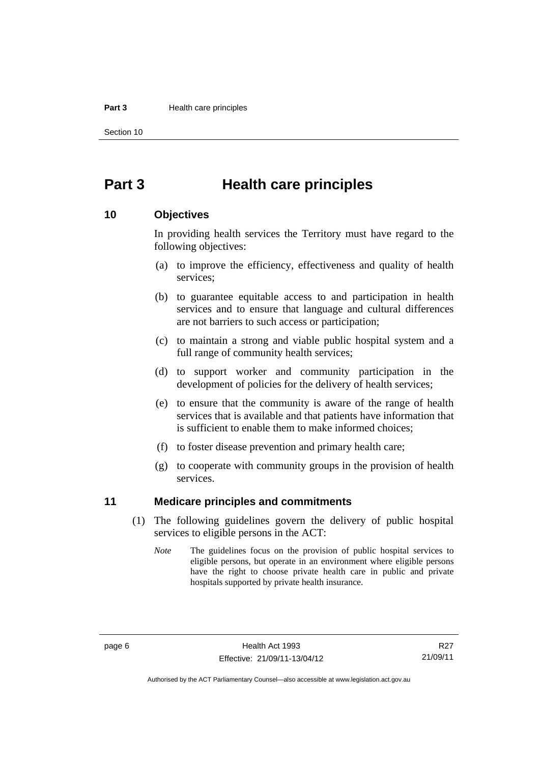#### **Part 3 Health care principles**

Section 10

# <span id="page-13-0"></span>**Part 3 Health care principles**

#### <span id="page-13-1"></span>**10 Objectives**

In providing health services the Territory must have regard to the following objectives:

- (a) to improve the efficiency, effectiveness and quality of health services;
- (b) to guarantee equitable access to and participation in health services and to ensure that language and cultural differences are not barriers to such access or participation;
- (c) to maintain a strong and viable public hospital system and a full range of community health services;
- (d) to support worker and community participation in the development of policies for the delivery of health services;
- (e) to ensure that the community is aware of the range of health services that is available and that patients have information that is sufficient to enable them to make informed choices;
- (f) to foster disease prevention and primary health care;
- (g) to cooperate with community groups in the provision of health services.

#### <span id="page-13-2"></span>**11 Medicare principles and commitments**

- (1) The following guidelines govern the delivery of public hospital services to eligible persons in the ACT:
	- *Note* The guidelines focus on the provision of public hospital services to eligible persons, but operate in an environment where eligible persons have the right to choose private health care in public and private hospitals supported by private health insurance.

R27 21/09/11

Authorised by the ACT Parliamentary Counsel—also accessible at www.legislation.act.gov.au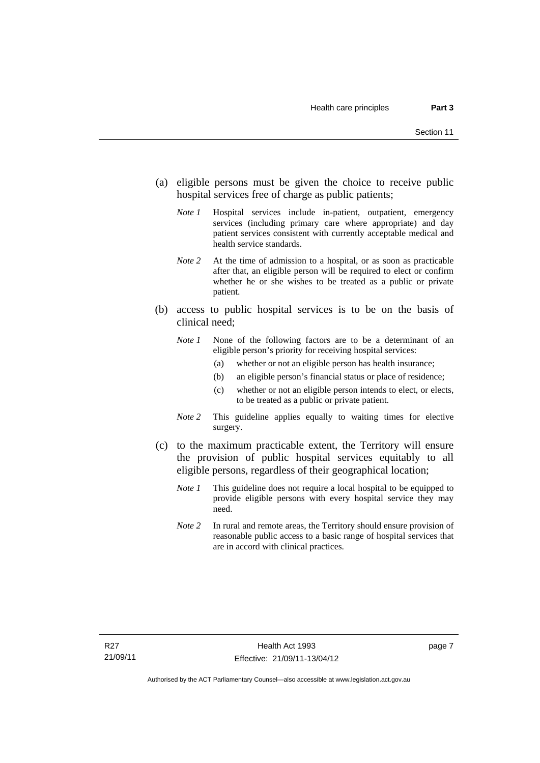- (a) eligible persons must be given the choice to receive public hospital services free of charge as public patients;
	- *Note 1* Hospital services include in-patient, outpatient, emergency services (including primary care where appropriate) and day patient services consistent with currently acceptable medical and health service standards.
	- *Note 2* At the time of admission to a hospital, or as soon as practicable after that, an eligible person will be required to elect or confirm whether he or she wishes to be treated as a public or private patient.
- (b) access to public hospital services is to be on the basis of clinical need;
	- *Note 1* None of the following factors are to be a determinant of an eligible person's priority for receiving hospital services:
		- (a) whether or not an eligible person has health insurance;
		- (b) an eligible person's financial status or place of residence;
		- (c) whether or not an eligible person intends to elect, or elects, to be treated as a public or private patient.
	- *Note 2* This guideline applies equally to waiting times for elective surgery.
- (c) to the maximum practicable extent, the Territory will ensure the provision of public hospital services equitably to all eligible persons, regardless of their geographical location;
	- *Note 1* This guideline does not require a local hospital to be equipped to provide eligible persons with every hospital service they may need.
	- *Note 2* In rural and remote areas, the Territory should ensure provision of reasonable public access to a basic range of hospital services that are in accord with clinical practices.

page 7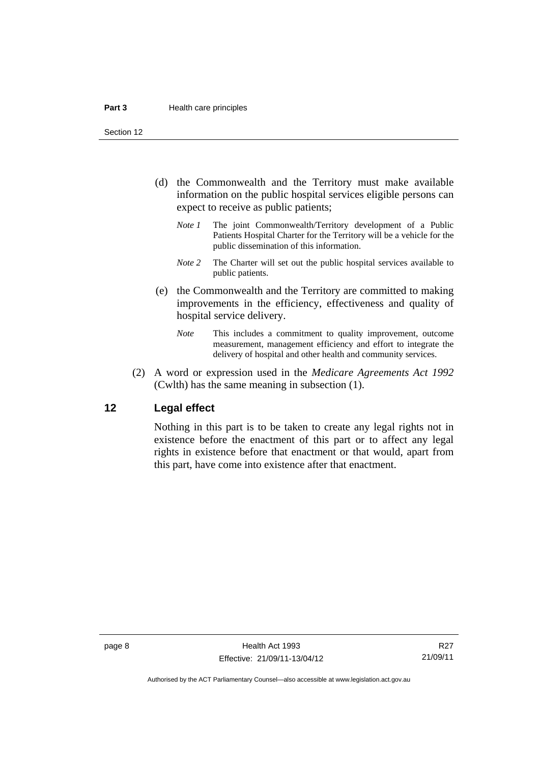Section 12

- (d) the Commonwealth and the Territory must make available information on the public hospital services eligible persons can expect to receive as public patients;
	- *Note 1* The joint Commonwealth/Territory development of a Public Patients Hospital Charter for the Territory will be a vehicle for the public dissemination of this information.
	- *Note 2* The Charter will set out the public hospital services available to public patients.
- (e) the Commonwealth and the Territory are committed to making improvements in the efficiency, effectiveness and quality of hospital service delivery.
	- *Note* This includes a commitment to quality improvement, outcome measurement, management efficiency and effort to integrate the delivery of hospital and other health and community services.
- (2) A word or expression used in the *Medicare Agreements Act 1992* (Cwlth) has the same meaning in subsection (1).

#### <span id="page-15-0"></span>**12 Legal effect**

Nothing in this part is to be taken to create any legal rights not in existence before the enactment of this part or to affect any legal rights in existence before that enactment or that would, apart from this part, have come into existence after that enactment.

R27 21/09/11

Authorised by the ACT Parliamentary Counsel—also accessible at www.legislation.act.gov.au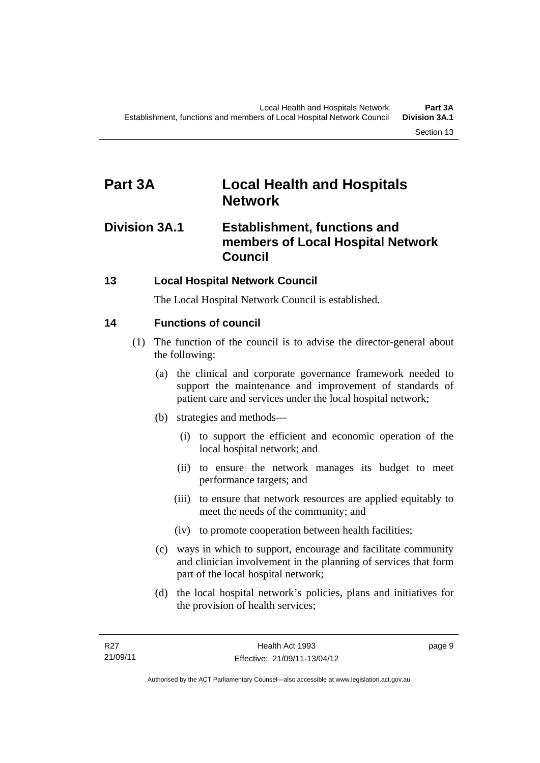# <span id="page-16-0"></span>**Part 3A Local Health and Hospitals Network**

# <span id="page-16-1"></span>**Division 3A.1 Establishment, functions and members of Local Hospital Network Council**

### <span id="page-16-2"></span>**13 Local Hospital Network Council**

The Local Hospital Network Council is established.

### <span id="page-16-3"></span>**14 Functions of council**

- (1) The function of the council is to advise the director-general about the following:
	- (a) the clinical and corporate governance framework needed to support the maintenance and improvement of standards of patient care and services under the local hospital network;
	- (b) strategies and methods—
		- (i) to support the efficient and economic operation of the local hospital network; and
		- (ii) to ensure the network manages its budget to meet performance targets; and
		- (iii) to ensure that network resources are applied equitably to meet the needs of the community; and
		- (iv) to promote cooperation between health facilities;
	- (c) ways in which to support, encourage and facilitate community and clinician involvement in the planning of services that form part of the local hospital network;
	- (d) the local hospital network's policies, plans and initiatives for the provision of health services;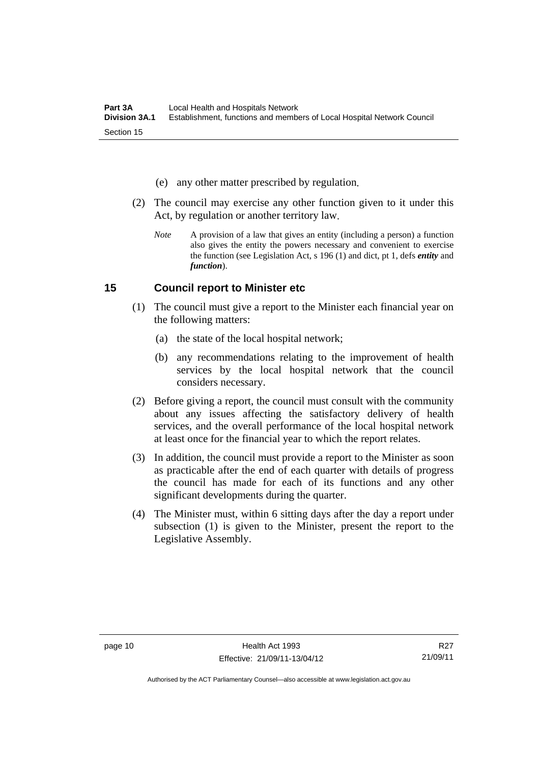- (e) any other matter prescribed by regulation.
- (2) The council may exercise any other function given to it under this Act, by regulation or another territory law.
	- *Note* A provision of a law that gives an entity (including a person) a function also gives the entity the powers necessary and convenient to exercise the function (see Legislation Act, s 196 (1) and dict, pt 1, defs *entity* and *function*).

#### <span id="page-17-0"></span>**15 Council report to Minister etc**

- (1) The council must give a report to the Minister each financial year on the following matters:
	- (a) the state of the local hospital network;
	- (b) any recommendations relating to the improvement of health services by the local hospital network that the council considers necessary.
- (2) Before giving a report, the council must consult with the community about any issues affecting the satisfactory delivery of health services, and the overall performance of the local hospital network at least once for the financial year to which the report relates.
- (3) In addition, the council must provide a report to the Minister as soon as practicable after the end of each quarter with details of progress the council has made for each of its functions and any other significant developments during the quarter.
- (4) The Minister must, within 6 sitting days after the day a report under subsection (1) is given to the Minister, present the report to the Legislative Assembly.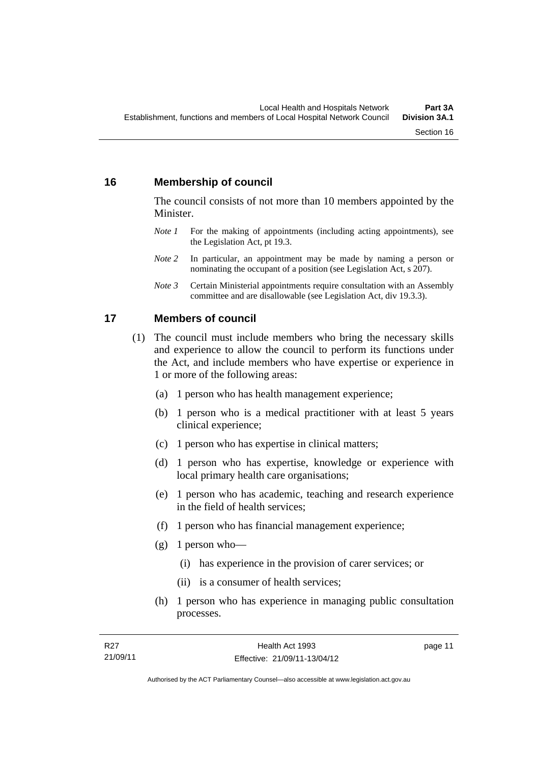### <span id="page-18-0"></span>**16 Membership of council**

The council consists of not more than 10 members appointed by the Minister.

- *Note 1* For the making of appointments (including acting appointments), see the Legislation Act, pt 19.3.
- *Note 2* In particular, an appointment may be made by naming a person or nominating the occupant of a position (see Legislation Act, s 207).
- *Note 3* Certain Ministerial appointments require consultation with an Assembly committee and are disallowable (see Legislation Act, div 19.3.3).

#### <span id="page-18-1"></span>**17 Members of council**

- (1) The council must include members who bring the necessary skills and experience to allow the council to perform its functions under the Act, and include members who have expertise or experience in 1 or more of the following areas:
	- (a) 1 person who has health management experience;
	- (b) 1 person who is a medical practitioner with at least 5 years clinical experience;
	- (c) 1 person who has expertise in clinical matters;
	- (d) 1 person who has expertise, knowledge or experience with local primary health care organisations;
	- (e) 1 person who has academic, teaching and research experience in the field of health services;
	- (f) 1 person who has financial management experience;
	- $(g)$  1 person who—
		- (i) has experience in the provision of carer services; or
		- (ii) is a consumer of health services;
	- (h) 1 person who has experience in managing public consultation processes.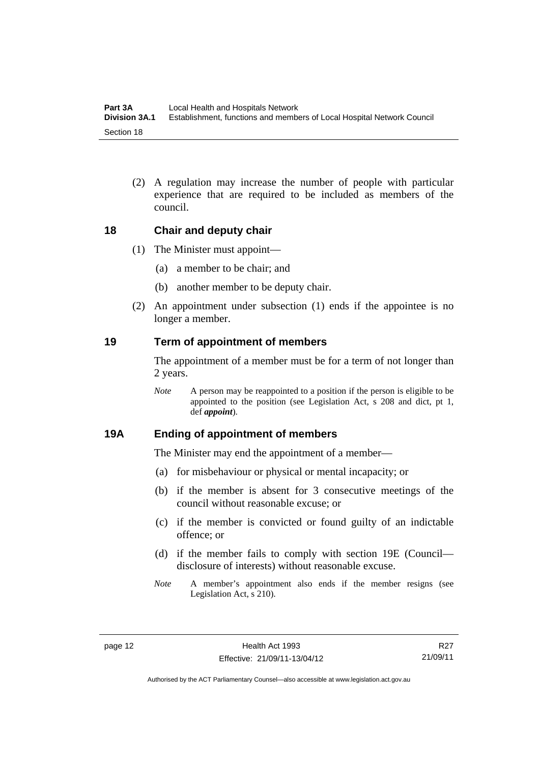(2) A regulation may increase the number of people with particular experience that are required to be included as members of the council.

#### <span id="page-19-0"></span>**18 Chair and deputy chair**

- (1) The Minister must appoint—
	- (a) a member to be chair; and
	- (b) another member to be deputy chair.
- (2) An appointment under subsection (1) ends if the appointee is no longer a member.

#### <span id="page-19-1"></span>**19 Term of appointment of members**

The appointment of a member must be for a term of not longer than 2 years.

*Note* A person may be reappointed to a position if the person is eligible to be appointed to the position (see Legislation Act, s 208 and dict, pt 1, def *appoint*).

#### <span id="page-19-2"></span>**19A Ending of appointment of members**

The Minister may end the appointment of a member—

- (a) for misbehaviour or physical or mental incapacity; or
- (b) if the member is absent for 3 consecutive meetings of the council without reasonable excuse; or
- (c) if the member is convicted or found guilty of an indictable offence; or
- (d) if the member fails to comply with section 19E (Council disclosure of interests) without reasonable excuse.
- *Note* A member's appointment also ends if the member resigns (see Legislation Act, s 210).

R27 21/09/11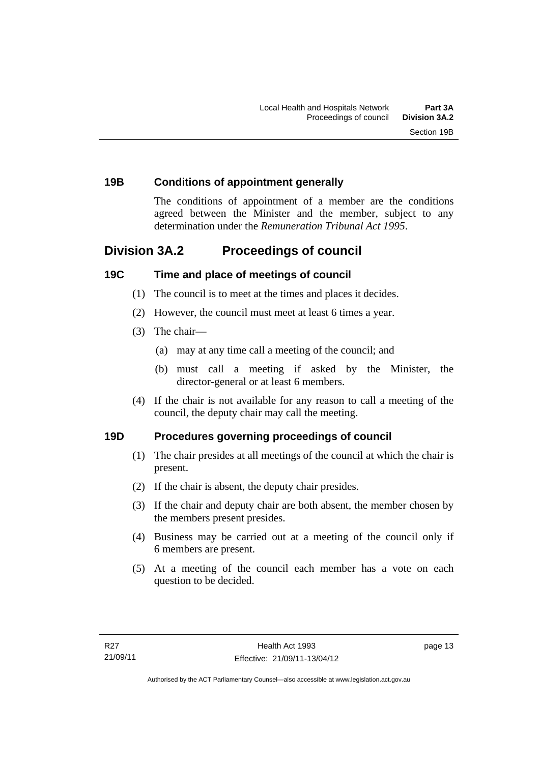#### <span id="page-20-0"></span>**19B Conditions of appointment generally**

The conditions of appointment of a member are the conditions agreed between the Minister and the member, subject to any determination under the *Remuneration Tribunal Act 1995*.

# <span id="page-20-1"></span>**Division 3A.2 Proceedings of council**

#### <span id="page-20-2"></span>**19C Time and place of meetings of council**

- (1) The council is to meet at the times and places it decides.
- (2) However, the council must meet at least 6 times a year.
- (3) The chair—
	- (a) may at any time call a meeting of the council; and
	- (b) must call a meeting if asked by the Minister, the director-general or at least 6 members.
- (4) If the chair is not available for any reason to call a meeting of the council, the deputy chair may call the meeting.

#### <span id="page-20-3"></span>**19D Procedures governing proceedings of council**

- (1) The chair presides at all meetings of the council at which the chair is present.
- (2) If the chair is absent, the deputy chair presides.
- (3) If the chair and deputy chair are both absent, the member chosen by the members present presides.
- (4) Business may be carried out at a meeting of the council only if 6 members are present.
- (5) At a meeting of the council each member has a vote on each question to be decided.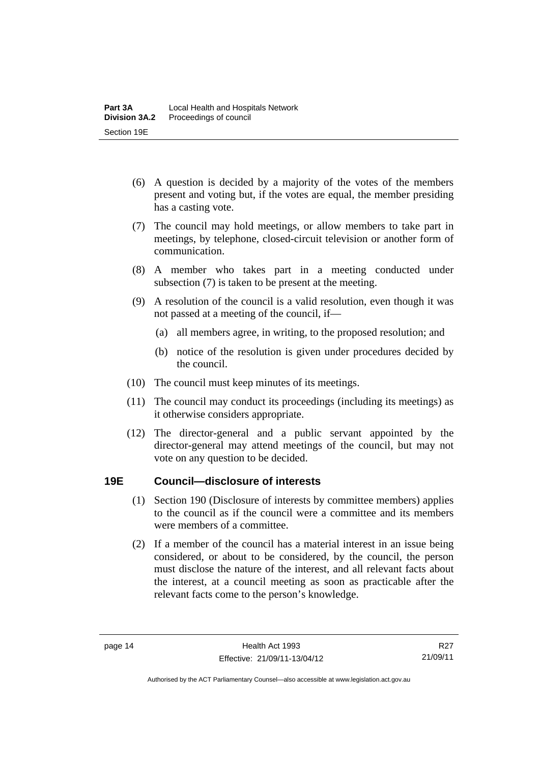- (6) A question is decided by a majority of the votes of the members present and voting but, if the votes are equal, the member presiding has a casting vote.
- (7) The council may hold meetings, or allow members to take part in meetings, by telephone, closed-circuit television or another form of communication.
- (8) A member who takes part in a meeting conducted under subsection (7) is taken to be present at the meeting.
- (9) A resolution of the council is a valid resolution, even though it was not passed at a meeting of the council, if—
	- (a) all members agree, in writing, to the proposed resolution; and
	- (b) notice of the resolution is given under procedures decided by the council.
- (10) The council must keep minutes of its meetings.
- (11) The council may conduct its proceedings (including its meetings) as it otherwise considers appropriate.
- (12) The director-general and a public servant appointed by the director-general may attend meetings of the council, but may not vote on any question to be decided.

#### <span id="page-21-0"></span>**19E Council—disclosure of interests**

- (1) Section 190 (Disclosure of interests by committee members) applies to the council as if the council were a committee and its members were members of a committee.
- (2) If a member of the council has a material interest in an issue being considered, or about to be considered, by the council, the person must disclose the nature of the interest, and all relevant facts about the interest, at a council meeting as soon as practicable after the relevant facts come to the person's knowledge.

Authorised by the ACT Parliamentary Counsel—also accessible at www.legislation.act.gov.au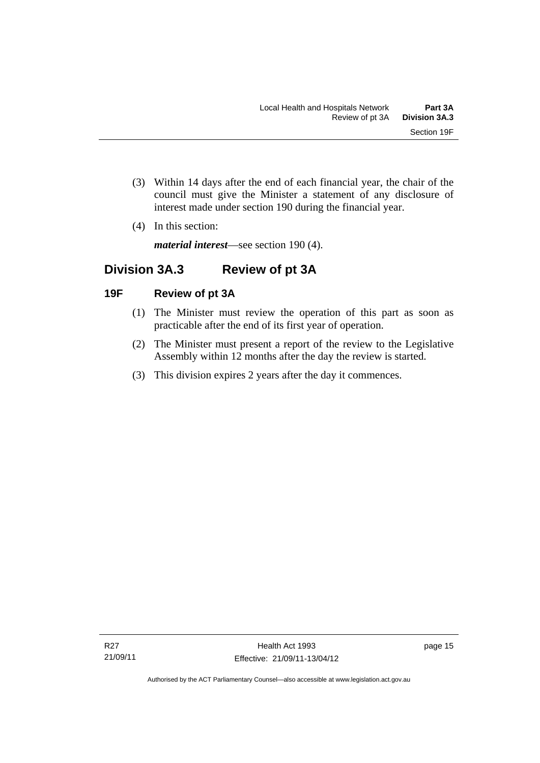- (3) Within 14 days after the end of each financial year, the chair of the council must give the Minister a statement of any disclosure of interest made under section 190 during the financial year.
- (4) In this section:

*material interest*—see section 190 (4).

# <span id="page-22-0"></span>**Division 3A.3 Review of pt 3A**

#### <span id="page-22-1"></span>**19F Review of pt 3A**

- (1) The Minister must review the operation of this part as soon as practicable after the end of its first year of operation.
- (2) The Minister must present a report of the review to the Legislative Assembly within 12 months after the day the review is started.
- (3) This division expires 2 years after the day it commences.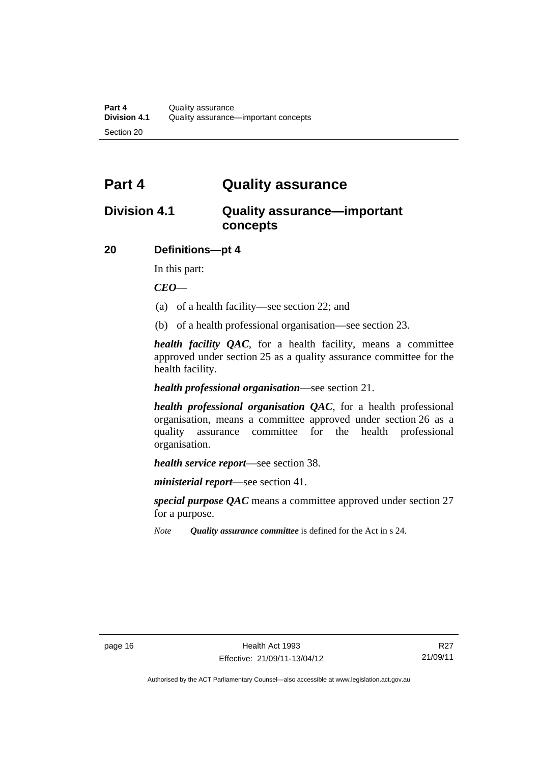# <span id="page-23-0"></span>**Part 4 Quality assurance**

# <span id="page-23-1"></span>**Division 4.1 Quality assurance—important concepts**

#### <span id="page-23-2"></span>**20 Definitions—pt 4**

In this part:

*CEO*—

- (a) of a health facility—see section 22; and
- (b) of a health professional organisation—see section 23.

*health facility QAC*, for a health facility, means a committee approved under section 25 as a quality assurance committee for the health facility.

#### *health professional organisation*—see section 21.

*health professional organisation QAC*, for a health professional organisation, means a committee approved under section 26 as a quality assurance committee for the health professional organisation.

*health service report*—see section 38.

*ministerial report*—see section 41.

*special purpose QAC* means a committee approved under section 27 for a purpose.

*Note Quality assurance committee* is defined for the Act in s 24.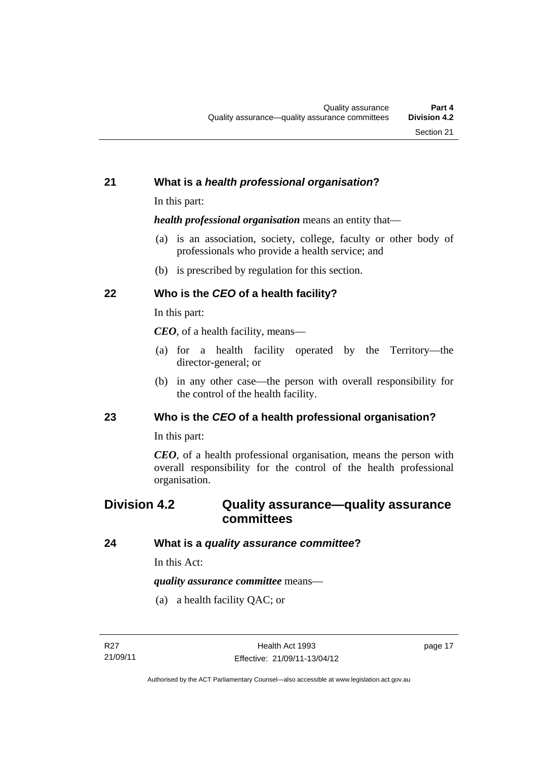#### <span id="page-24-0"></span>**21 What is a** *health professional organisation***?**

In this part:

*health professional organisation* means an entity that—

- (a) is an association, society, college, faculty or other body of professionals who provide a health service; and
- (b) is prescribed by regulation for this section.

## <span id="page-24-1"></span>**22 Who is the** *CEO* **of a health facility?**

In this part:

*CEO*, of a health facility, means—

- (a) for a health facility operated by the Territory—the director-general; or
- (b) in any other case—the person with overall responsibility for the control of the health facility.

#### <span id="page-24-2"></span>**23 Who is the** *CEO* **of a health professional organisation?**

In this part:

*CEO*, of a health professional organisation, means the person with overall responsibility for the control of the health professional organisation.

# <span id="page-24-3"></span>**Division 4.2 Quality assurance—quality assurance committees**

#### <span id="page-24-4"></span>**24 What is a** *quality assurance committee***?**

In this Act:

*quality assurance committee* means—

(a) a health facility QAC; or

page 17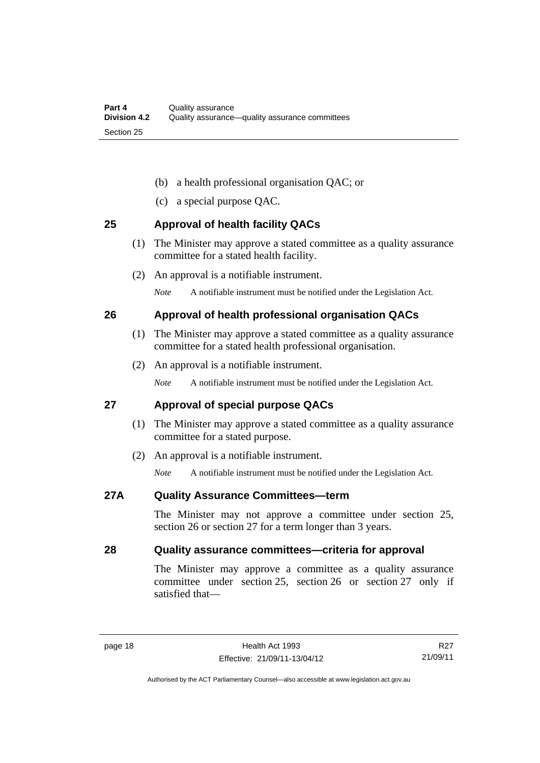- (b) a health professional organisation QAC; or
- (c) a special purpose QAC.

#### <span id="page-25-0"></span>**25 Approval of health facility QACs**

- (1) The Minister may approve a stated committee as a quality assurance committee for a stated health facility.
- (2) An approval is a notifiable instrument.

*Note* A notifiable instrument must be notified under the Legislation Act.

#### <span id="page-25-1"></span>**26 Approval of health professional organisation QACs**

- (1) The Minister may approve a stated committee as a quality assurance committee for a stated health professional organisation.
- (2) An approval is a notifiable instrument.

*Note* A notifiable instrument must be notified under the Legislation Act.

#### <span id="page-25-2"></span>**27 Approval of special purpose QACs**

- (1) The Minister may approve a stated committee as a quality assurance committee for a stated purpose.
- (2) An approval is a notifiable instrument.

*Note* A notifiable instrument must be notified under the Legislation Act.

#### <span id="page-25-3"></span>**27A Quality Assurance Committees—term**

The Minister may not approve a committee under section 25, section 26 or section 27 for a term longer than 3 years.

#### <span id="page-25-4"></span>**28 Quality assurance committees—criteria for approval**

The Minister may approve a committee as a quality assurance committee under section 25, section 26 or section 27 only if satisfied that—

R27 21/09/11

Authorised by the ACT Parliamentary Counsel—also accessible at www.legislation.act.gov.au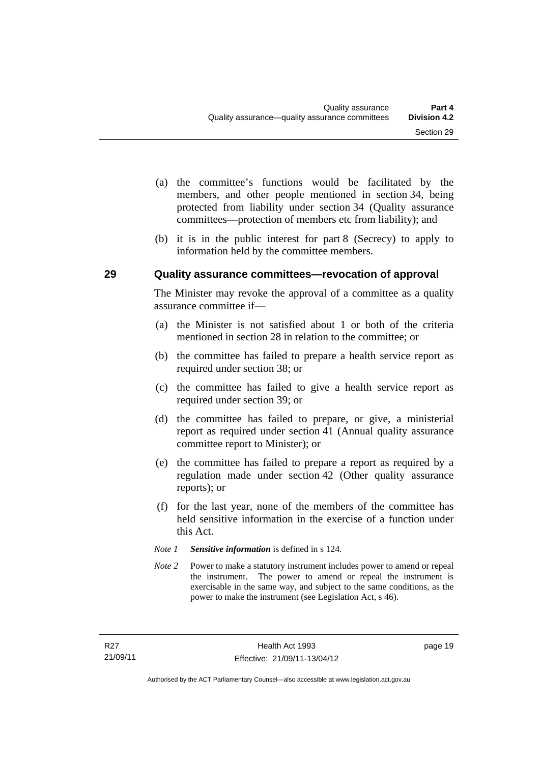- (a) the committee's functions would be facilitated by the members, and other people mentioned in section 34, being protected from liability under section 34 (Quality assurance committees—protection of members etc from liability); and
- (b) it is in the public interest for part 8 (Secrecy) to apply to information held by the committee members.

#### <span id="page-26-0"></span>**29 Quality assurance committees—revocation of approval**

The Minister may revoke the approval of a committee as a quality assurance committee if—

- (a) the Minister is not satisfied about 1 or both of the criteria mentioned in section 28 in relation to the committee; or
- (b) the committee has failed to prepare a health service report as required under section 38; or
- (c) the committee has failed to give a health service report as required under section 39; or
- (d) the committee has failed to prepare, or give, a ministerial report as required under section 41 (Annual quality assurance committee report to Minister); or
- (e) the committee has failed to prepare a report as required by a regulation made under section 42 (Other quality assurance reports); or
- (f) for the last year, none of the members of the committee has held sensitive information in the exercise of a function under this Act.
- *Note 1 Sensitive information* is defined in s 124.
- *Note* 2 Power to make a statutory instrument includes power to amend or repeal the instrument. The power to amend or repeal the instrument is exercisable in the same way, and subject to the same conditions, as the power to make the instrument (see Legislation Act, s 46).

page 19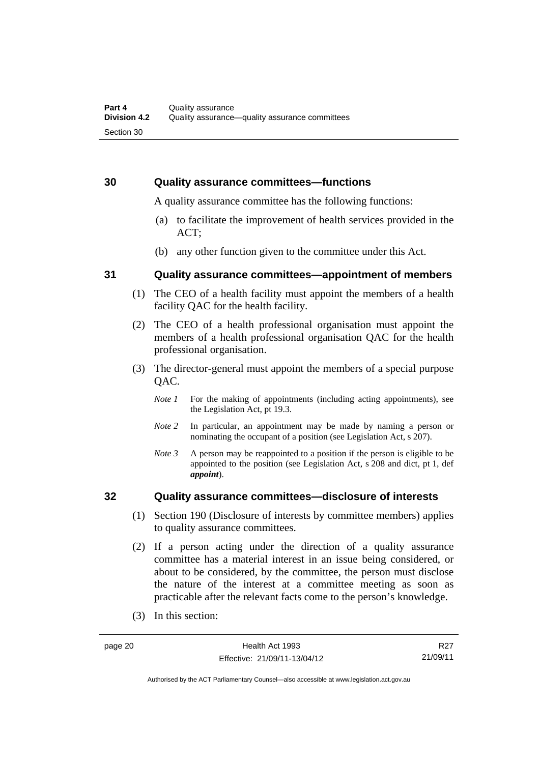#### <span id="page-27-0"></span>**30 Quality assurance committees—functions**

A quality assurance committee has the following functions:

- (a) to facilitate the improvement of health services provided in the ACT;
- (b) any other function given to the committee under this Act.

#### <span id="page-27-1"></span>**31 Quality assurance committees—appointment of members**

- (1) The CEO of a health facility must appoint the members of a health facility QAC for the health facility.
- (2) The CEO of a health professional organisation must appoint the members of a health professional organisation QAC for the health professional organisation.
- (3) The director-general must appoint the members of a special purpose QAC.
	- *Note 1* For the making of appointments (including acting appointments), see the Legislation Act, pt 19.3.
	- *Note 2* In particular, an appointment may be made by naming a person or nominating the occupant of a position (see Legislation Act, s 207).
	- *Note 3* A person may be reappointed to a position if the person is eligible to be appointed to the position (see Legislation Act, s 208 and dict, pt 1, def *appoint*).

#### <span id="page-27-2"></span>**32 Quality assurance committees—disclosure of interests**

- (1) Section 190 (Disclosure of interests by committee members) applies to quality assurance committees.
- (2) If a person acting under the direction of a quality assurance committee has a material interest in an issue being considered, or about to be considered, by the committee, the person must disclose the nature of the interest at a committee meeting as soon as practicable after the relevant facts come to the person's knowledge.
- (3) In this section:

R27 21/09/11

Authorised by the ACT Parliamentary Counsel—also accessible at www.legislation.act.gov.au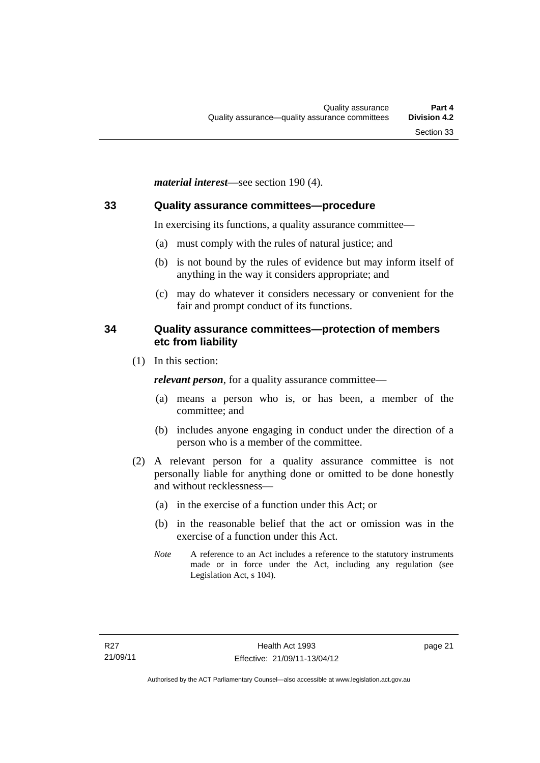*material interest*—see section 190 (4).

#### <span id="page-28-0"></span>**33 Quality assurance committees—procedure**

In exercising its functions, a quality assurance committee—

- (a) must comply with the rules of natural justice; and
- (b) is not bound by the rules of evidence but may inform itself of anything in the way it considers appropriate; and
- (c) may do whatever it considers necessary or convenient for the fair and prompt conduct of its functions.

#### <span id="page-28-1"></span>**34 Quality assurance committees—protection of members etc from liability**

(1) In this section:

*relevant person*, for a quality assurance committee—

- (a) means a person who is, or has been, a member of the committee; and
- (b) includes anyone engaging in conduct under the direction of a person who is a member of the committee.
- (2) A relevant person for a quality assurance committee is not personally liable for anything done or omitted to be done honestly and without recklessness—
	- (a) in the exercise of a function under this Act; or
	- (b) in the reasonable belief that the act or omission was in the exercise of a function under this Act.
	- *Note* A reference to an Act includes a reference to the statutory instruments made or in force under the Act, including any regulation (see Legislation Act, s 104).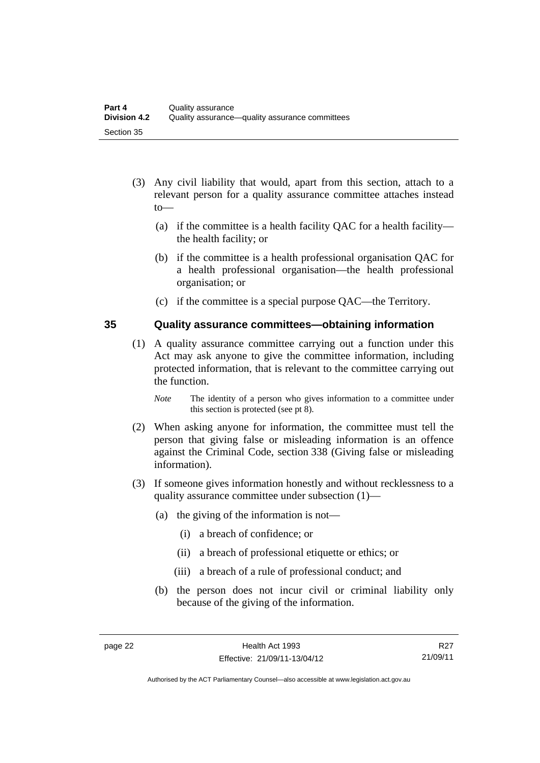- (3) Any civil liability that would, apart from this section, attach to a relevant person for a quality assurance committee attaches instead to—
	- (a) if the committee is a health facility QAC for a health facility the health facility; or
	- (b) if the committee is a health professional organisation QAC for a health professional organisation—the health professional organisation; or
	- (c) if the committee is a special purpose QAC—the Territory.

#### <span id="page-29-0"></span>**35 Quality assurance committees—obtaining information**

- (1) A quality assurance committee carrying out a function under this Act may ask anyone to give the committee information, including protected information, that is relevant to the committee carrying out the function.
	- *Note* The identity of a person who gives information to a committee under this section is protected (see pt 8).
- (2) When asking anyone for information, the committee must tell the person that giving false or misleading information is an offence against the Criminal Code, section 338 (Giving false or misleading information).
- (3) If someone gives information honestly and without recklessness to a quality assurance committee under subsection (1)—
	- (a) the giving of the information is not—
		- (i) a breach of confidence; or
		- (ii) a breach of professional etiquette or ethics; or
		- (iii) a breach of a rule of professional conduct; and
	- (b) the person does not incur civil or criminal liability only because of the giving of the information.

R27 21/09/11

Authorised by the ACT Parliamentary Counsel—also accessible at www.legislation.act.gov.au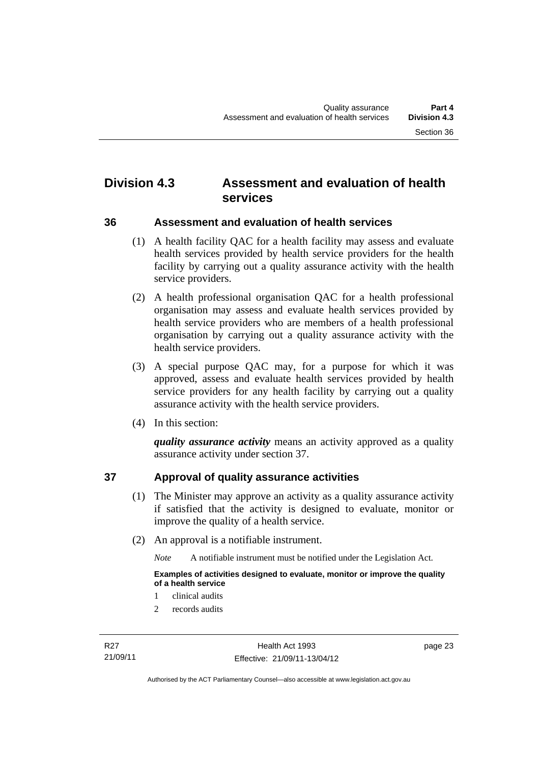# <span id="page-30-0"></span>**Division 4.3 Assessment and evaluation of health services**

<span id="page-30-1"></span>**36 Assessment and evaluation of health services** 

 (1) A health facility QAC for a health facility may assess and evaluate health services provided by health service providers for the health facility by carrying out a quality assurance activity with the health service providers.

 (2) A health professional organisation QAC for a health professional organisation may assess and evaluate health services provided by health service providers who are members of a health professional organisation by carrying out a quality assurance activity with the health service providers.

- (3) A special purpose QAC may, for a purpose for which it was approved, assess and evaluate health services provided by health service providers for any health facility by carrying out a quality assurance activity with the health service providers.
- (4) In this section:

*quality assurance activity* means an activity approved as a quality assurance activity under section 37.

## <span id="page-30-2"></span>**37 Approval of quality assurance activities**

- (1) The Minister may approve an activity as a quality assurance activity if satisfied that the activity is designed to evaluate, monitor or improve the quality of a health service.
- (2) An approval is a notifiable instrument.

*Note* A notifiable instrument must be notified under the Legislation Act.

**Examples of activities designed to evaluate, monitor or improve the quality of a health service** 

- 1 clinical audits
- 2 records audits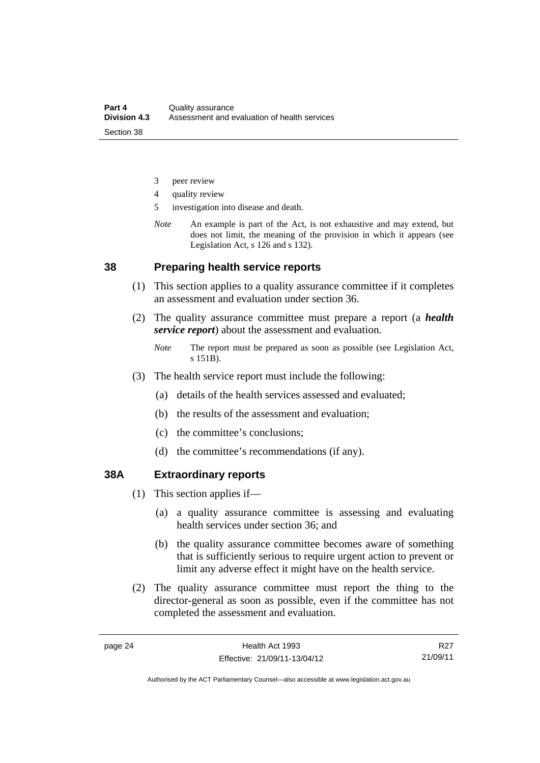- 3 peer review
- 4 quality review
- 5 investigation into disease and death.
- *Note* An example is part of the Act, is not exhaustive and may extend, but does not limit, the meaning of the provision in which it appears (see Legislation Act, s 126 and s 132).

#### <span id="page-31-0"></span>**38 Preparing health service reports**

- (1) This section applies to a quality assurance committee if it completes an assessment and evaluation under section 36.
- (2) The quality assurance committee must prepare a report (a *health service report*) about the assessment and evaluation.
	- *Note* The report must be prepared as soon as possible (see Legislation Act, s 151B).
- (3) The health service report must include the following:
	- (a) details of the health services assessed and evaluated;
	- (b) the results of the assessment and evaluation;
	- (c) the committee's conclusions;
	- (d) the committee's recommendations (if any).

#### <span id="page-31-1"></span>**38A Extraordinary reports**

- (1) This section applies if—
	- (a) a quality assurance committee is assessing and evaluating health services under section 36; and
	- (b) the quality assurance committee becomes aware of something that is sufficiently serious to require urgent action to prevent or limit any adverse effect it might have on the health service.
- (2) The quality assurance committee must report the thing to the director-general as soon as possible, even if the committee has not completed the assessment and evaluation.

R27 21/09/11

Authorised by the ACT Parliamentary Counsel—also accessible at www.legislation.act.gov.au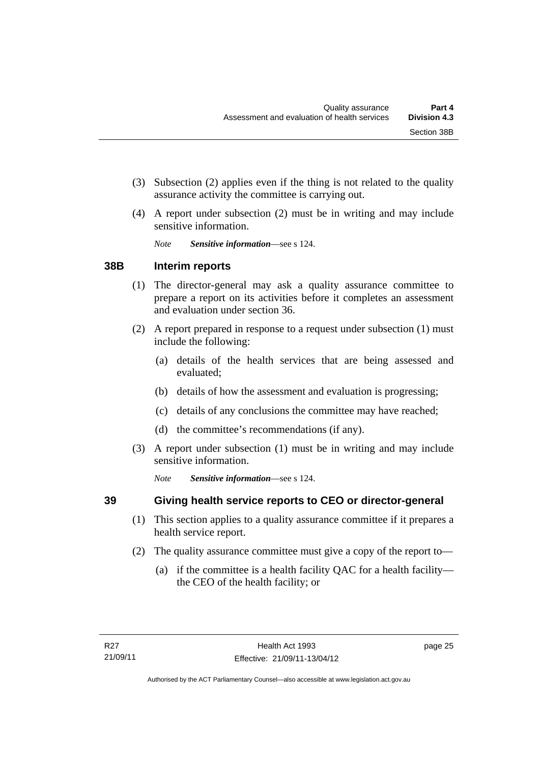- (3) Subsection (2) applies even if the thing is not related to the quality assurance activity the committee is carrying out.
- (4) A report under subsection (2) must be in writing and may include sensitive information.

*Note Sensitive information*—see s 124.

#### <span id="page-32-0"></span>**38B Interim reports**

- (1) The director-general may ask a quality assurance committee to prepare a report on its activities before it completes an assessment and evaluation under section 36.
- (2) A report prepared in response to a request under subsection (1) must include the following:
	- (a) details of the health services that are being assessed and evaluated;
	- (b) details of how the assessment and evaluation is progressing;
	- (c) details of any conclusions the committee may have reached;
	- (d) the committee's recommendations (if any).
- (3) A report under subsection (1) must be in writing and may include sensitive information.

*Note Sensitive information*—see s 124.

## <span id="page-32-1"></span>**39 Giving health service reports to CEO or director-general**

- (1) This section applies to a quality assurance committee if it prepares a health service report.
- (2) The quality assurance committee must give a copy of the report to—
	- (a) if the committee is a health facility QAC for a health facility the CEO of the health facility; or

page 25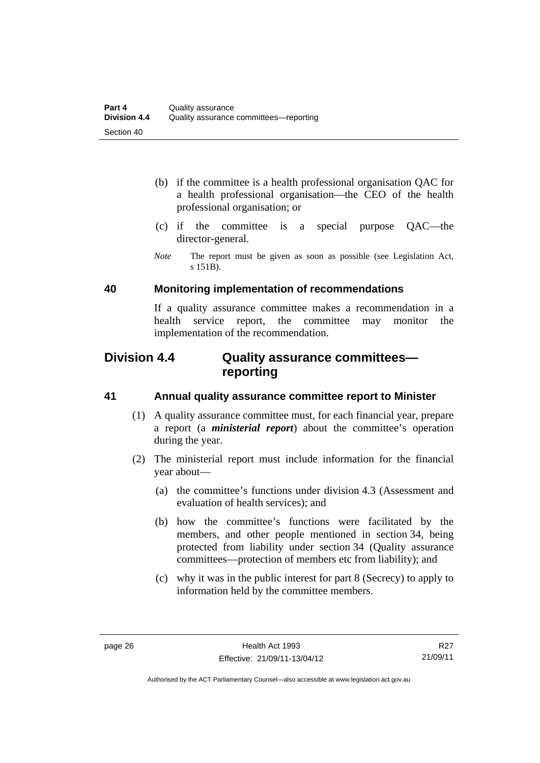- (b) if the committee is a health professional organisation QAC for a health professional organisation—the CEO of the health professional organisation; or
- (c) if the committee is a special purpose QAC—the director-general.
- *Note* The report must be given as soon as possible (see Legislation Act, s 151B).

#### <span id="page-33-0"></span>**40 Monitoring implementation of recommendations**

If a quality assurance committee makes a recommendation in a health service report, the committee may monitor the implementation of the recommendation.

# <span id="page-33-1"></span>**Division 4.4 Quality assurance committees reporting**

#### <span id="page-33-2"></span>**41 Annual quality assurance committee report to Minister**

- (1) A quality assurance committee must, for each financial year, prepare a report (a *ministerial report*) about the committee's operation during the year.
- (2) The ministerial report must include information for the financial year about—
	- (a) the committee's functions under division 4.3 (Assessment and evaluation of health services); and
	- (b) how the committee's functions were facilitated by the members, and other people mentioned in section 34, being protected from liability under section 34 (Quality assurance committees—protection of members etc from liability); and
	- (c) why it was in the public interest for part 8 (Secrecy) to apply to information held by the committee members.

R27 21/09/11

Authorised by the ACT Parliamentary Counsel—also accessible at www.legislation.act.gov.au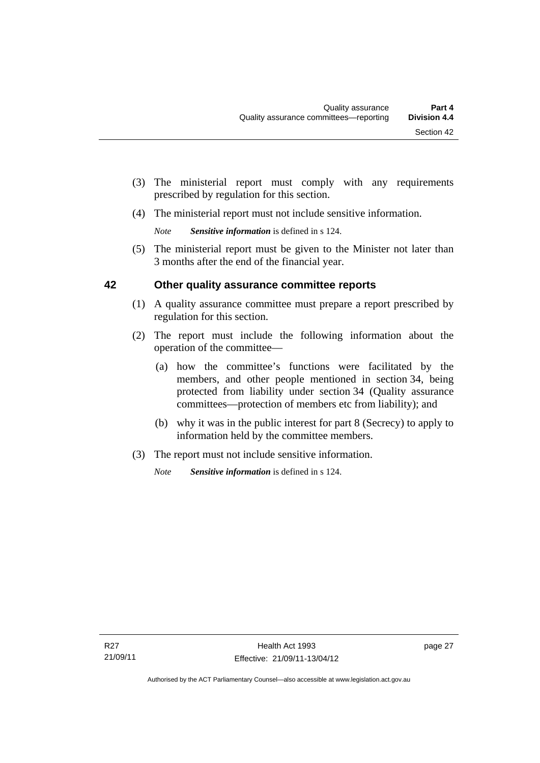- (3) The ministerial report must comply with any requirements prescribed by regulation for this section.
- (4) The ministerial report must not include sensitive information.

*Note Sensitive information* is defined in s 124.

 (5) The ministerial report must be given to the Minister not later than 3 months after the end of the financial year.

### <span id="page-34-0"></span>**42 Other quality assurance committee reports**

- (1) A quality assurance committee must prepare a report prescribed by regulation for this section.
- (2) The report must include the following information about the operation of the committee—
	- (a) how the committee's functions were facilitated by the members, and other people mentioned in section 34, being protected from liability under section 34 (Quality assurance committees—protection of members etc from liability); and
	- (b) why it was in the public interest for part 8 (Secrecy) to apply to information held by the committee members.
- (3) The report must not include sensitive information.

*Note Sensitive information* is defined in s 124.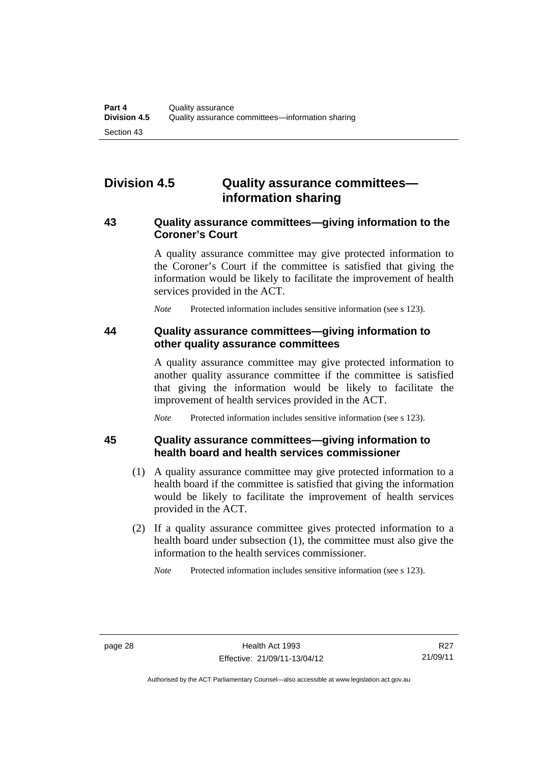# <span id="page-35-0"></span>**Division 4.5 Quality assurance committees information sharing**

#### <span id="page-35-1"></span>**43 Quality assurance committees—giving information to the Coroner's Court**

A quality assurance committee may give protected information to the Coroner's Court if the committee is satisfied that giving the information would be likely to facilitate the improvement of health services provided in the ACT.

*Note* Protected information includes sensitive information (see s 123).

#### <span id="page-35-2"></span>**44 Quality assurance committees—giving information to other quality assurance committees**

A quality assurance committee may give protected information to another quality assurance committee if the committee is satisfied that giving the information would be likely to facilitate the improvement of health services provided in the ACT.

*Note* Protected information includes sensitive information (see s 123).

<span id="page-35-3"></span>

#### **45 Quality assurance committees—giving information to health board and health services commissioner**

- (1) A quality assurance committee may give protected information to a health board if the committee is satisfied that giving the information would be likely to facilitate the improvement of health services provided in the ACT.
- (2) If a quality assurance committee gives protected information to a health board under subsection (1), the committee must also give the information to the health services commissioner.

*Note* Protected information includes sensitive information (see s 123).

Authorised by the ACT Parliamentary Counsel—also accessible at www.legislation.act.gov.au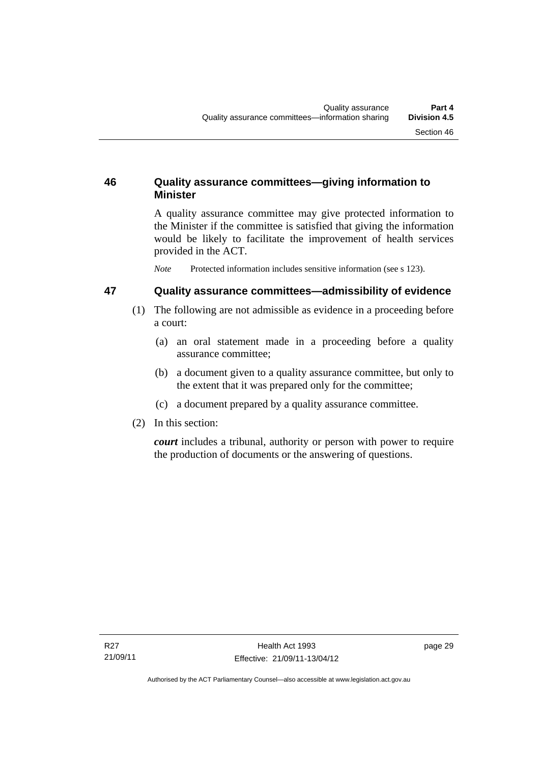# **46 Quality assurance committees—giving information to Minister**

A quality assurance committee may give protected information to the Minister if the committee is satisfied that giving the information would be likely to facilitate the improvement of health services provided in the ACT.

*Note* Protected information includes sensitive information (see s 123).

# **47 Quality assurance committees—admissibility of evidence**

- (1) The following are not admissible as evidence in a proceeding before a court:
	- (a) an oral statement made in a proceeding before a quality assurance committee;
	- (b) a document given to a quality assurance committee, but only to the extent that it was prepared only for the committee;
	- (c) a document prepared by a quality assurance committee.
- (2) In this section:

*court* includes a tribunal, authority or person with power to require the production of documents or the answering of questions.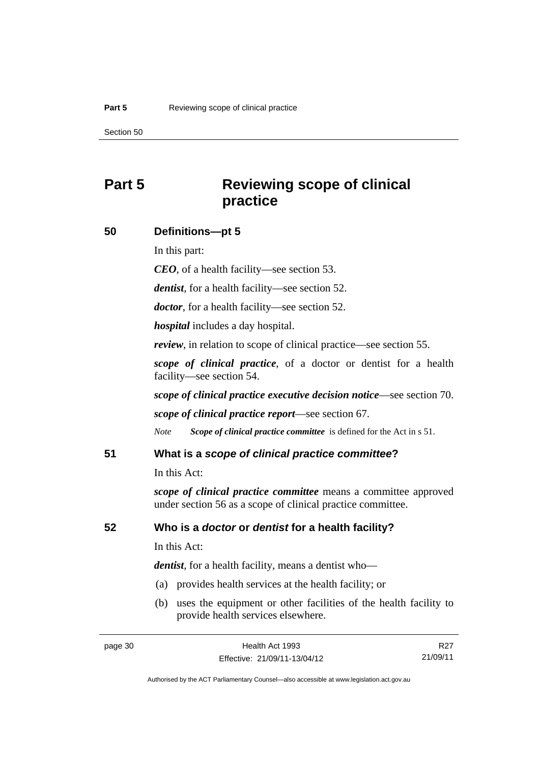# **Part 5 Reviewing scope of clinical practice**

# **50 Definitions—pt 5**

In this part:

*CEO*, of a health facility—see section 53.

*dentist*, for a health facility—see section 52.

*doctor*, for a health facility—see section 52.

*hospital* includes a day hospital.

*review*, in relation to scope of clinical practice—see section 55.

*scope of clinical practice*, of a doctor or dentist for a health facility—see section 54.

*scope of clinical practice executive decision notice*—see section 70.

*scope of clinical practice report*—see section 67.

*Note Scope of clinical practice committee* is defined for the Act in s 51.

# **51 What is a** *scope of clinical practice committee***?**

In this Act:

*scope of clinical practice committee* means a committee approved under section 56 as a scope of clinical practice committee.

# **52 Who is a** *doctor* **or** *dentist* **for a health facility?**

In this Act:

*dentist*, for a health facility, means a dentist who—

- (a) provides health services at the health facility; or
- (b) uses the equipment or other facilities of the health facility to provide health services elsewhere.

R27 21/09/11

Authorised by the ACT Parliamentary Counsel—also accessible at www.legislation.act.gov.au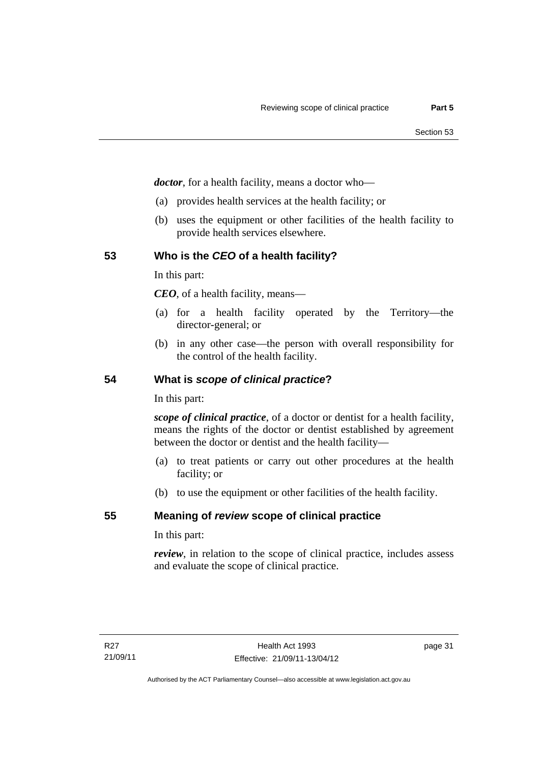*doctor*, for a health facility, means a doctor who—

- (a) provides health services at the health facility; or
- (b) uses the equipment or other facilities of the health facility to provide health services elsewhere.

# **53 Who is the** *CEO* **of a health facility?**

In this part:

*CEO*, of a health facility, means—

- (a) for a health facility operated by the Territory—the director-general; or
- (b) in any other case—the person with overall responsibility for the control of the health facility.

# **54 What is** *scope of clinical practice***?**

In this part:

*scope of clinical practice*, of a doctor or dentist for a health facility, means the rights of the doctor or dentist established by agreement between the doctor or dentist and the health facility—

- (a) to treat patients or carry out other procedures at the health facility; or
- (b) to use the equipment or other facilities of the health facility.

# **55 Meaning of** *review* **scope of clinical practice**

In this part:

*review*, in relation to the scope of clinical practice, includes assess and evaluate the scope of clinical practice.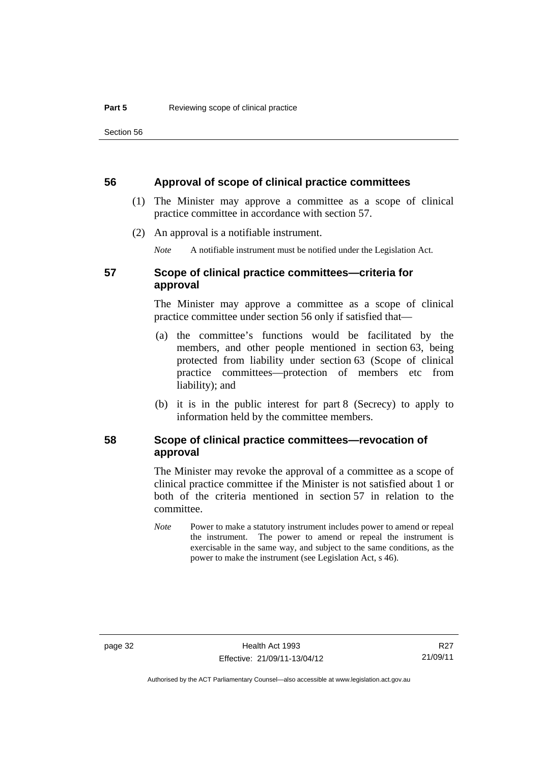## **56 Approval of scope of clinical practice committees**

- (1) The Minister may approve a committee as a scope of clinical practice committee in accordance with section 57.
- (2) An approval is a notifiable instrument.

*Note* A notifiable instrument must be notified under the Legislation Act.

# **57 Scope of clinical practice committees—criteria for approval**

The Minister may approve a committee as a scope of clinical practice committee under section 56 only if satisfied that—

- (a) the committee's functions would be facilitated by the members, and other people mentioned in section 63, being protected from liability under section 63 (Scope of clinical practice committees—protection of members etc from liability); and
- (b) it is in the public interest for part 8 (Secrecy) to apply to information held by the committee members.

# **58 Scope of clinical practice committees—revocation of approval**

The Minister may revoke the approval of a committee as a scope of clinical practice committee if the Minister is not satisfied about 1 or both of the criteria mentioned in section 57 in relation to the committee.

*Note* Power to make a statutory instrument includes power to amend or repeal the instrument. The power to amend or repeal the instrument is exercisable in the same way, and subject to the same conditions, as the power to make the instrument (see Legislation Act, s 46).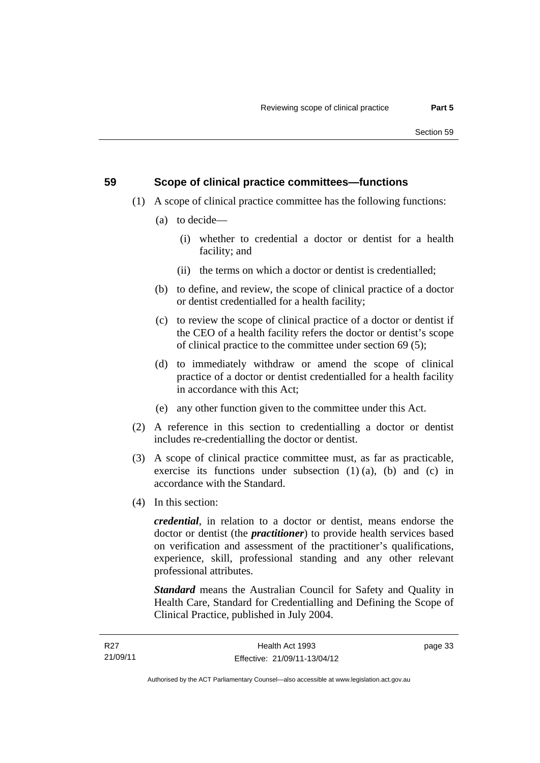# **59 Scope of clinical practice committees—functions**

- (1) A scope of clinical practice committee has the following functions:
	- (a) to decide—
		- (i) whether to credential a doctor or dentist for a health facility; and
		- (ii) the terms on which a doctor or dentist is credentialled;
	- (b) to define, and review, the scope of clinical practice of a doctor or dentist credentialled for a health facility;
	- (c) to review the scope of clinical practice of a doctor or dentist if the CEO of a health facility refers the doctor or dentist's scope of clinical practice to the committee under section 69 (5);
	- (d) to immediately withdraw or amend the scope of clinical practice of a doctor or dentist credentialled for a health facility in accordance with this Act;
	- (e) any other function given to the committee under this Act.
- (2) A reference in this section to credentialling a doctor or dentist includes re-credentialling the doctor or dentist.
- (3) A scope of clinical practice committee must, as far as practicable, exercise its functions under subsection  $(1)$   $(a)$ ,  $(b)$  and  $(c)$  in accordance with the Standard.
- (4) In this section:

*credential*, in relation to a doctor or dentist, means endorse the doctor or dentist (the *practitioner*) to provide health services based on verification and assessment of the practitioner's qualifications, experience, skill, professional standing and any other relevant professional attributes.

*Standard* means the Australian Council for Safety and Quality in Health Care, Standard for Credentialling and Defining the Scope of Clinical Practice, published in July 2004.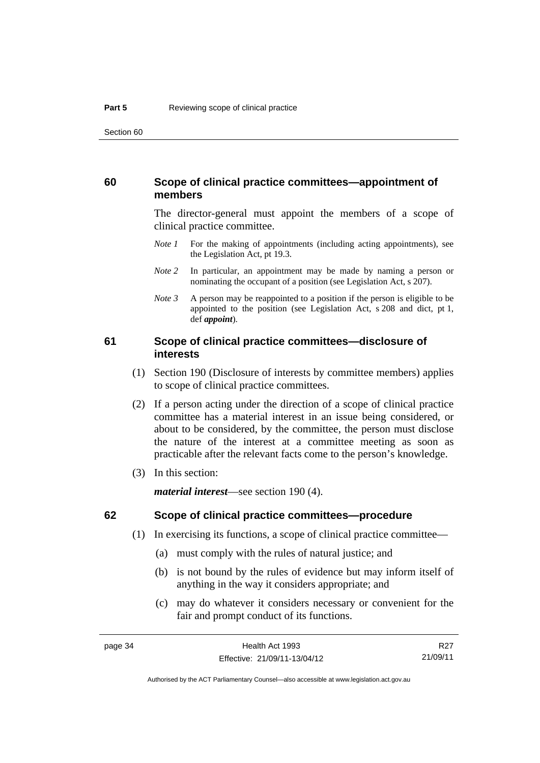# **60 Scope of clinical practice committees—appointment of members**

The director-general must appoint the members of a scope of clinical practice committee.

- *Note 1* For the making of appointments (including acting appointments), see the Legislation Act, pt 19.3.
- *Note* 2 In particular, an appointment may be made by naming a person or nominating the occupant of a position (see Legislation Act, s 207).
- *Note 3* A person may be reappointed to a position if the person is eligible to be appointed to the position (see Legislation Act, s 208 and dict, pt 1, def *appoint*).

# **61 Scope of clinical practice committees—disclosure of interests**

- (1) Section 190 (Disclosure of interests by committee members) applies to scope of clinical practice committees.
- (2) If a person acting under the direction of a scope of clinical practice committee has a material interest in an issue being considered, or about to be considered, by the committee, the person must disclose the nature of the interest at a committee meeting as soon as practicable after the relevant facts come to the person's knowledge.
- (3) In this section:

*material interest*—see section 190 (4).

# **62 Scope of clinical practice committees—procedure**

- (1) In exercising its functions, a scope of clinical practice committee—
	- (a) must comply with the rules of natural justice; and
	- (b) is not bound by the rules of evidence but may inform itself of anything in the way it considers appropriate; and
	- (c) may do whatever it considers necessary or convenient for the fair and prompt conduct of its functions.

R27 21/09/11

Authorised by the ACT Parliamentary Counsel—also accessible at www.legislation.act.gov.au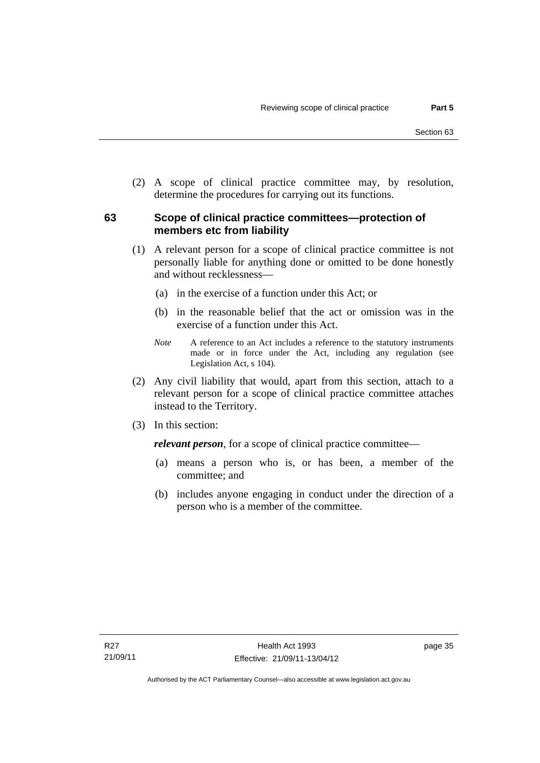(2) A scope of clinical practice committee may, by resolution, determine the procedures for carrying out its functions.

# **63 Scope of clinical practice committees—protection of members etc from liability**

- (1) A relevant person for a scope of clinical practice committee is not personally liable for anything done or omitted to be done honestly and without recklessness—
	- (a) in the exercise of a function under this Act; or
	- (b) in the reasonable belief that the act or omission was in the exercise of a function under this Act.
	- *Note* A reference to an Act includes a reference to the statutory instruments made or in force under the Act, including any regulation (see Legislation Act, s 104).
- (2) Any civil liability that would, apart from this section, attach to a relevant person for a scope of clinical practice committee attaches instead to the Territory.
- (3) In this section:

*relevant person*, for a scope of clinical practice committee—

- (a) means a person who is, or has been, a member of the committee; and
- (b) includes anyone engaging in conduct under the direction of a person who is a member of the committee.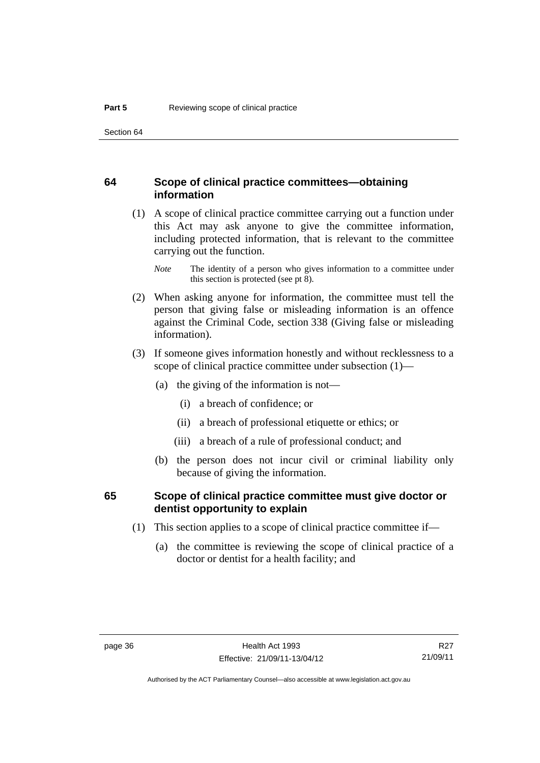# **64 Scope of clinical practice committees—obtaining information**

 (1) A scope of clinical practice committee carrying out a function under this Act may ask anyone to give the committee information, including protected information, that is relevant to the committee carrying out the function.

- (2) When asking anyone for information, the committee must tell the person that giving false or misleading information is an offence against the Criminal Code, section 338 (Giving false or misleading information).
- (3) If someone gives information honestly and without recklessness to a scope of clinical practice committee under subsection (1)—
	- (a) the giving of the information is not—
		- (i) a breach of confidence; or
		- (ii) a breach of professional etiquette or ethics; or
		- (iii) a breach of a rule of professional conduct; and
	- (b) the person does not incur civil or criminal liability only because of giving the information.

# **65 Scope of clinical practice committee must give doctor or dentist opportunity to explain**

- (1) This section applies to a scope of clinical practice committee if—
	- (a) the committee is reviewing the scope of clinical practice of a doctor or dentist for a health facility; and

*Note* The identity of a person who gives information to a committee under this section is protected (see pt 8).

R27 21/09/11

Authorised by the ACT Parliamentary Counsel—also accessible at www.legislation.act.gov.au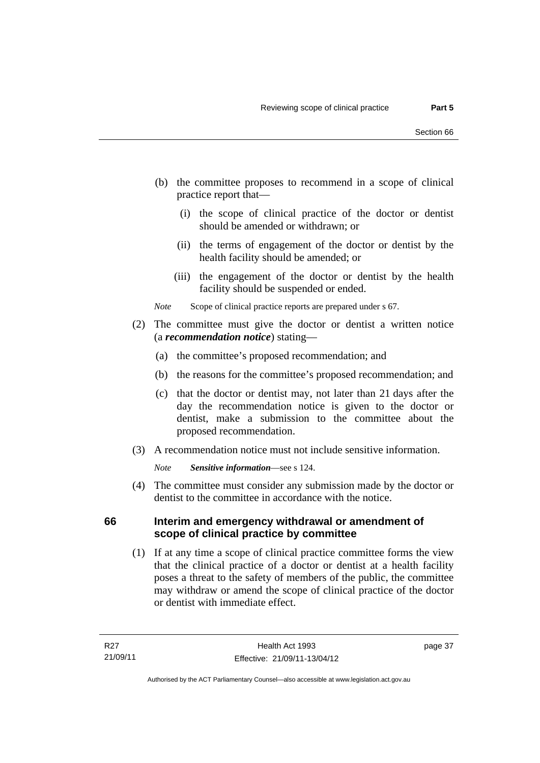- (b) the committee proposes to recommend in a scope of clinical practice report that—
	- (i) the scope of clinical practice of the doctor or dentist should be amended or withdrawn; or
	- (ii) the terms of engagement of the doctor or dentist by the health facility should be amended; or
	- (iii) the engagement of the doctor or dentist by the health facility should be suspended or ended.

*Note* Scope of clinical practice reports are prepared under s 67.

- (2) The committee must give the doctor or dentist a written notice (a *recommendation notice*) stating—
	- (a) the committee's proposed recommendation; and
	- (b) the reasons for the committee's proposed recommendation; and
	- (c) that the doctor or dentist may, not later than 21 days after the day the recommendation notice is given to the doctor or dentist, make a submission to the committee about the proposed recommendation.
- (3) A recommendation notice must not include sensitive information.

*Note Sensitive information*—see s 124.

 (4) The committee must consider any submission made by the doctor or dentist to the committee in accordance with the notice.

# **66 Interim and emergency withdrawal or amendment of scope of clinical practice by committee**

 (1) If at any time a scope of clinical practice committee forms the view that the clinical practice of a doctor or dentist at a health facility poses a threat to the safety of members of the public, the committee may withdraw or amend the scope of clinical practice of the doctor or dentist with immediate effect.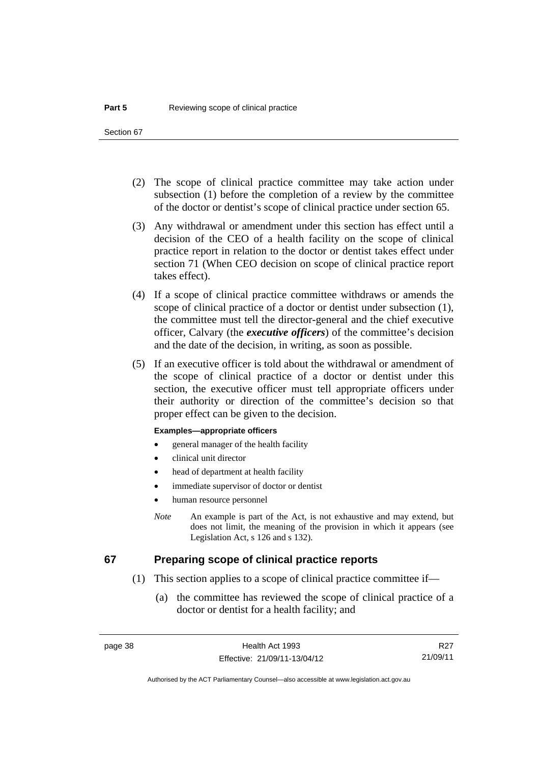- (2) The scope of clinical practice committee may take action under subsection (1) before the completion of a review by the committee of the doctor or dentist's scope of clinical practice under section 65.
- (3) Any withdrawal or amendment under this section has effect until a decision of the CEO of a health facility on the scope of clinical practice report in relation to the doctor or dentist takes effect under section 71 (When CEO decision on scope of clinical practice report takes effect).
- (4) If a scope of clinical practice committee withdraws or amends the scope of clinical practice of a doctor or dentist under subsection (1), the committee must tell the director-general and the chief executive officer, Calvary (the *executive officers*) of the committee's decision and the date of the decision, in writing, as soon as possible.
- (5) If an executive officer is told about the withdrawal or amendment of the scope of clinical practice of a doctor or dentist under this section, the executive officer must tell appropriate officers under their authority or direction of the committee's decision so that proper effect can be given to the decision.

## **Examples—appropriate officers**

- general manager of the health facility
- clinical unit director
- head of department at health facility
- immediate supervisor of doctor or dentist
- human resource personnel
- *Note* An example is part of the Act, is not exhaustive and may extend, but does not limit, the meaning of the provision in which it appears (see Legislation Act, s 126 and s 132).

# **67 Preparing scope of clinical practice reports**

- (1) This section applies to a scope of clinical practice committee if—
	- (a) the committee has reviewed the scope of clinical practice of a doctor or dentist for a health facility; and

R27 21/09/11

Authorised by the ACT Parliamentary Counsel—also accessible at www.legislation.act.gov.au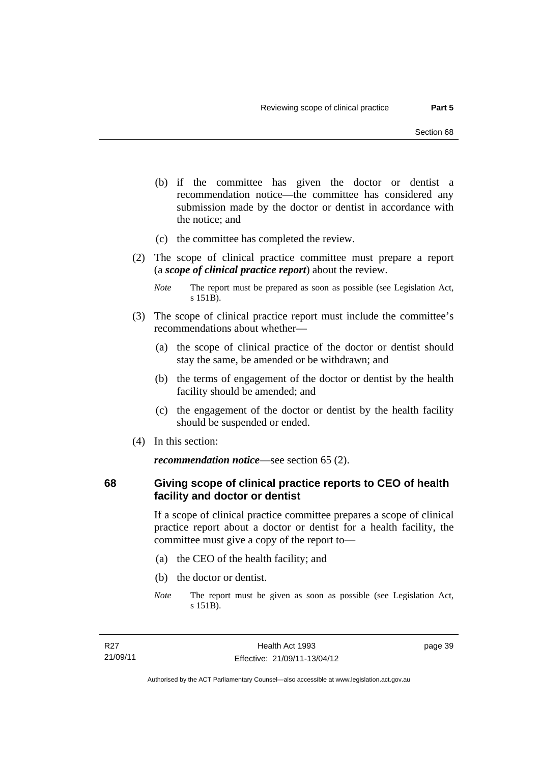- (b) if the committee has given the doctor or dentist a recommendation notice—the committee has considered any submission made by the doctor or dentist in accordance with the notice; and
- (c) the committee has completed the review.
- (2) The scope of clinical practice committee must prepare a report (a *scope of clinical practice report*) about the review.

- (3) The scope of clinical practice report must include the committee's recommendations about whether—
	- (a) the scope of clinical practice of the doctor or dentist should stay the same, be amended or be withdrawn; and
	- (b) the terms of engagement of the doctor or dentist by the health facility should be amended; and
	- (c) the engagement of the doctor or dentist by the health facility should be suspended or ended.
- (4) In this section:

*recommendation notice*—see section 65 (2).

**68 Giving scope of clinical practice reports to CEO of health facility and doctor or dentist** 

> If a scope of clinical practice committee prepares a scope of clinical practice report about a doctor or dentist for a health facility, the committee must give a copy of the report to—

- (a) the CEO of the health facility; and
- (b) the doctor or dentist.
- *Note* The report must be given as soon as possible (see Legislation Act, s 151B).

*Note* The report must be prepared as soon as possible (see Legislation Act, s 151B).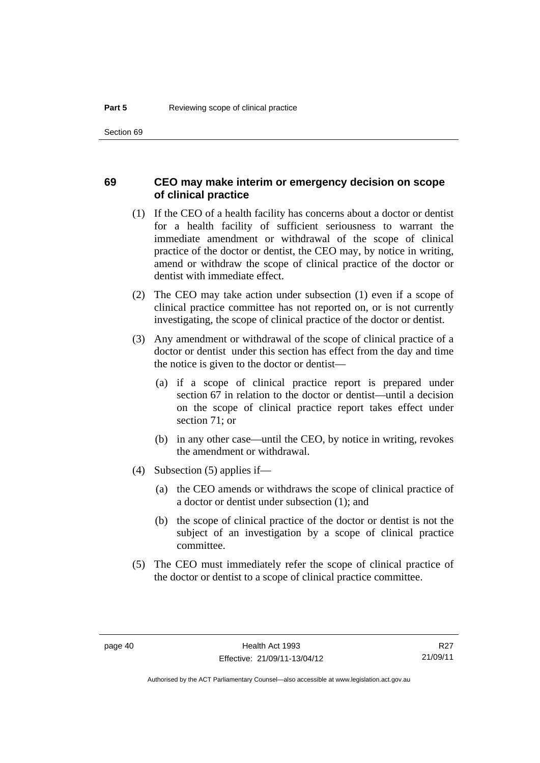# **69 CEO may make interim or emergency decision on scope of clinical practice**

- (1) If the CEO of a health facility has concerns about a doctor or dentist for a health facility of sufficient seriousness to warrant the immediate amendment or withdrawal of the scope of clinical practice of the doctor or dentist, the CEO may, by notice in writing, amend or withdraw the scope of clinical practice of the doctor or dentist with immediate effect.
- (2) The CEO may take action under subsection (1) even if a scope of clinical practice committee has not reported on, or is not currently investigating, the scope of clinical practice of the doctor or dentist.
- (3) Any amendment or withdrawal of the scope of clinical practice of a doctor or dentist under this section has effect from the day and time the notice is given to the doctor or dentist—
	- (a) if a scope of clinical practice report is prepared under section 67 in relation to the doctor or dentist—until a decision on the scope of clinical practice report takes effect under section 71; or
	- (b) in any other case—until the CEO, by notice in writing, revokes the amendment or withdrawal.
- (4) Subsection (5) applies if—
	- (a) the CEO amends or withdraws the scope of clinical practice of a doctor or dentist under subsection (1); and
	- (b) the scope of clinical practice of the doctor or dentist is not the subject of an investigation by a scope of clinical practice committee.
- (5) The CEO must immediately refer the scope of clinical practice of the doctor or dentist to a scope of clinical practice committee.

Authorised by the ACT Parliamentary Counsel—also accessible at www.legislation.act.gov.au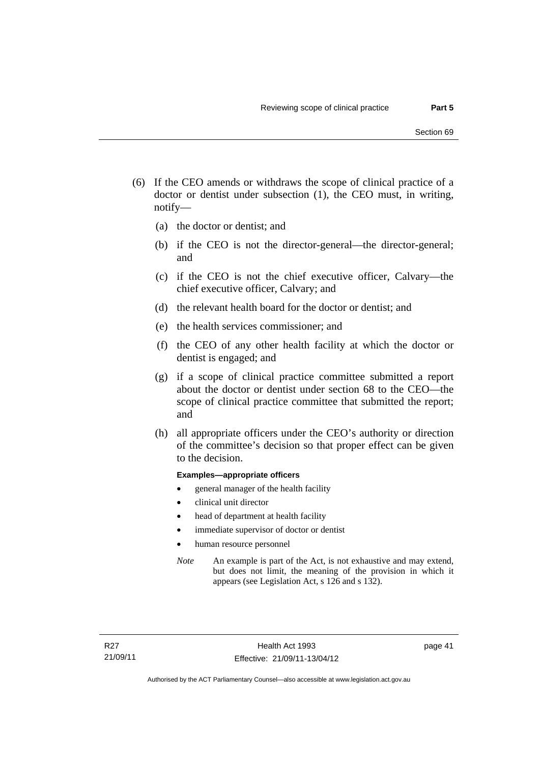- (6) If the CEO amends or withdraws the scope of clinical practice of a doctor or dentist under subsection (1), the CEO must, in writing, notify—
	- (a) the doctor or dentist; and
	- (b) if the CEO is not the director-general—the director-general; and
	- (c) if the CEO is not the chief executive officer, Calvary—the chief executive officer, Calvary; and
	- (d) the relevant health board for the doctor or dentist; and
	- (e) the health services commissioner; and
	- (f) the CEO of any other health facility at which the doctor or dentist is engaged; and
	- (g) if a scope of clinical practice committee submitted a report about the doctor or dentist under section 68 to the CEO—the scope of clinical practice committee that submitted the report; and
	- (h) all appropriate officers under the CEO's authority or direction of the committee's decision so that proper effect can be given to the decision.

## **Examples—appropriate officers**

- general manager of the health facility
- clinical unit director
- head of department at health facility
- immediate supervisor of doctor or dentist
- human resource personnel
- *Note* An example is part of the Act, is not exhaustive and may extend, but does not limit, the meaning of the provision in which it appears (see Legislation Act, s 126 and s 132).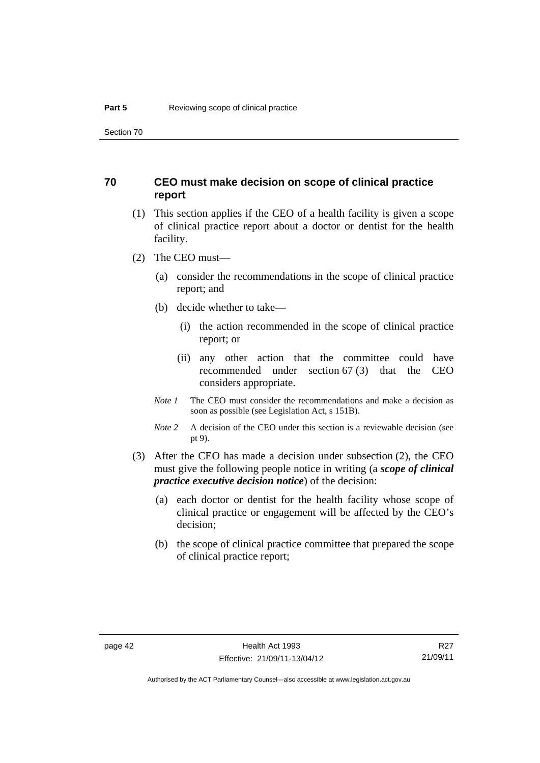# **70 CEO must make decision on scope of clinical practice report**

- (1) This section applies if the CEO of a health facility is given a scope of clinical practice report about a doctor or dentist for the health facility.
- (2) The CEO must—
	- (a) consider the recommendations in the scope of clinical practice report; and
	- (b) decide whether to take—
		- (i) the action recommended in the scope of clinical practice report; or
		- (ii) any other action that the committee could have recommended under section 67 (3) that the CEO considers appropriate.
	- *Note 1* The CEO must consider the recommendations and make a decision as soon as possible (see Legislation Act, s 151B).
	- *Note* 2 A decision of the CEO under this section is a reviewable decision (see pt 9).
- (3) After the CEO has made a decision under subsection (2), the CEO must give the following people notice in writing (a *scope of clinical practice executive decision notice*) of the decision:
	- (a) each doctor or dentist for the health facility whose scope of clinical practice or engagement will be affected by the CEO's decision;
	- (b) the scope of clinical practice committee that prepared the scope of clinical practice report;

R27 21/09/11

Authorised by the ACT Parliamentary Counsel—also accessible at www.legislation.act.gov.au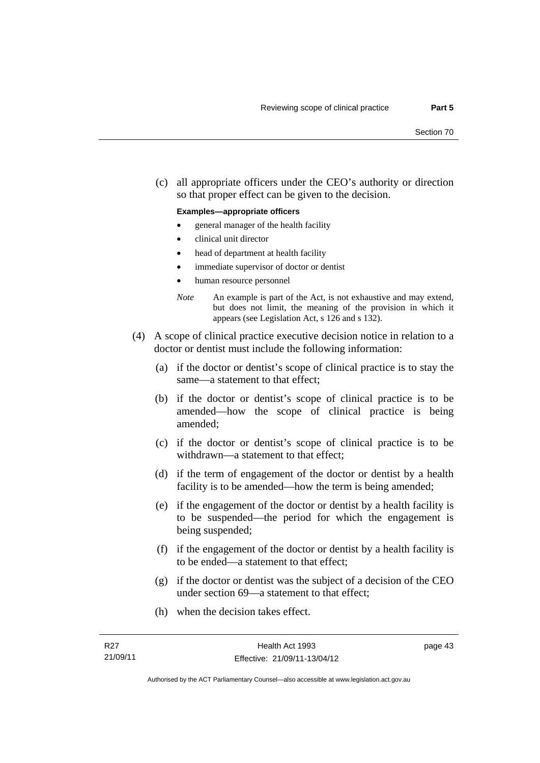(c) all appropriate officers under the CEO's authority or direction so that proper effect can be given to the decision.

## **Examples—appropriate officers**

- general manager of the health facility
- clinical unit director
- head of department at health facility
- immediate supervisor of doctor or dentist
- human resource personnel
- *Note* An example is part of the Act, is not exhaustive and may extend, but does not limit, the meaning of the provision in which it appears (see Legislation Act, s 126 and s 132).
- (4) A scope of clinical practice executive decision notice in relation to a doctor or dentist must include the following information:
	- (a) if the doctor or dentist's scope of clinical practice is to stay the same—a statement to that effect;
	- (b) if the doctor or dentist's scope of clinical practice is to be amended—how the scope of clinical practice is being amended;
	- (c) if the doctor or dentist's scope of clinical practice is to be withdrawn—a statement to that effect;
	- (d) if the term of engagement of the doctor or dentist by a health facility is to be amended—how the term is being amended;
	- (e) if the engagement of the doctor or dentist by a health facility is to be suspended—the period for which the engagement is being suspended;
	- (f) if the engagement of the doctor or dentist by a health facility is to be ended—a statement to that effect;
	- (g) if the doctor or dentist was the subject of a decision of the CEO under section 69—a statement to that effect;
	- (h) when the decision takes effect.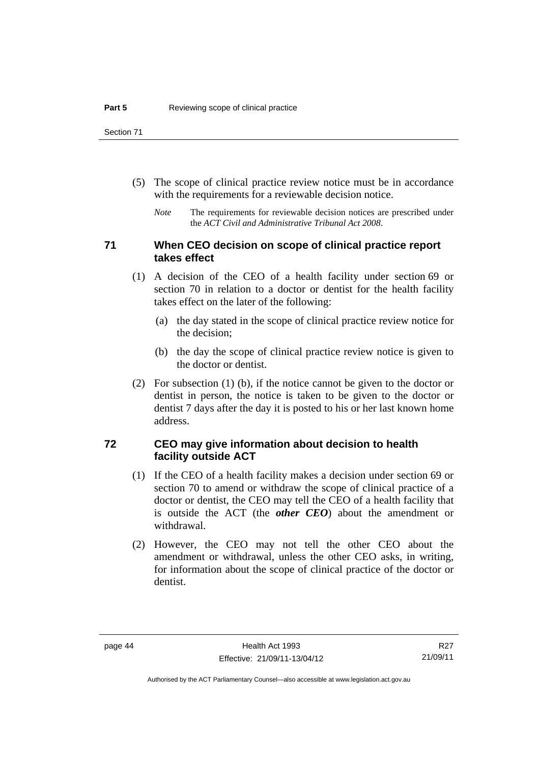- (5) The scope of clinical practice review notice must be in accordance with the requirements for a reviewable decision notice.
	- *Note* The requirements for reviewable decision notices are prescribed under the *ACT Civil and Administrative Tribunal Act 2008*.

# **71 When CEO decision on scope of clinical practice report takes effect**

- (1) A decision of the CEO of a health facility under section 69 or section 70 in relation to a doctor or dentist for the health facility takes effect on the later of the following:
	- (a) the day stated in the scope of clinical practice review notice for the decision;
	- (b) the day the scope of clinical practice review notice is given to the doctor or dentist.
- (2) For subsection (1) (b), if the notice cannot be given to the doctor or dentist in person, the notice is taken to be given to the doctor or dentist 7 days after the day it is posted to his or her last known home address.

# **72 CEO may give information about decision to health facility outside ACT**

- (1) If the CEO of a health facility makes a decision under section 69 or section 70 to amend or withdraw the scope of clinical practice of a doctor or dentist, the CEO may tell the CEO of a health facility that is outside the ACT (the *other CEO*) about the amendment or withdrawal.
- (2) However, the CEO may not tell the other CEO about the amendment or withdrawal, unless the other CEO asks, in writing, for information about the scope of clinical practice of the doctor or dentist.

Authorised by the ACT Parliamentary Counsel—also accessible at www.legislation.act.gov.au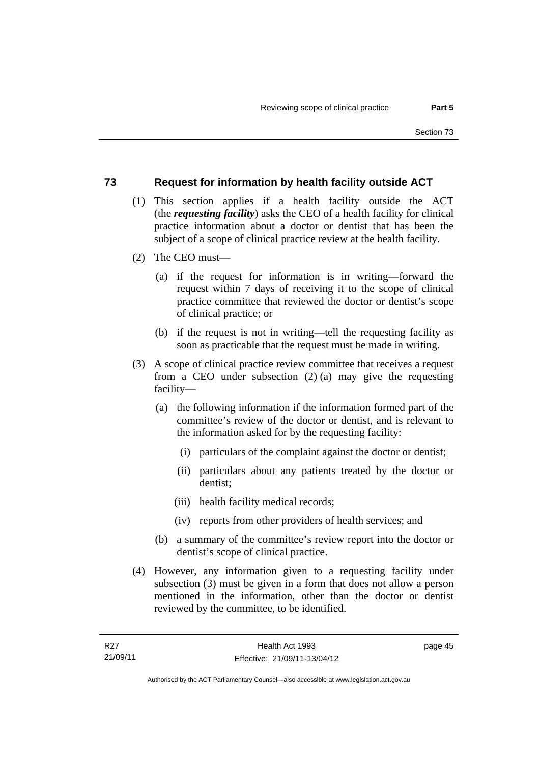# **73 Request for information by health facility outside ACT**

- (1) This section applies if a health facility outside the ACT (the *requesting facility*) asks the CEO of a health facility for clinical practice information about a doctor or dentist that has been the subject of a scope of clinical practice review at the health facility.
- (2) The CEO must—
	- (a) if the request for information is in writing—forward the request within 7 days of receiving it to the scope of clinical practice committee that reviewed the doctor or dentist's scope of clinical practice; or
	- (b) if the request is not in writing—tell the requesting facility as soon as practicable that the request must be made in writing.
- (3) A scope of clinical practice review committee that receives a request from a CEO under subsection (2) (a) may give the requesting facility—
	- (a) the following information if the information formed part of the committee's review of the doctor or dentist, and is relevant to the information asked for by the requesting facility:
		- (i) particulars of the complaint against the doctor or dentist;
		- (ii) particulars about any patients treated by the doctor or dentist;
		- (iii) health facility medical records;
		- (iv) reports from other providers of health services; and
	- (b) a summary of the committee's review report into the doctor or dentist's scope of clinical practice.
- (4) However, any information given to a requesting facility under subsection (3) must be given in a form that does not allow a person mentioned in the information, other than the doctor or dentist reviewed by the committee, to be identified.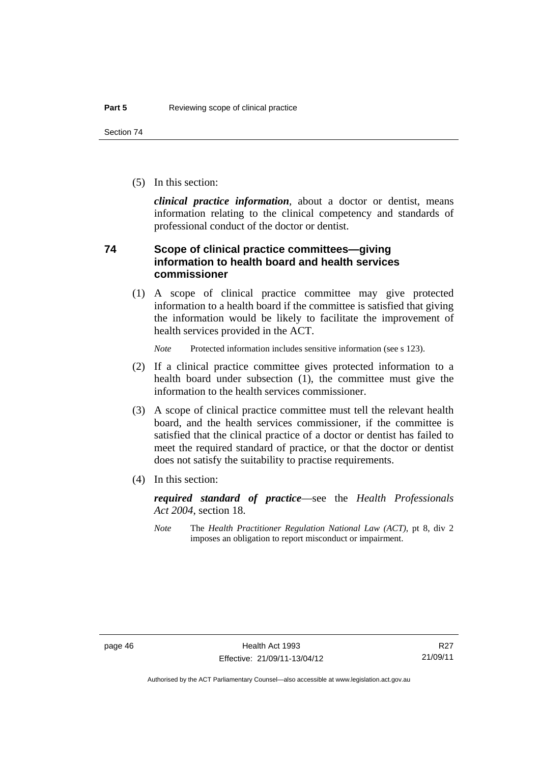(5) In this section:

*clinical practice information*, about a doctor or dentist, means information relating to the clinical competency and standards of professional conduct of the doctor or dentist.

# **74 Scope of clinical practice committees—giving information to health board and health services commissioner**

(1) A scope of clinical practice committee may give protected information to a health board if the committee is satisfied that giving the information would be likely to facilitate the improvement of health services provided in the ACT.

*Note* Protected information includes sensitive information (see s 123).

- (2) If a clinical practice committee gives protected information to a health board under subsection (1), the committee must give the information to the health services commissioner.
- (3) A scope of clinical practice committee must tell the relevant health board, and the health services commissioner, if the committee is satisfied that the clinical practice of a doctor or dentist has failed to meet the required standard of practice, or that the doctor or dentist does not satisfy the suitability to practise requirements.
- (4) In this section:

*required standard of practice*—see the *Health Professionals Act 2004*, section 18.

*Note* The *Health Practitioner Regulation National Law (ACT)*, pt 8, div 2 imposes an obligation to report misconduct or impairment.

Authorised by the ACT Parliamentary Counsel—also accessible at www.legislation.act.gov.au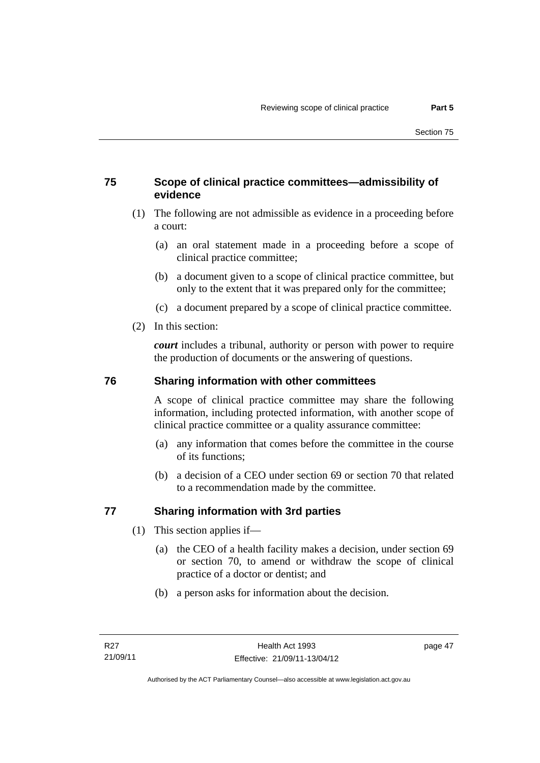# **75 Scope of clinical practice committees—admissibility of evidence**

- (1) The following are not admissible as evidence in a proceeding before a court:
	- (a) an oral statement made in a proceeding before a scope of clinical practice committee;
	- (b) a document given to a scope of clinical practice committee, but only to the extent that it was prepared only for the committee;
	- (c) a document prepared by a scope of clinical practice committee.
- (2) In this section:

*court* includes a tribunal, authority or person with power to require the production of documents or the answering of questions.

# **76 Sharing information with other committees**

A scope of clinical practice committee may share the following information, including protected information, with another scope of clinical practice committee or a quality assurance committee:

- (a) any information that comes before the committee in the course of its functions;
- (b) a decision of a CEO under section 69 or section 70 that related to a recommendation made by the committee.

# **77 Sharing information with 3rd parties**

- (1) This section applies if—
	- (a) the CEO of a health facility makes a decision, under section 69 or section 70, to amend or withdraw the scope of clinical practice of a doctor or dentist; and
	- (b) a person asks for information about the decision.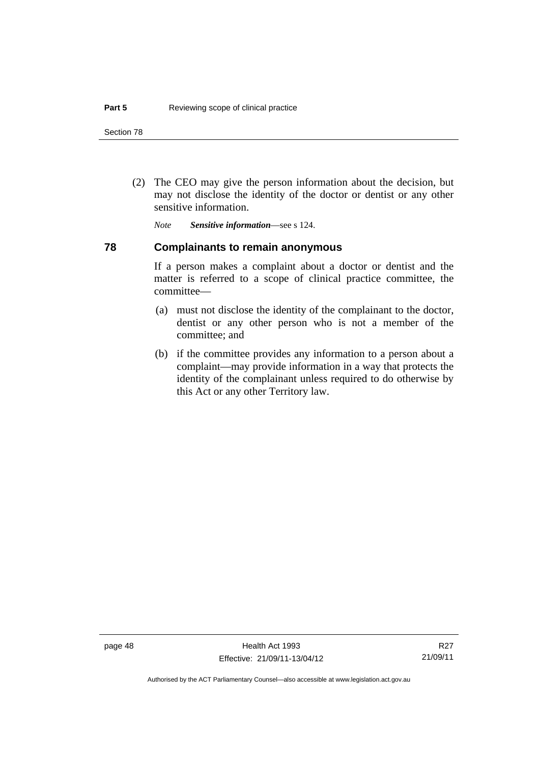(2) The CEO may give the person information about the decision, but may not disclose the identity of the doctor or dentist or any other sensitive information.

*Note Sensitive information*—see s 124.

# **78 Complainants to remain anonymous**

If a person makes a complaint about a doctor or dentist and the matter is referred to a scope of clinical practice committee, the committee—

- (a) must not disclose the identity of the complainant to the doctor, dentist or any other person who is not a member of the committee; and
- (b) if the committee provides any information to a person about a complaint—may provide information in a way that protects the identity of the complainant unless required to do otherwise by this Act or any other Territory law.

Authorised by the ACT Parliamentary Counsel—also accessible at www.legislation.act.gov.au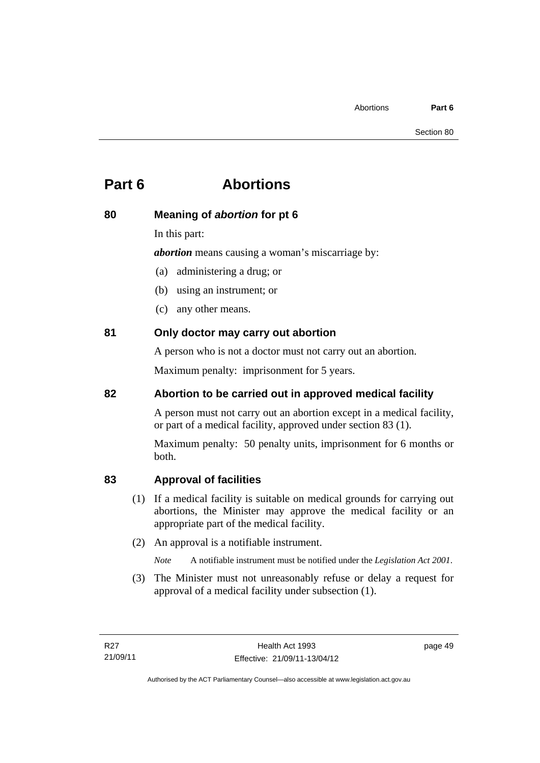# **Part 6 Abortions**

# **80 Meaning of** *abortion* **for pt 6**

In this part:

*abortion* means causing a woman's miscarriage by:

(a) administering a drug; or

- (b) using an instrument; or
- (c) any other means.

# **81 Only doctor may carry out abortion**

A person who is not a doctor must not carry out an abortion.

Maximum penalty: imprisonment for 5 years.

# **82 Abortion to be carried out in approved medical facility**

A person must not carry out an abortion except in a medical facility, or part of a medical facility, approved under section 83 (1).

Maximum penalty: 50 penalty units, imprisonment for 6 months or both.

# **83 Approval of facilities**

- (1) If a medical facility is suitable on medical grounds for carrying out abortions, the Minister may approve the medical facility or an appropriate part of the medical facility.
- (2) An approval is a notifiable instrument.

*Note* A notifiable instrument must be notified under the *Legislation Act 2001*.

 (3) The Minister must not unreasonably refuse or delay a request for approval of a medical facility under subsection (1).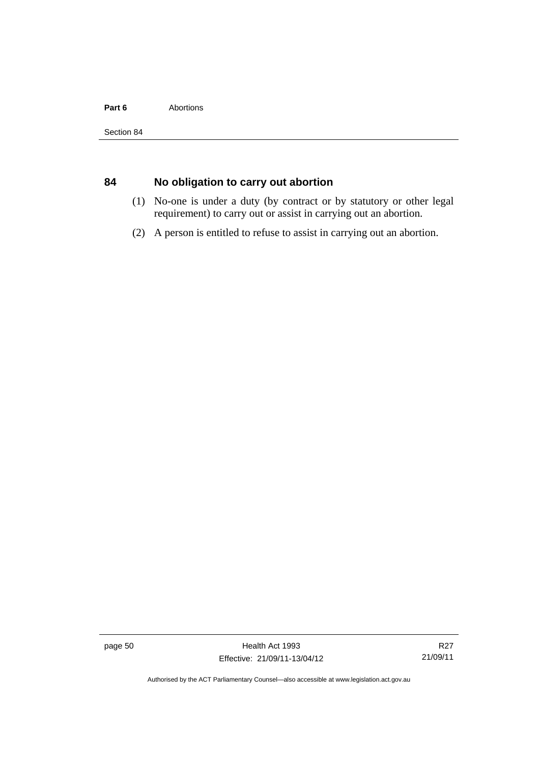## Part 6 **Abortions**

# **84 No obligation to carry out abortion**

- (1) No-one is under a duty (by contract or by statutory or other legal requirement) to carry out or assist in carrying out an abortion.
- (2) A person is entitled to refuse to assist in carrying out an abortion.

page 50 Health Act 1993 Effective: 21/09/11-13/04/12

R27 21/09/11

Authorised by the ACT Parliamentary Counsel—also accessible at www.legislation.act.gov.au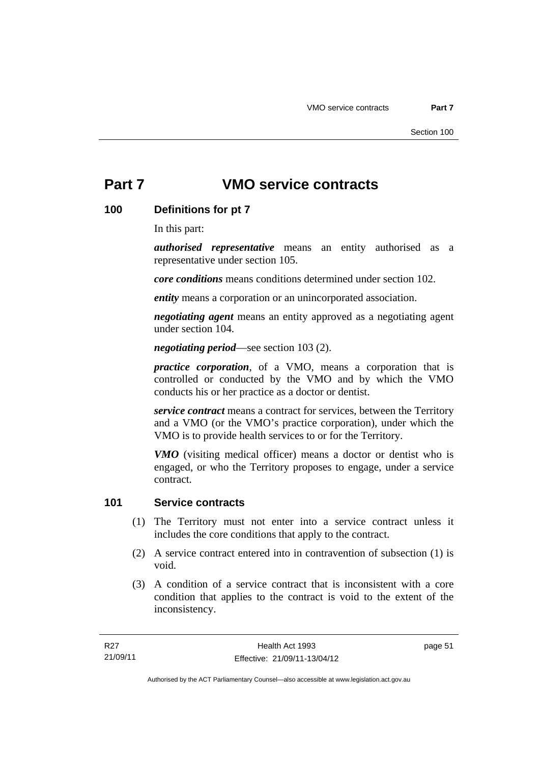# **Part 7 VMO service contracts**

# **100 Definitions for pt 7**

In this part:

*authorised representative* means an entity authorised as a representative under section 105.

*core conditions* means conditions determined under section 102.

*entity* means a corporation or an unincorporated association.

*negotiating agent* means an entity approved as a negotiating agent under section 104.

*negotiating period*—see section 103 (2).

*practice corporation*, of a VMO, means a corporation that is controlled or conducted by the VMO and by which the VMO conducts his or her practice as a doctor or dentist.

*service contract* means a contract for services, between the Territory and a VMO (or the VMO's practice corporation), under which the VMO is to provide health services to or for the Territory.

*VMO* (visiting medical officer) means a doctor or dentist who is engaged, or who the Territory proposes to engage, under a service contract.

# **101 Service contracts**

- (1) The Territory must not enter into a service contract unless it includes the core conditions that apply to the contract.
- (2) A service contract entered into in contravention of subsection (1) is void.
- (3) A condition of a service contract that is inconsistent with a core condition that applies to the contract is void to the extent of the inconsistency.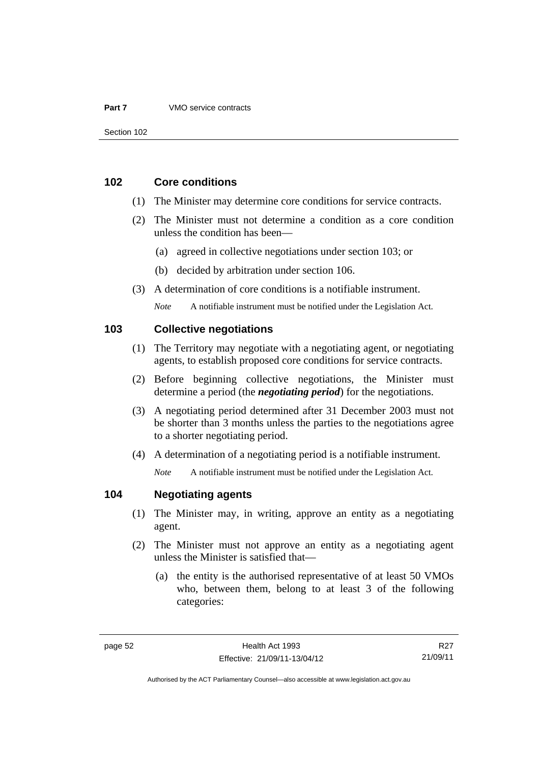### **Part 7** VMO service contracts

# **102 Core conditions**

- (1) The Minister may determine core conditions for service contracts.
- (2) The Minister must not determine a condition as a core condition unless the condition has been—
	- (a) agreed in collective negotiations under section 103; or
	- (b) decided by arbitration under section 106.
- (3) A determination of core conditions is a notifiable instrument.

*Note* A notifiable instrument must be notified under the Legislation Act.

# **103 Collective negotiations**

- (1) The Territory may negotiate with a negotiating agent, or negotiating agents, to establish proposed core conditions for service contracts.
- (2) Before beginning collective negotiations, the Minister must determine a period (the *negotiating period*) for the negotiations.
- (3) A negotiating period determined after 31 December 2003 must not be shorter than 3 months unless the parties to the negotiations agree to a shorter negotiating period.
- (4) A determination of a negotiating period is a notifiable instrument.

*Note* A notifiable instrument must be notified under the Legislation Act.

## **104 Negotiating agents**

- (1) The Minister may, in writing, approve an entity as a negotiating agent.
- (2) The Minister must not approve an entity as a negotiating agent unless the Minister is satisfied that—
	- (a) the entity is the authorised representative of at least 50 VMOs who, between them, belong to at least 3 of the following categories:

R27 21/09/11

Authorised by the ACT Parliamentary Counsel—also accessible at www.legislation.act.gov.au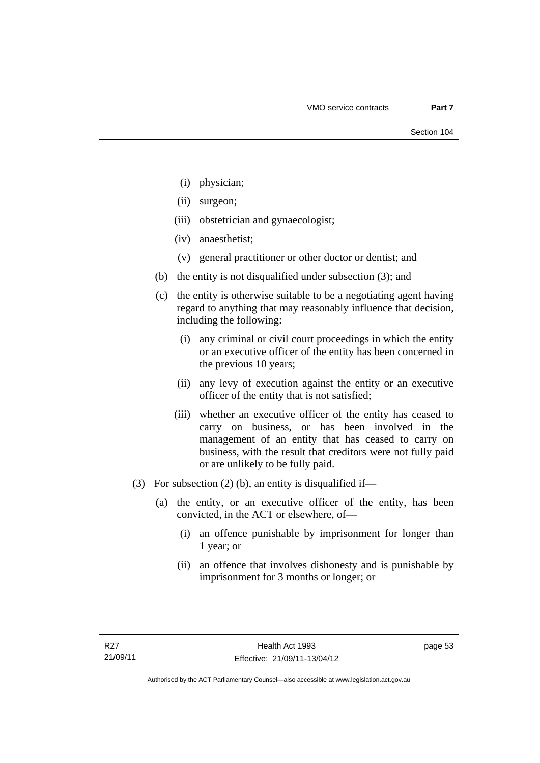- (i) physician;
- (ii) surgeon;
- (iii) obstetrician and gynaecologist;
- (iv) anaesthetist;
- (v) general practitioner or other doctor or dentist; and
- (b) the entity is not disqualified under subsection (3); and
- (c) the entity is otherwise suitable to be a negotiating agent having regard to anything that may reasonably influence that decision, including the following:
	- (i) any criminal or civil court proceedings in which the entity or an executive officer of the entity has been concerned in the previous 10 years;
	- (ii) any levy of execution against the entity or an executive officer of the entity that is not satisfied;
	- (iii) whether an executive officer of the entity has ceased to carry on business, or has been involved in the management of an entity that has ceased to carry on business, with the result that creditors were not fully paid or are unlikely to be fully paid.
- (3) For subsection (2) (b), an entity is disqualified if—
	- (a) the entity, or an executive officer of the entity, has been convicted, in the ACT or elsewhere, of—
		- (i) an offence punishable by imprisonment for longer than 1 year; or
		- (ii) an offence that involves dishonesty and is punishable by imprisonment for 3 months or longer; or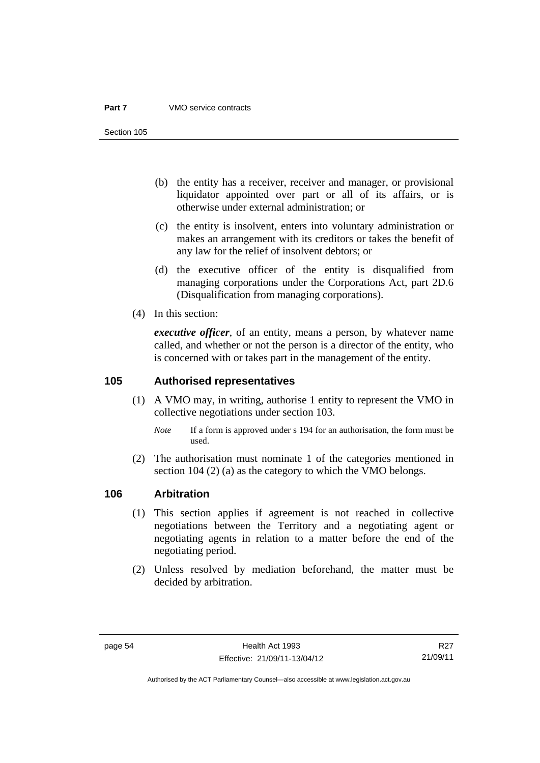### **Part 7** VMO service contracts

Section 105

- (b) the entity has a receiver, receiver and manager, or provisional liquidator appointed over part or all of its affairs, or is otherwise under external administration; or
- (c) the entity is insolvent, enters into voluntary administration or makes an arrangement with its creditors or takes the benefit of any law for the relief of insolvent debtors; or
- (d) the executive officer of the entity is disqualified from managing corporations under the Corporations Act, part 2D.6 (Disqualification from managing corporations).
- (4) In this section:

*executive officer*, of an entity, means a person, by whatever name called, and whether or not the person is a director of the entity, who is concerned with or takes part in the management of the entity.

# **105 Authorised representatives**

- (1) A VMO may, in writing, authorise 1 entity to represent the VMO in collective negotiations under section 103.
	- *Note* If a form is approved under s 194 for an authorisation, the form must be used.
- (2) The authorisation must nominate 1 of the categories mentioned in section 104 (2) (a) as the category to which the VMO belongs.

## **106 Arbitration**

- (1) This section applies if agreement is not reached in collective negotiations between the Territory and a negotiating agent or negotiating agents in relation to a matter before the end of the negotiating period.
- (2) Unless resolved by mediation beforehand, the matter must be decided by arbitration.

R27 21/09/11

Authorised by the ACT Parliamentary Counsel—also accessible at www.legislation.act.gov.au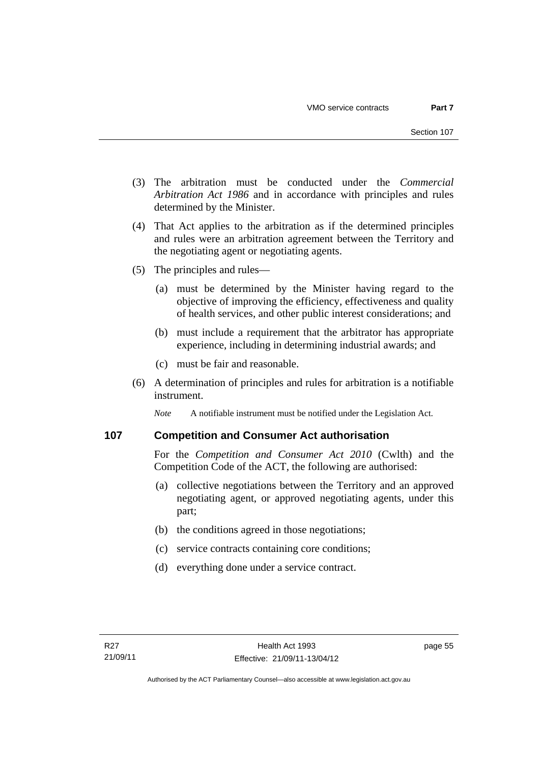- (3) The arbitration must be conducted under the *Commercial Arbitration Act 1986* and in accordance with principles and rules determined by the Minister.
- (4) That Act applies to the arbitration as if the determined principles and rules were an arbitration agreement between the Territory and the negotiating agent or negotiating agents.
- (5) The principles and rules—
	- (a) must be determined by the Minister having regard to the objective of improving the efficiency, effectiveness and quality of health services, and other public interest considerations; and
	- (b) must include a requirement that the arbitrator has appropriate experience, including in determining industrial awards; and
	- (c) must be fair and reasonable.
- (6) A determination of principles and rules for arbitration is a notifiable instrument.

*Note* A notifiable instrument must be notified under the Legislation Act.

## **107 Competition and Consumer Act authorisation**

For the *Competition and Consumer Act 2010* (Cwlth) and the Competition Code of the ACT, the following are authorised:

- (a) collective negotiations between the Territory and an approved negotiating agent, or approved negotiating agents, under this part;
- (b) the conditions agreed in those negotiations;
- (c) service contracts containing core conditions;
- (d) everything done under a service contract.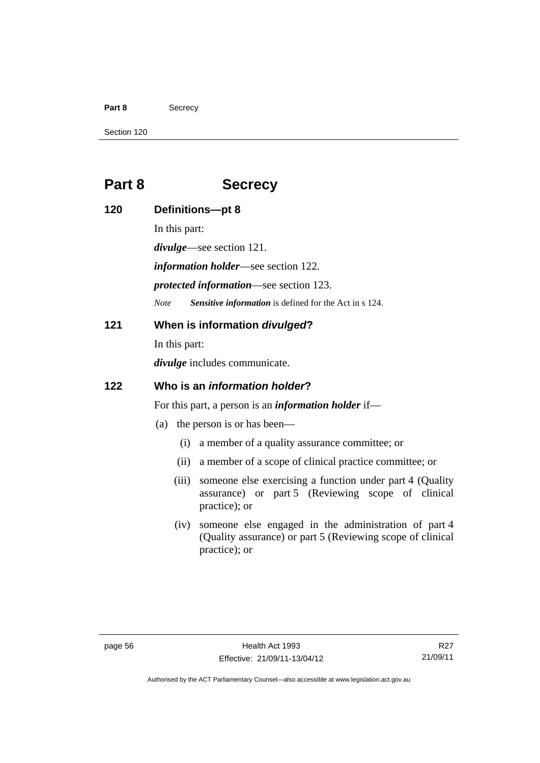### Part 8 **Secrecy**

Section 120

# **Part 8 Secrecy**

**120 Definitions—pt 8**  In this part: *divulge*—see section 121. *information holder*—see section 122. *protected information*—see section 123. *Note Sensitive information* is defined for the Act in s 124. **121 When is information** *divulged***?**  In this part: *divulge* includes communicate. **122 Who is an** *information holder***?**  For this part, a person is an *information holder* if— (a) the person is or has been— (i) a member of a quality assurance committee; or (ii) a member of a scope of clinical practice committee; or (iii) someone else exercising a function under part 4 (Quality assurance) or part 5 (Reviewing scope of clinical practice); or (iv) someone else engaged in the administration of part 4

(Quality assurance) or part 5 (Reviewing scope of clinical practice); or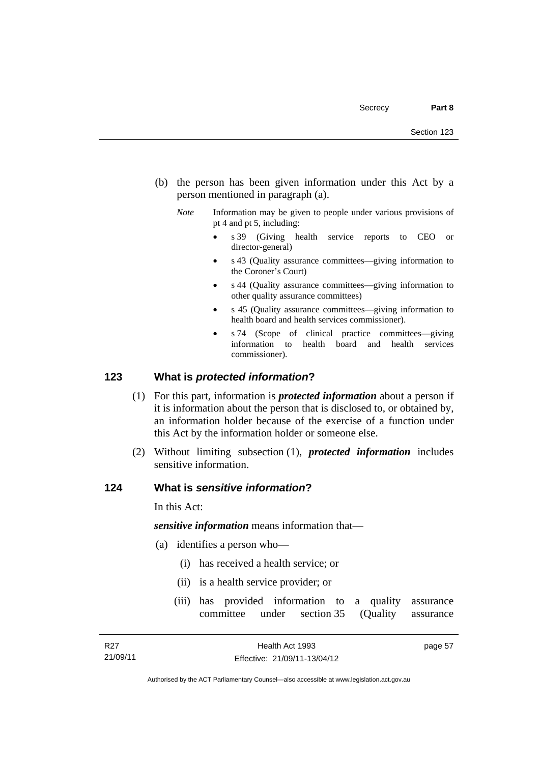- (b) the person has been given information under this Act by a person mentioned in paragraph (a).
	- *Note* Information may be given to people under various provisions of pt 4 and pt 5, including:
		- s 39 (Giving health service reports to CEO or director-general)
		- s 43 (Quality assurance committees—giving information to the Coroner's Court)
		- s 44 (Quality assurance committees—giving information to other quality assurance committees)
		- s 45 (Quality assurance committees—giving information to health board and health services commissioner).
		- s 74 (Scope of clinical practice committees—giving information to health board and health services commissioner).

# **123 What is** *protected information***?**

- (1) For this part, information is *protected information* about a person if it is information about the person that is disclosed to, or obtained by, an information holder because of the exercise of a function under this Act by the information holder or someone else.
- (2) Without limiting subsection (1), *protected information* includes sensitive information.

# **124 What is** *sensitive information***?**

In this Act:

*sensitive information* means information that—

- (a) identifies a person who—
	- (i) has received a health service; or
	- (ii) is a health service provider; or
	- (iii) has provided information to a quality assurance committee under section 35 (Quality assurance

Authorised by the ACT Parliamentary Counsel—also accessible at www.legislation.act.gov.au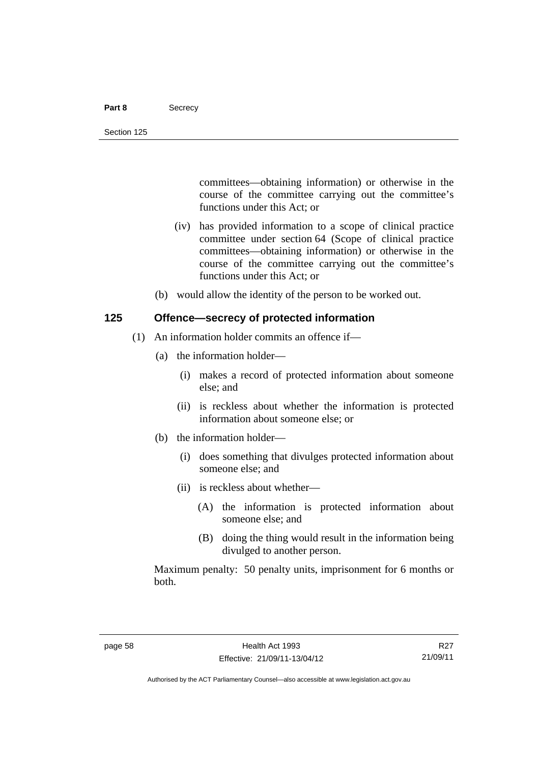### Part 8 **Secrecy**

committees—obtaining information) or otherwise in the course of the committee carrying out the committee's functions under this Act; or

- (iv) has provided information to a scope of clinical practice committee under section 64 (Scope of clinical practice committees—obtaining information) or otherwise in the course of the committee carrying out the committee's functions under this Act; or
- (b) would allow the identity of the person to be worked out.

# **125 Offence—secrecy of protected information**

- (1) An information holder commits an offence if—
	- (a) the information holder—
		- (i) makes a record of protected information about someone else; and
		- (ii) is reckless about whether the information is protected information about someone else; or
	- (b) the information holder—
		- (i) does something that divulges protected information about someone else; and
		- (ii) is reckless about whether—
			- (A) the information is protected information about someone else; and
			- (B) doing the thing would result in the information being divulged to another person.

Maximum penalty: 50 penalty units, imprisonment for 6 months or both.

R27 21/09/11

Authorised by the ACT Parliamentary Counsel—also accessible at www.legislation.act.gov.au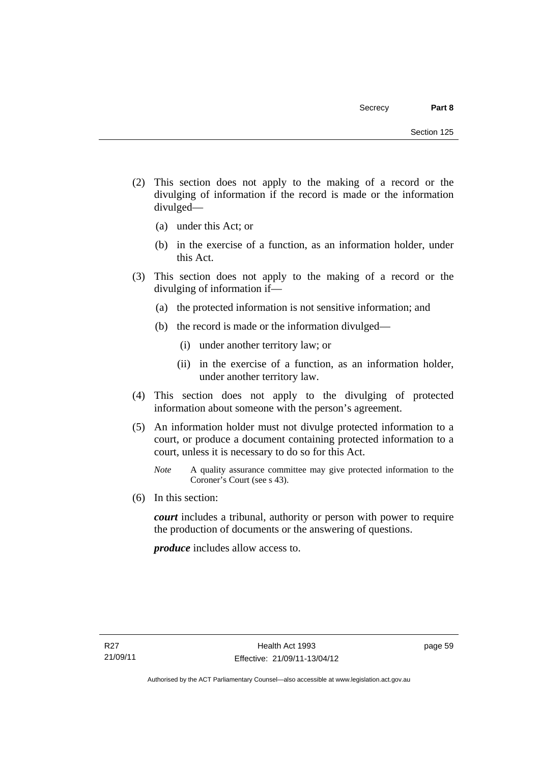- (2) This section does not apply to the making of a record or the divulging of information if the record is made or the information divulged—
	- (a) under this Act; or
	- (b) in the exercise of a function, as an information holder, under this Act.
- (3) This section does not apply to the making of a record or the divulging of information if—
	- (a) the protected information is not sensitive information; and
	- (b) the record is made or the information divulged—
		- (i) under another territory law; or
		- (ii) in the exercise of a function, as an information holder, under another territory law.
- (4) This section does not apply to the divulging of protected information about someone with the person's agreement.
- (5) An information holder must not divulge protected information to a court, or produce a document containing protected information to a court, unless it is necessary to do so for this Act.
	- *Note* A quality assurance committee may give protected information to the Coroner's Court (see s 43).
- (6) In this section:

*court* includes a tribunal, authority or person with power to require the production of documents or the answering of questions.

*produce* includes allow access to.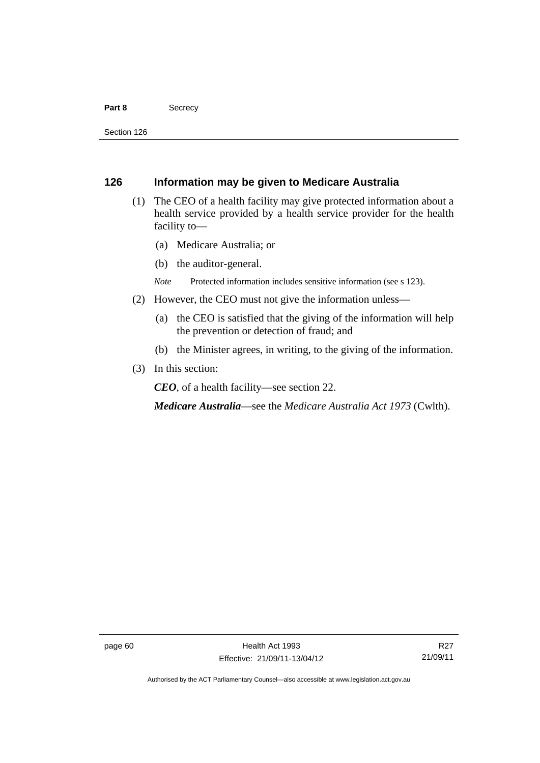#### Part 8 **Secrecy**

Section 126

# **126 Information may be given to Medicare Australia**

- (1) The CEO of a health facility may give protected information about a health service provided by a health service provider for the health facility to—
	- (a) Medicare Australia; or
	- (b) the auditor-general.
	- *Note* Protected information includes sensitive information (see s 123).
- (2) However, the CEO must not give the information unless—
	- (a) the CEO is satisfied that the giving of the information will help the prevention or detection of fraud; and
	- (b) the Minister agrees, in writing, to the giving of the information.
- (3) In this section:

*CEO*, of a health facility—see section 22.

*Medicare Australia*—see the *Medicare Australia Act 1973* (Cwlth).

Authorised by the ACT Parliamentary Counsel—also accessible at www.legislation.act.gov.au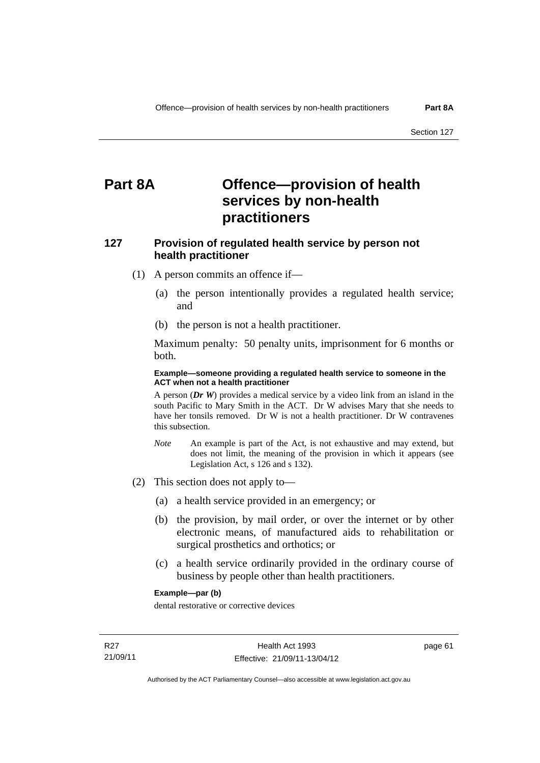# **Part 8A Offence—provision of health services by non-health practitioners**

# **127 Provision of regulated health service by person not health practitioner**

- (1) A person commits an offence if—
	- (a) the person intentionally provides a regulated health service; and
	- (b) the person is not a health practitioner.

Maximum penalty: 50 penalty units, imprisonment for 6 months or both.

## **Example—someone providing a regulated health service to someone in the ACT when not a health practitioner**

A person (*Dr W*) provides a medical service by a video link from an island in the south Pacific to Mary Smith in the ACT. Dr W advises Mary that she needs to have her tonsils removed. Dr W is not a health practitioner. Dr W contravenes this subsection.

- *Note* An example is part of the Act, is not exhaustive and may extend, but does not limit, the meaning of the provision in which it appears (see Legislation Act, s 126 and s 132).
- (2) This section does not apply to—
	- (a) a health service provided in an emergency; or
	- (b) the provision, by mail order, or over the internet or by other electronic means, of manufactured aids to rehabilitation or surgical prosthetics and orthotics; or
	- (c) a health service ordinarily provided in the ordinary course of business by people other than health practitioners.

## **Example—par (b)**

dental restorative or corrective devices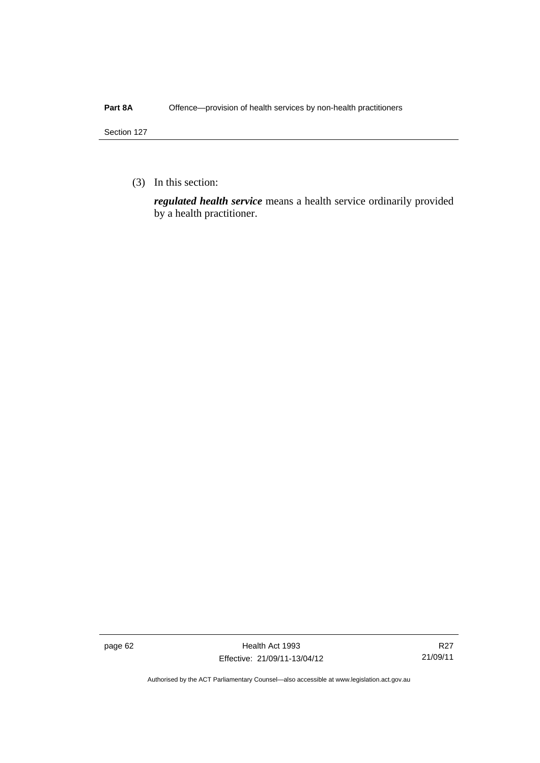## Part 8A Offence—provision of health services by non-health practitioners

Section 127

(3) In this section:

*regulated health service* means a health service ordinarily provided by a health practitioner.

page 62 Health Act 1993 Effective: 21/09/11-13/04/12

R27 21/09/11

Authorised by the ACT Parliamentary Counsel—also accessible at www.legislation.act.gov.au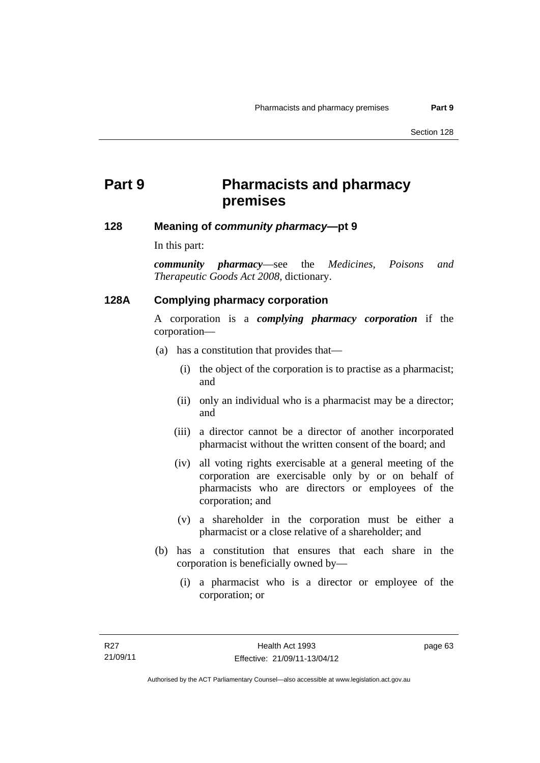# **Part 9 Pharmacists and pharmacy premises**

# **128 Meaning of** *community pharmacy***—pt 9**

In this part:

*community pharmacy*—see the *Medicines, Poisons and Therapeutic Goods Act 2008*, dictionary.

# **128A Complying pharmacy corporation**

A corporation is a *complying pharmacy corporation* if the corporation—

- (a) has a constitution that provides that—
	- (i) the object of the corporation is to practise as a pharmacist; and
	- (ii) only an individual who is a pharmacist may be a director; and
	- (iii) a director cannot be a director of another incorporated pharmacist without the written consent of the board; and
	- (iv) all voting rights exercisable at a general meeting of the corporation are exercisable only by or on behalf of pharmacists who are directors or employees of the corporation; and
	- (v) a shareholder in the corporation must be either a pharmacist or a close relative of a shareholder; and
- (b) has a constitution that ensures that each share in the corporation is beneficially owned by—
	- (i) a pharmacist who is a director or employee of the corporation; or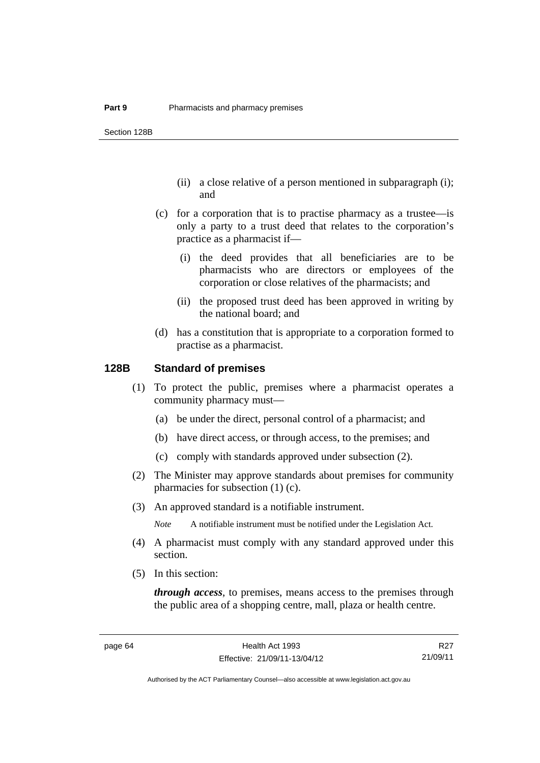- (ii) a close relative of a person mentioned in subparagraph (i); and
- (c) for a corporation that is to practise pharmacy as a trustee—is only a party to a trust deed that relates to the corporation's practice as a pharmacist if—
	- (i) the deed provides that all beneficiaries are to be pharmacists who are directors or employees of the corporation or close relatives of the pharmacists; and
	- (ii) the proposed trust deed has been approved in writing by the national board; and
- (d) has a constitution that is appropriate to a corporation formed to practise as a pharmacist.

# **128B Standard of premises**

- (1) To protect the public, premises where a pharmacist operates a community pharmacy must—
	- (a) be under the direct, personal control of a pharmacist; and
	- (b) have direct access, or through access, to the premises; and
	- (c) comply with standards approved under subsection (2).
- (2) The Minister may approve standards about premises for community pharmacies for subsection (1) (c).
- (3) An approved standard is a notifiable instrument.

*Note* A notifiable instrument must be notified under the Legislation Act.

- (4) A pharmacist must comply with any standard approved under this section.
- (5) In this section:

*through access*, to premises, means access to the premises through the public area of a shopping centre, mall, plaza or health centre.

R27 21/09/11

Authorised by the ACT Parliamentary Counsel—also accessible at www.legislation.act.gov.au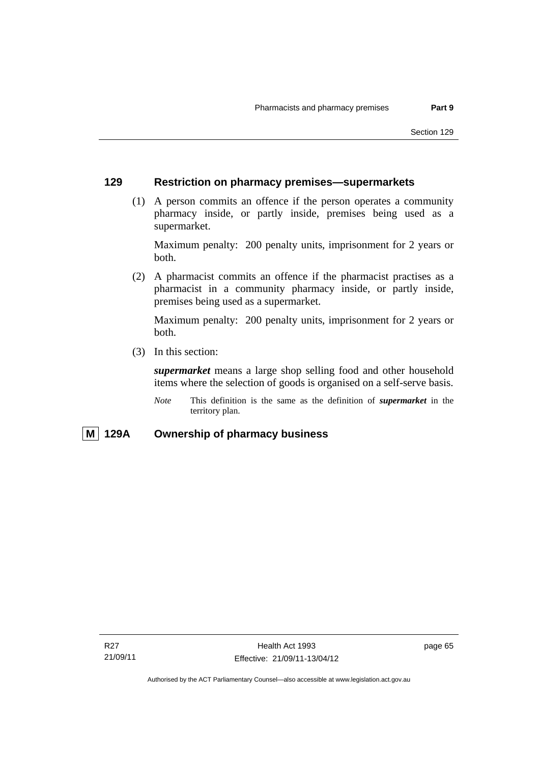### **129 Restriction on pharmacy premises—supermarkets**

 (1) A person commits an offence if the person operates a community pharmacy inside, or partly inside, premises being used as a supermarket.

Maximum penalty: 200 penalty units, imprisonment for 2 years or both.

 (2) A pharmacist commits an offence if the pharmacist practises as a pharmacist in a community pharmacy inside, or partly inside, premises being used as a supermarket.

Maximum penalty: 200 penalty units, imprisonment for 2 years or both.

(3) In this section:

*supermarket* means a large shop selling food and other household items where the selection of goods is organised on a self-serve basis.

*Note* This definition is the same as the definition of *supermarket* in the territory plan.

### **M 129A Ownership of pharmacy business**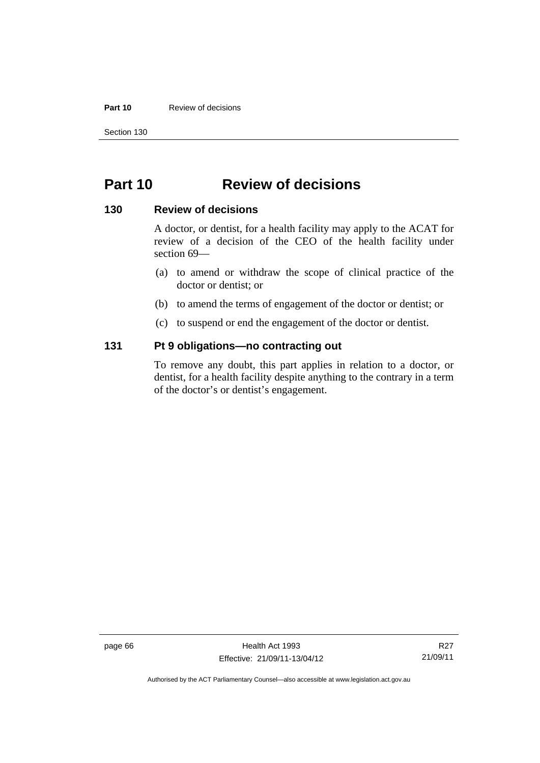### **Part 10** Review of decisions

Section 130

## **Part 10 Review of decisions**

### **130 Review of decisions**

A doctor, or dentist, for a health facility may apply to the ACAT for review of a decision of the CEO of the health facility under section 69—

- (a) to amend or withdraw the scope of clinical practice of the doctor or dentist; or
- (b) to amend the terms of engagement of the doctor or dentist; or
- (c) to suspend or end the engagement of the doctor or dentist.

### **131 Pt 9 obligations—no contracting out**

To remove any doubt, this part applies in relation to a doctor, or dentist, for a health facility despite anything to the contrary in a term of the doctor's or dentist's engagement.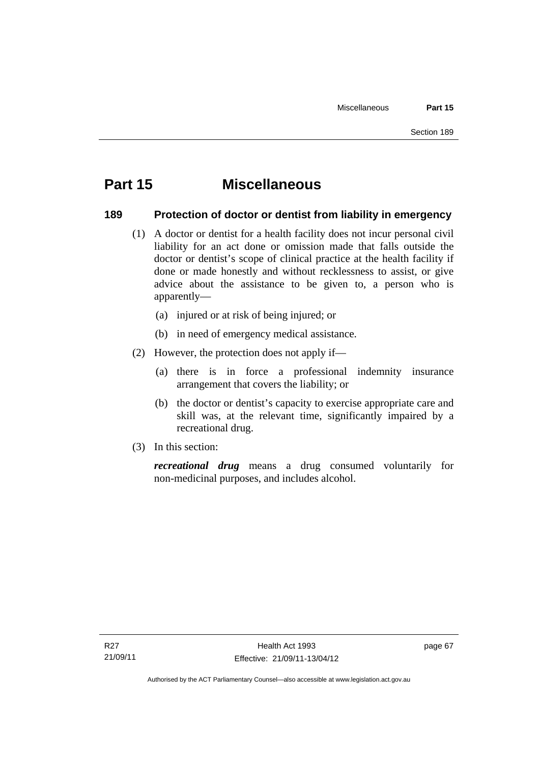# **Part 15 Miscellaneous**

### **189 Protection of doctor or dentist from liability in emergency**

- (1) A doctor or dentist for a health facility does not incur personal civil liability for an act done or omission made that falls outside the doctor or dentist's scope of clinical practice at the health facility if done or made honestly and without recklessness to assist, or give advice about the assistance to be given to, a person who is apparently—
	- (a) injured or at risk of being injured; or
	- (b) in need of emergency medical assistance.
- (2) However, the protection does not apply if—
	- (a) there is in force a professional indemnity insurance arrangement that covers the liability; or
	- (b) the doctor or dentist's capacity to exercise appropriate care and skill was, at the relevant time, significantly impaired by a recreational drug.
- (3) In this section:

*recreational drug* means a drug consumed voluntarily for non-medicinal purposes, and includes alcohol.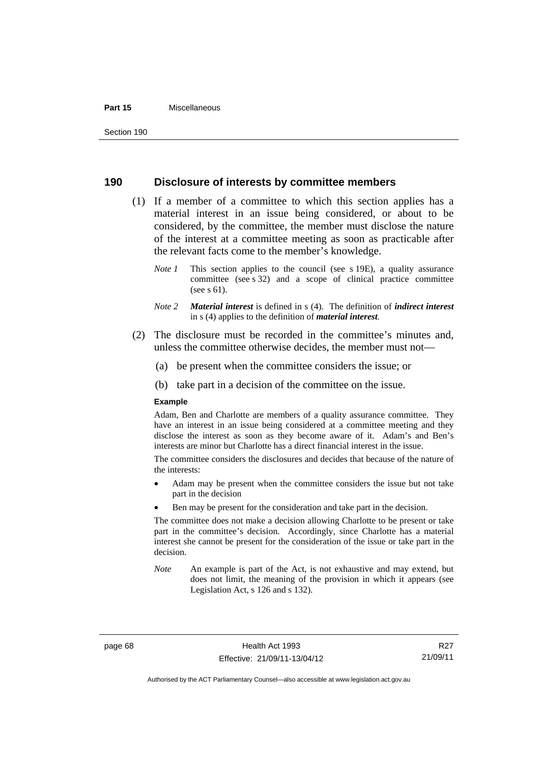#### **Part 15** Miscellaneous

### **190 Disclosure of interests by committee members**

- (1) If a member of a committee to which this section applies has a material interest in an issue being considered, or about to be considered, by the committee, the member must disclose the nature of the interest at a committee meeting as soon as practicable after the relevant facts come to the member's knowledge.
	- *Note 1* This section applies to the council (see s 19E), a quality assurance committee (see s 32) and a scope of clinical practice committee (see s 61).
	- *Note 2 Material interest* is defined in s (4). The definition of *indirect interest* in s (4) applies to the definition of *material interest*.
- (2) The disclosure must be recorded in the committee's minutes and, unless the committee otherwise decides, the member must not—
	- (a) be present when the committee considers the issue; or
	- (b) take part in a decision of the committee on the issue.

#### **Example**

Adam, Ben and Charlotte are members of a quality assurance committee. They have an interest in an issue being considered at a committee meeting and they disclose the interest as soon as they become aware of it. Adam's and Ben's interests are minor but Charlotte has a direct financial interest in the issue.

The committee considers the disclosures and decides that because of the nature of the interests:

- Adam may be present when the committee considers the issue but not take part in the decision
- Ben may be present for the consideration and take part in the decision.

The committee does not make a decision allowing Charlotte to be present or take part in the committee's decision. Accordingly, since Charlotte has a material interest she cannot be present for the consideration of the issue or take part in the decision.

*Note* An example is part of the Act, is not exhaustive and may extend, but does not limit, the meaning of the provision in which it appears (see Legislation Act, s 126 and s 132).

R27 21/09/11

Authorised by the ACT Parliamentary Counsel—also accessible at www.legislation.act.gov.au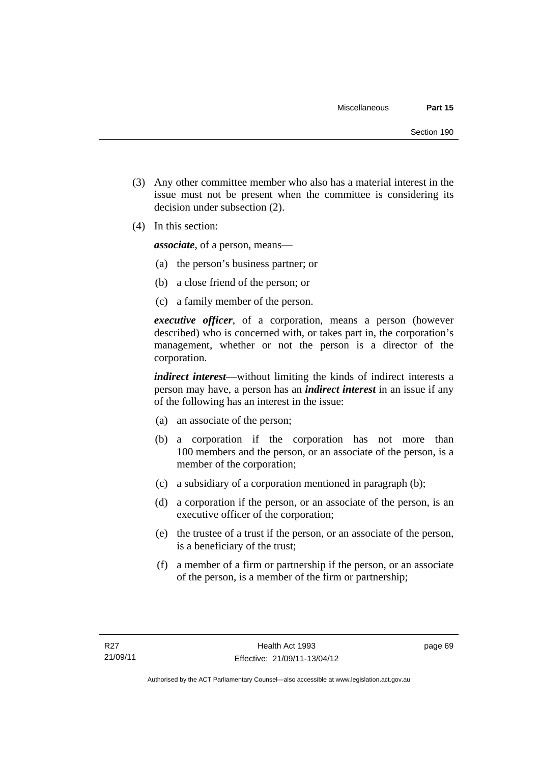- (3) Any other committee member who also has a material interest in the issue must not be present when the committee is considering its decision under subsection (2).
- (4) In this section:

*associate*, of a person, means—

- (a) the person's business partner; or
- (b) a close friend of the person; or
- (c) a family member of the person.

*executive officer*, of a corporation, means a person (however described) who is concerned with, or takes part in, the corporation's management, whether or not the person is a director of the corporation.

*indirect interest*—without limiting the kinds of indirect interests a person may have, a person has an *indirect interest* in an issue if any of the following has an interest in the issue:

- (a) an associate of the person;
- (b) a corporation if the corporation has not more than 100 members and the person, or an associate of the person, is a member of the corporation;
- (c) a subsidiary of a corporation mentioned in paragraph (b);
- (d) a corporation if the person, or an associate of the person, is an executive officer of the corporation;
- (e) the trustee of a trust if the person, or an associate of the person, is a beneficiary of the trust;
- (f) a member of a firm or partnership if the person, or an associate of the person, is a member of the firm or partnership;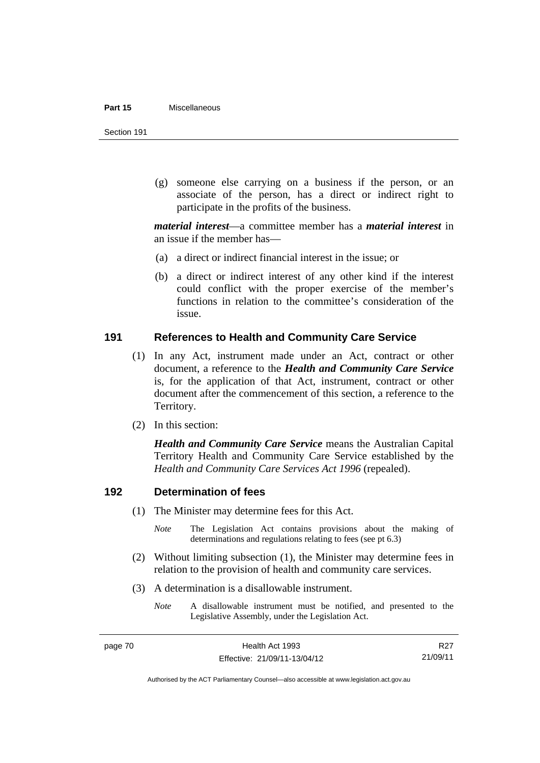#### **Part 15** Miscellaneous

Section 191

 (g) someone else carrying on a business if the person, or an associate of the person, has a direct or indirect right to participate in the profits of the business.

*material interest*—a committee member has a *material interest* in an issue if the member has—

- (a) a direct or indirect financial interest in the issue; or
- (b) a direct or indirect interest of any other kind if the interest could conflict with the proper exercise of the member's functions in relation to the committee's consideration of the issue.

### **191 References to Health and Community Care Service**

- (1) In any Act, instrument made under an Act, contract or other document, a reference to the *Health and Community Care Service* is, for the application of that Act, instrument, contract or other document after the commencement of this section, a reference to the Territory.
- (2) In this section:

*Health and Community Care Service* means the Australian Capital Territory Health and Community Care Service established by the *Health and Community Care Services Act 1996* (repealed).

### **192 Determination of fees**

- (1) The Minister may determine fees for this Act.
	- *Note* The Legislation Act contains provisions about the making of determinations and regulations relating to fees (see pt 6.3)
- (2) Without limiting subsection (1), the Minister may determine fees in relation to the provision of health and community care services.
- (3) A determination is a disallowable instrument.
	- *Note* A disallowable instrument must be notified, and presented to the Legislative Assembly, under the Legislation Act.

R27 21/09/11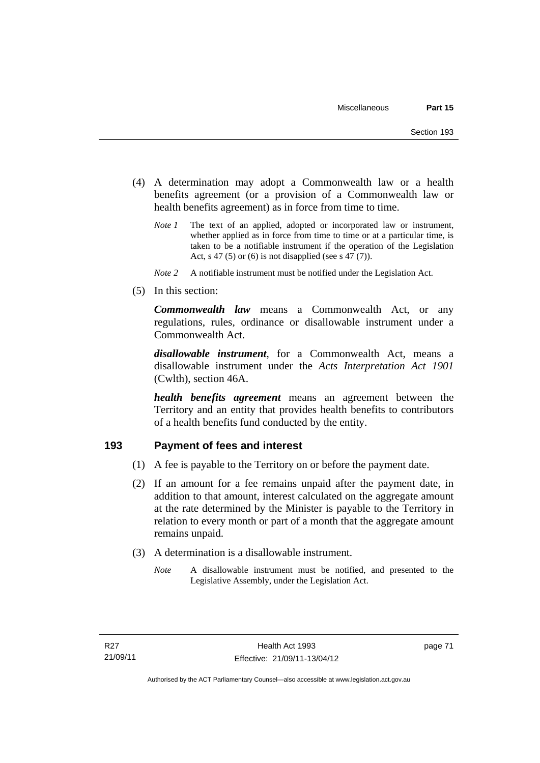- (4) A determination may adopt a Commonwealth law or a health benefits agreement (or a provision of a Commonwealth law or health benefits agreement) as in force from time to time.
	- *Note 1* The text of an applied, adopted or incorporated law or instrument, whether applied as in force from time to time or at a particular time, is taken to be a notifiable instrument if the operation of the Legislation Act, s 47 (5) or (6) is not disapplied (see s 47 (7)).
	- *Note 2* A notifiable instrument must be notified under the Legislation Act.
- (5) In this section:

*Commonwealth law* means a Commonwealth Act, or any regulations, rules, ordinance or disallowable instrument under a Commonwealth Act.

*disallowable instrument*, for a Commonwealth Act, means a disallowable instrument under the *Acts Interpretation Act 1901* (Cwlth), section 46A.

*health benefits agreement* means an agreement between the Territory and an entity that provides health benefits to contributors of a health benefits fund conducted by the entity.

### **193 Payment of fees and interest**

- (1) A fee is payable to the Territory on or before the payment date.
- (2) If an amount for a fee remains unpaid after the payment date, in addition to that amount, interest calculated on the aggregate amount at the rate determined by the Minister is payable to the Territory in relation to every month or part of a month that the aggregate amount remains unpaid.
- (3) A determination is a disallowable instrument.
	- *Note* A disallowable instrument must be notified, and presented to the Legislative Assembly, under the Legislation Act.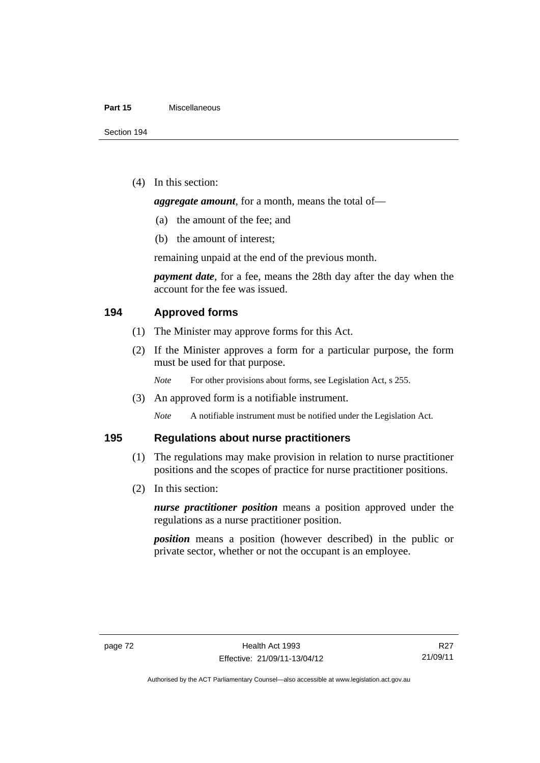#### **Part 15** Miscellaneous

(4) In this section:

*aggregate amount*, for a month, means the total of—

- (a) the amount of the fee; and
- (b) the amount of interest;

remaining unpaid at the end of the previous month.

*payment date*, for a fee, means the 28th day after the day when the account for the fee was issued.

### **194 Approved forms**

- (1) The Minister may approve forms for this Act.
- (2) If the Minister approves a form for a particular purpose, the form must be used for that purpose.

*Note* For other provisions about forms, see Legislation Act, s 255.

(3) An approved form is a notifiable instrument.

*Note* A notifiable instrument must be notified under the Legislation Act.

### **195 Regulations about nurse practitioners**

- (1) The regulations may make provision in relation to nurse practitioner positions and the scopes of practice for nurse practitioner positions.
- (2) In this section:

*nurse practitioner position* means a position approved under the regulations as a nurse practitioner position.

*position* means a position (however described) in the public or private sector, whether or not the occupant is an employee.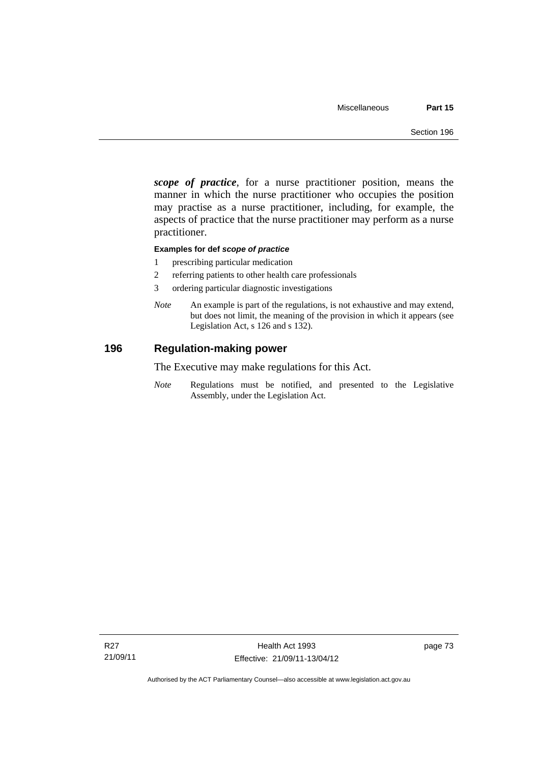*scope of practice*, for a nurse practitioner position, means the manner in which the nurse practitioner who occupies the position may practise as a nurse practitioner, including, for example, the aspects of practice that the nurse practitioner may perform as a nurse practitioner.

#### **Examples for def** *scope of practice*

- 1 prescribing particular medication
- 2 referring patients to other health care professionals
- 3 ordering particular diagnostic investigations
- *Note* An example is part of the regulations, is not exhaustive and may extend, but does not limit, the meaning of the provision in which it appears (see Legislation Act, s 126 and s 132).

### **196 Regulation-making power**

The Executive may make regulations for this Act.

*Note* Regulations must be notified, and presented to the Legislative Assembly, under the Legislation Act.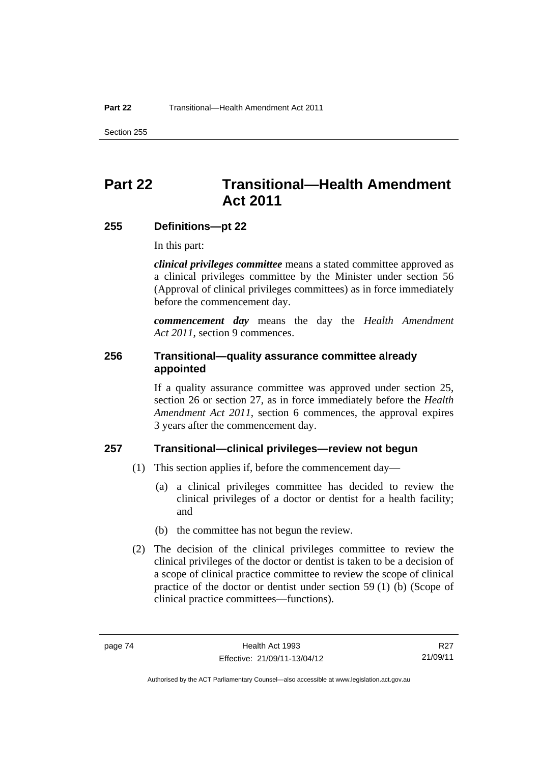Section 255

# **Part 22 Transitional—Health Amendment Act 2011**

### **255 Definitions—pt 22**

In this part:

*clinical privileges committee* means a stated committee approved as a clinical privileges committee by the Minister under section 56 (Approval of clinical privileges committees) as in force immediately before the commencement day.

*commencement day* means the day the *Health Amendment Act 2011*, section 9 commences.

### **256 Transitional—quality assurance committee already appointed**

If a quality assurance committee was approved under section 25, section 26 or section 27, as in force immediately before the *Health Amendment Act 2011*, section 6 commences, the approval expires 3 years after the commencement day.

### **257 Transitional—clinical privileges—review not begun**

- (1) This section applies if, before the commencement day—
	- (a) a clinical privileges committee has decided to review the clinical privileges of a doctor or dentist for a health facility; and
	- (b) the committee has not begun the review.
- (2) The decision of the clinical privileges committee to review the clinical privileges of the doctor or dentist is taken to be a decision of a scope of clinical practice committee to review the scope of clinical practice of the doctor or dentist under section 59 (1) (b) (Scope of clinical practice committees—functions).

R27 21/09/11

Authorised by the ACT Parliamentary Counsel—also accessible at www.legislation.act.gov.au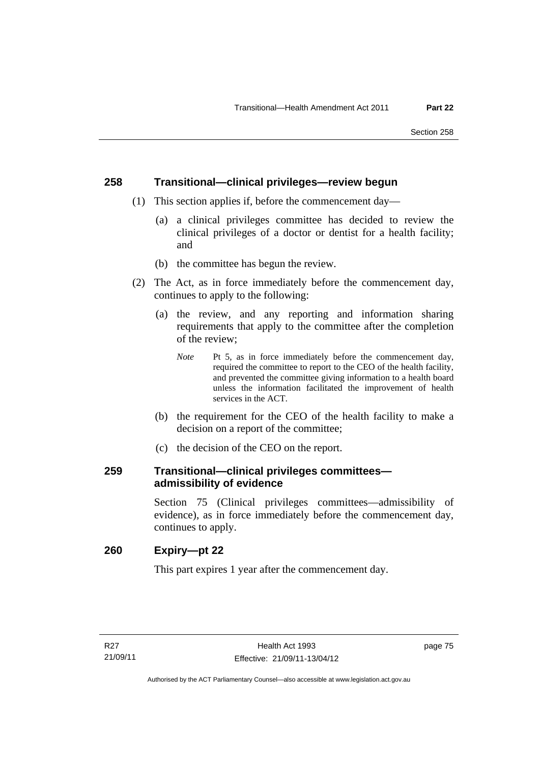### **258 Transitional—clinical privileges—review begun**

- (1) This section applies if, before the commencement day—
	- (a) a clinical privileges committee has decided to review the clinical privileges of a doctor or dentist for a health facility; and
	- (b) the committee has begun the review.
- (2) The Act, as in force immediately before the commencement day, continues to apply to the following:
	- (a) the review, and any reporting and information sharing requirements that apply to the committee after the completion of the review;
		- *Note* Pt 5, as in force immediately before the commencement day, required the committee to report to the CEO of the health facility, and prevented the committee giving information to a health board unless the information facilitated the improvement of health services in the ACT.
	- (b) the requirement for the CEO of the health facility to make a decision on a report of the committee;
	- (c) the decision of the CEO on the report.

### **259 Transitional—clinical privileges committees admissibility of evidence**

Section 75 (Clinical privileges committees—admissibility of evidence), as in force immediately before the commencement day, continues to apply.

### **260 Expiry—pt 22**

This part expires 1 year after the commencement day.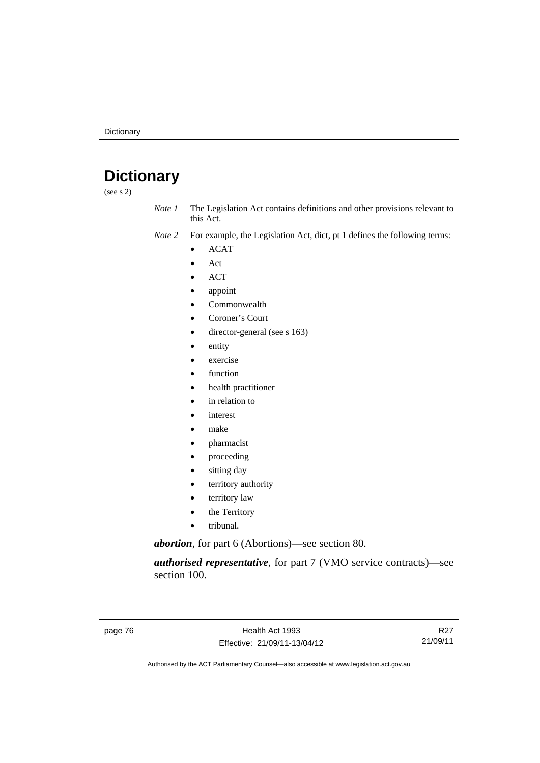# **Dictionary**

(see s 2)

- *Note 1* The Legislation Act contains definitions and other provisions relevant to this Act.
- *Note 2* For example, the Legislation Act, dict, pt 1 defines the following terms:
	- ACAT
	- Act
	- ACT
	- appoint
	- Commonwealth
	- Coroner's Court
	- director-general (see s 163)
	- entity
	- exercise
	- function
	- health practitioner
	- in relation to
	- interest
	- make
	- pharmacist
	- proceeding
	- sitting day
	- territory authority
	- territory law
	- the Territory
	- tribunal.

*abortion*, for part 6 (Abortions)—see section 80.

*authorised representative*, for part 7 (VMO service contracts)—see section 100.

R27 21/09/11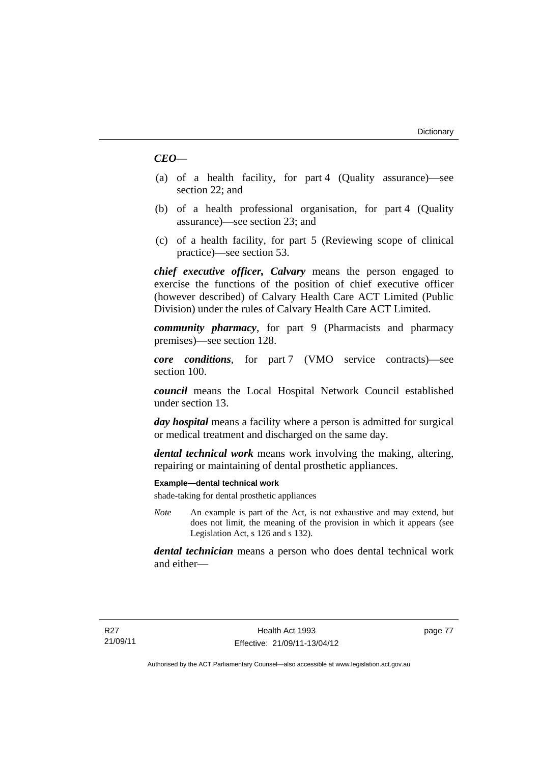### *CEO*—

- (a) of a health facility, for part 4 (Quality assurance)—see section 22; and
- (b) of a health professional organisation, for part 4 (Quality assurance)—see section 23; and
- (c) of a health facility, for part 5 (Reviewing scope of clinical practice)—see section 53.

*chief executive officer, Calvary* means the person engaged to exercise the functions of the position of chief executive officer (however described) of Calvary Health Care ACT Limited (Public Division) under the rules of Calvary Health Care ACT Limited.

*community pharmacy*, for part 9 (Pharmacists and pharmacy premises)—see section 128.

*core conditions*, for part 7 (VMO service contracts)—see section 100.

*council* means the Local Hospital Network Council established under section 13.

*day hospital* means a facility where a person is admitted for surgical or medical treatment and discharged on the same day.

*dental technical work* means work involving the making, altering, repairing or maintaining of dental prosthetic appliances.

#### **Example—dental technical work**

shade-taking for dental prosthetic appliances

*Note* An example is part of the Act, is not exhaustive and may extend, but does not limit, the meaning of the provision in which it appears (see Legislation Act, s 126 and s 132).

*dental technician* means a person who does dental technical work and either—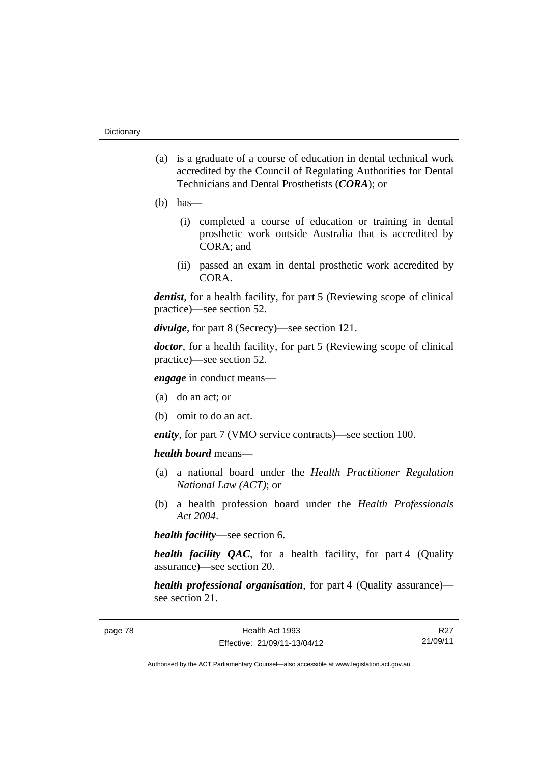- (a) is a graduate of a course of education in dental technical work accredited by the Council of Regulating Authorities for Dental Technicians and Dental Prosthetists (*CORA*); or
- $(b)$  has
	- (i) completed a course of education or training in dental prosthetic work outside Australia that is accredited by CORA; and
	- (ii) passed an exam in dental prosthetic work accredited by CORA.

*dentist*, for a health facility, for part 5 (Reviewing scope of clinical practice)—see section 52.

*divulge*, for part 8 (Secrecy)—see section 121.

*doctor*, for a health facility, for part 5 (Reviewing scope of clinical practice)—see section 52.

*engage* in conduct means—

- (a) do an act; or
- (b) omit to do an act.

*entity*, for part 7 (VMO service contracts)—see section 100.

*health board* means—

- (a) a national board under the *Health Practitioner Regulation National Law (ACT)*; or
- (b) a health profession board under the *Health Professionals Act 2004*.

*health facility*—see section 6.

*health facility QAC*, for a health facility, for part 4 (Quality assurance)—see section 20.

*health professional organisation*, for part 4 (Quality assurance) see section 21.

R27 21/09/11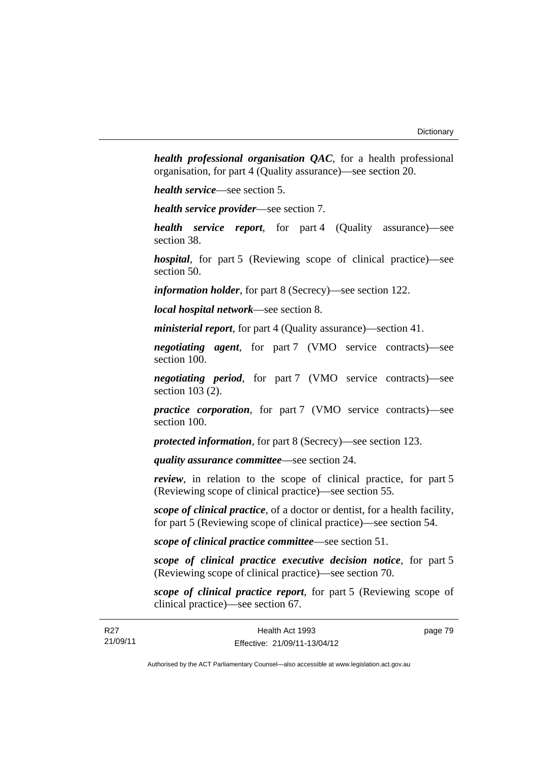*health professional organisation QAC*, for a health professional organisation, for part 4 (Quality assurance)—see section 20.

*health service*—see section 5.

*health service provider*—see section 7.

*health service report*, for part 4 (Quality assurance)—see section 38.

*hospital*, for part 5 (Reviewing scope of clinical practice)—see section 50.

*information holder*, for part 8 (Secrecy)—see section 122.

*local hospital network*—see section 8.

*ministerial report*, for part 4 (Quality assurance)—section 41.

*negotiating agent*, for part 7 (VMO service contracts)—see section 100.

*negotiating period*, for part 7 (VMO service contracts)—see section 103 (2).

*practice corporation*, for part 7 (VMO service contracts)—see section 100.

*protected information*, for part 8 (Secrecy)—see section 123.

*quality assurance committee*—see section 24.

*review*, in relation to the scope of clinical practice, for part 5 (Reviewing scope of clinical practice)—see section 55.

*scope of clinical practice*, of a doctor or dentist, for a health facility, for part 5 (Reviewing scope of clinical practice)—see section 54.

*scope of clinical practice committee*—see section 51.

*scope of clinical practice executive decision notice*, for part 5 (Reviewing scope of clinical practice)—see section 70.

*scope of clinical practice report*, for part 5 (Reviewing scope of clinical practice)—see section 67.

| R <sub>27</sub> | Health Act 1993              | page 79 |
|-----------------|------------------------------|---------|
| 21/09/11        | Effective: 21/09/11-13/04/12 |         |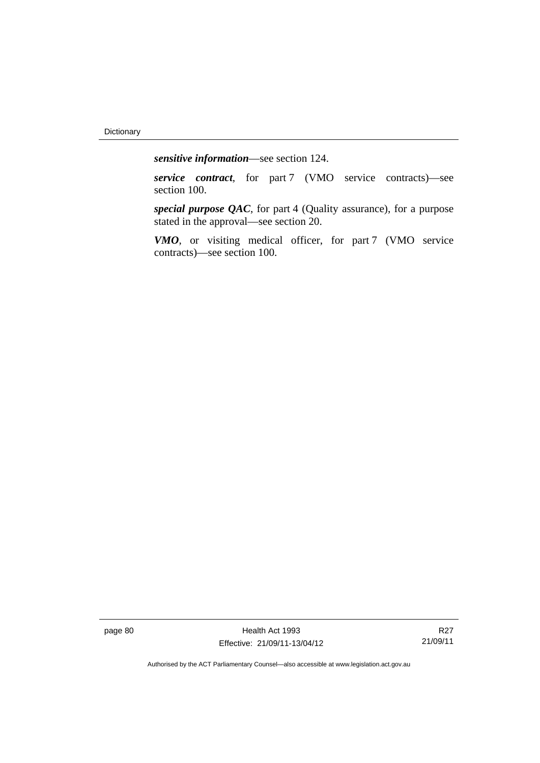*sensitive information*—see section 124.

*service contract*, for part 7 (VMO service contracts)—see section 100.

*special purpose QAC*, for part 4 (Quality assurance), for a purpose stated in the approval—see section 20.

*VMO*, or visiting medical officer, for part 7 (VMO service contracts)—see section 100.

page 80 Health Act 1993 Effective: 21/09/11-13/04/12

R27 21/09/11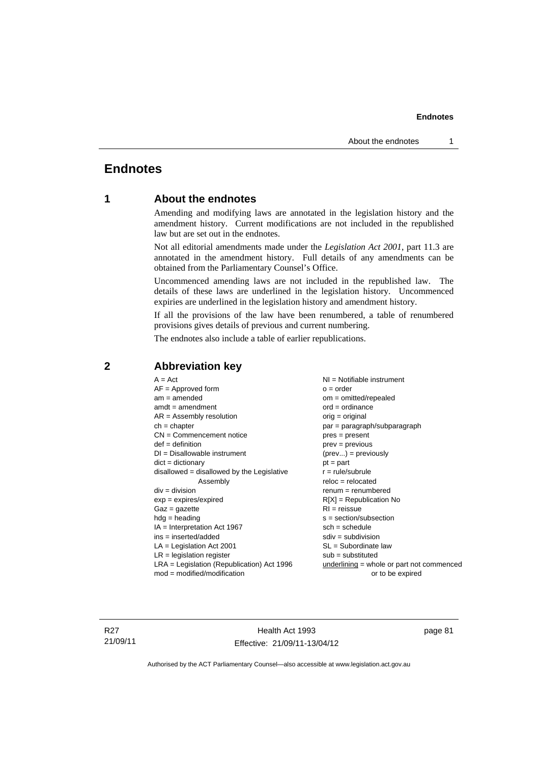### **Endnotes**

### **1 About the endnotes**

Amending and modifying laws are annotated in the legislation history and the amendment history. Current modifications are not included in the republished law but are set out in the endnotes.

Not all editorial amendments made under the *Legislation Act 2001*, part 11.3 are annotated in the amendment history. Full details of any amendments can be obtained from the Parliamentary Counsel's Office.

Uncommenced amending laws are not included in the republished law. The details of these laws are underlined in the legislation history. Uncommenced expiries are underlined in the legislation history and amendment history.

If all the provisions of the law have been renumbered, a table of renumbered provisions gives details of previous and current numbering.

The endnotes also include a table of earlier republications.

| $A = Act$                                    | $NI = Notifiable$ instrument              |
|----------------------------------------------|-------------------------------------------|
| $AF =$ Approved form                         | $o = order$                               |
| $am = amended$                               | $om = omitted/repealed$                   |
| $amdt = amendment$                           | $ord = ordinance$                         |
| $AR = Assembly resolution$                   | $orig = original$                         |
| $ch = chapter$                               | par = paragraph/subparagraph              |
| $CN =$ Commencement notice                   | $pres = present$                          |
| $def = definition$                           | $prev = previous$                         |
| $DI = Disallowable instrument$               | $(\text{prev}) = \text{previously}$       |
| $dict = dictionary$                          | $pt = part$                               |
| disallowed = disallowed by the Legislative   | $r = rule/subrule$                        |
| Assembly                                     | $reloc = relocated$                       |
| $div = division$                             | $renum = renumbered$                      |
| $exp = expires/expired$                      | $R[X]$ = Republication No                 |
| $Gaz = gazette$                              | $RI = reissue$                            |
| $hdg = heading$                              | $s = section/subsection$                  |
| $IA = Interpretation Act 1967$               | $sch = schedule$                          |
| ins = inserted/added                         | $sdiv = subdivision$                      |
| $LA =$ Legislation Act 2001                  | $SL = Subordinate$ law                    |
| $LR =$ legislation register                  | $sub =$ substituted                       |
| $LRA =$ Legislation (Republication) Act 1996 | underlining = whole or part not commenced |
| $mod = modified/modification$                | or to be expired                          |
|                                              |                                           |

### **2 Abbreviation key**

R27 21/09/11

Health Act 1993 Effective: 21/09/11-13/04/12 page 81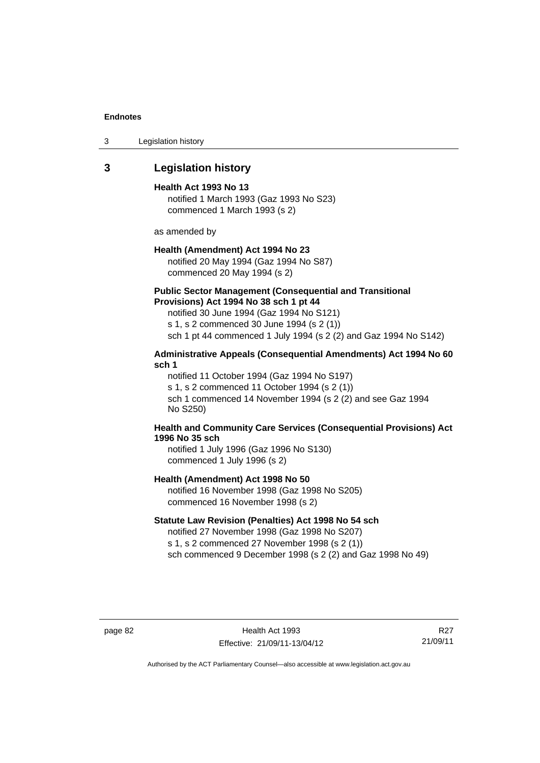3 Legislation history

### **3 Legislation history**

#### **Health Act 1993 No 13**

notified 1 March 1993 (Gaz 1993 No S23) commenced 1 March 1993 (s 2)

as amended by

#### **Health (Amendment) Act 1994 No 23**

notified 20 May 1994 (Gaz 1994 No S87) commenced 20 May 1994 (s 2)

#### **Public Sector Management (Consequential and Transitional Provisions) Act 1994 No 38 sch 1 pt 44**

notified 30 June 1994 (Gaz 1994 No S121) s 1, s 2 commenced 30 June 1994 (s 2 (1)) sch 1 pt 44 commenced 1 July 1994 (s 2 (2) and Gaz 1994 No S142)

### **Administrative Appeals (Consequential Amendments) Act 1994 No 60 sch 1**

notified 11 October 1994 (Gaz 1994 No S197) s 1, s 2 commenced 11 October 1994 (s 2 (1)) sch 1 commenced 14 November 1994 (s 2 (2) and see Gaz 1994 No S250)

### **Health and Community Care Services (Consequential Provisions) Act 1996 No 35 sch**

notified 1 July 1996 (Gaz 1996 No S130) commenced 1 July 1996 (s 2)

### **Health (Amendment) Act 1998 No 50**

notified 16 November 1998 (Gaz 1998 No S205) commenced 16 November 1998 (s 2)

### **Statute Law Revision (Penalties) Act 1998 No 54 sch**

notified 27 November 1998 (Gaz 1998 No S207) s 1, s 2 commenced 27 November 1998 (s 2 (1)) sch commenced 9 December 1998 (s 2 (2) and Gaz 1998 No 49)

page 82 Health Act 1993 Effective: 21/09/11-13/04/12

R27 21/09/11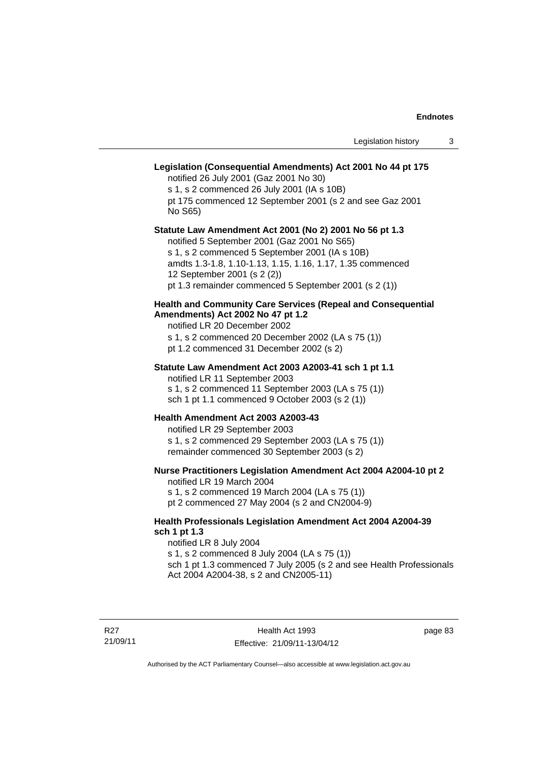### **Legislation (Consequential Amendments) Act 2001 No 44 pt 175**

notified 26 July 2001 (Gaz 2001 No 30)

s 1, s 2 commenced 26 July 2001 (IA s 10B) pt 175 commenced 12 September 2001 (s 2 and see Gaz 2001 No S65)

#### **Statute Law Amendment Act 2001 (No 2) 2001 No 56 pt 1.3**

notified 5 September 2001 (Gaz 2001 No S65) s 1, s 2 commenced 5 September 2001 (IA s 10B) amdts 1.3-1.8, 1.10-1.13, 1.15, 1.16, 1.17, 1.35 commenced 12 September 2001 (s 2 (2)) pt 1.3 remainder commenced 5 September 2001 (s 2 (1))

### **Health and Community Care Services (Repeal and Consequential Amendments) Act 2002 No 47 pt 1.2**

notified LR 20 December 2002

s 1, s 2 commenced 20 December 2002 (LA s 75 (1))

pt 1.2 commenced 31 December 2002 (s 2)

#### **Statute Law Amendment Act 2003 A2003-41 sch 1 pt 1.1**

notified LR 11 September 2003 s 1, s 2 commenced 11 September 2003 (LA s 75 (1)) sch 1 pt 1.1 commenced 9 October 2003 (s 2 (1))

#### **Health Amendment Act 2003 A2003-43**

notified LR 29 September 2003 s 1, s 2 commenced 29 September 2003 (LA s 75 (1))

remainder commenced 30 September 2003 (s 2)

### **Nurse Practitioners Legislation Amendment Act 2004 A2004-10 pt 2**

notified LR 19 March 2004 s 1, s 2 commenced 19 March 2004 (LA s 75 (1)) pt 2 commenced 27 May 2004 (s 2 and CN2004-9)

#### **Health Professionals Legislation Amendment Act 2004 A2004-39 sch 1 pt 1.3**

notified LR 8 July 2004 s 1, s 2 commenced 8 July 2004 (LA s 75 (1)) sch 1 pt 1.3 commenced 7 July 2005 (s 2 and see Health Professionals Act 2004 A2004-38, s 2 and CN2005-11)

page 83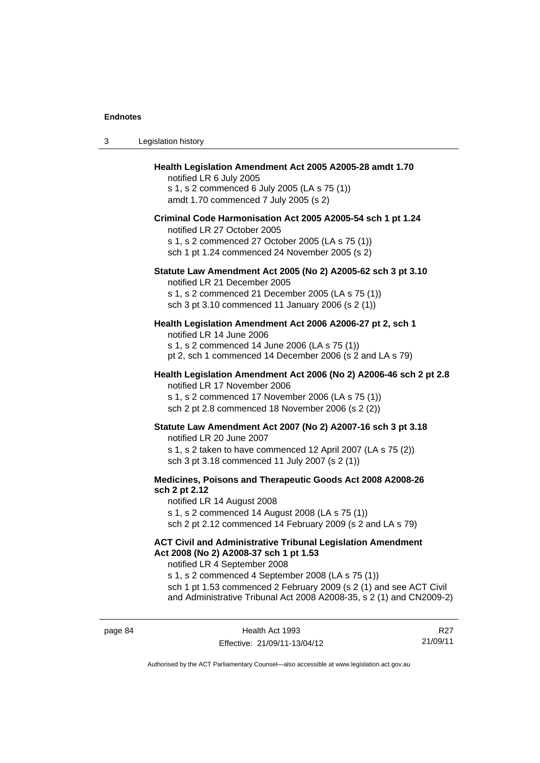| 3 | Legislation history                                                                                                                                                                                                                                                                                                                             |
|---|-------------------------------------------------------------------------------------------------------------------------------------------------------------------------------------------------------------------------------------------------------------------------------------------------------------------------------------------------|
|   | Health Legislation Amendment Act 2005 A2005-28 amdt 1.70<br>notified LR 6 July 2005<br>s 1, s 2 commenced 6 July 2005 (LA s 75 (1))<br>amdt 1.70 commenced 7 July 2005 (s 2)<br>Criminal Code Harmonisation Act 2005 A2005-54 sch 1 pt 1.24<br>notified LR 27 October 2005<br>s 1, s 2 commenced 27 October 2005 (LA s 75 (1))                  |
|   | sch 1 pt 1.24 commenced 24 November 2005 (s 2)<br>Statute Law Amendment Act 2005 (No 2) A2005-62 sch 3 pt 3.10                                                                                                                                                                                                                                  |
|   | notified LR 21 December 2005<br>s 1, s 2 commenced 21 December 2005 (LA s 75 (1))<br>sch 3 pt 3.10 commenced 11 January 2006 (s 2 (1))                                                                                                                                                                                                          |
|   | Health Legislation Amendment Act 2006 A2006-27 pt 2, sch 1<br>notified LR 14 June 2006<br>s 1, s 2 commenced 14 June 2006 (LA s 75 (1))<br>pt 2, sch 1 commenced 14 December 2006 (s 2 and LA s 79)                                                                                                                                             |
|   | Health Legislation Amendment Act 2006 (No 2) A2006-46 sch 2 pt 2.8<br>notified LR 17 November 2006<br>s 1, s 2 commenced 17 November 2006 (LA s 75 (1))<br>sch 2 pt 2.8 commenced 18 November 2006 (s 2 (2))                                                                                                                                    |
|   | Statute Law Amendment Act 2007 (No 2) A2007-16 sch 3 pt 3.18<br>notified LR 20 June 2007<br>s 1, s 2 taken to have commenced 12 April 2007 (LA s 75 (2))<br>sch 3 pt 3.18 commenced 11 July 2007 (s 2 (1))                                                                                                                                      |
|   | Medicines, Poisons and Therapeutic Goods Act 2008 A2008-26<br>sch 2 pt 2.12<br>notified LR 14 August 2008<br>s 1, s 2 commenced 14 August 2008 (LA s 75 (1))<br>sch 2 pt 2.12 commenced 14 February 2009 (s 2 and LA s 79)                                                                                                                      |
|   | <b>ACT Civil and Administrative Tribunal Legislation Amendment</b><br>Act 2008 (No 2) A2008-37 sch 1 pt 1.53<br>notified LR 4 September 2008<br>s 1, s 2 commenced 4 September 2008 (LA s 75 (1))<br>sch 1 pt 1.53 commenced 2 February 2009 (s 2 (1) and see ACT Civil<br>and Administrative Tribunal Act 2008 A2008-35, s 2 (1) and CN2009-2) |

R27 21/09/11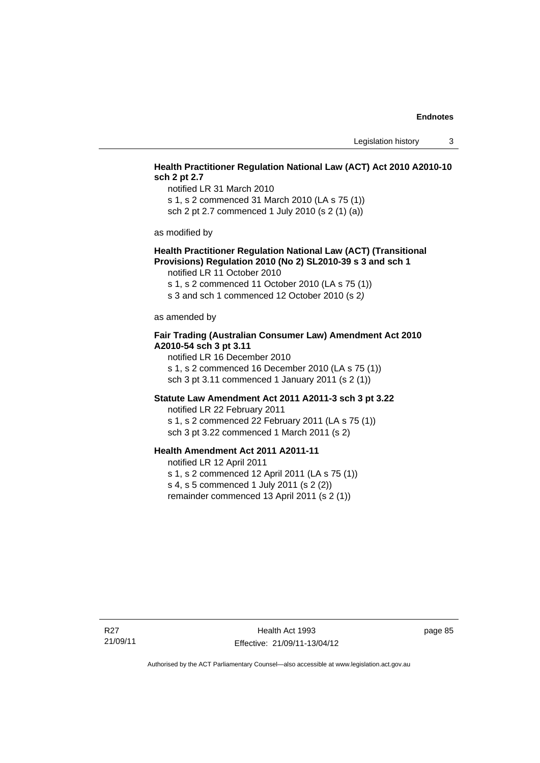### **Health Practitioner Regulation National Law (ACT) Act 2010 A2010-10 sch 2 pt 2.7**

notified LR 31 March 2010 s 1, s 2 commenced 31 March 2010 (LA s 75 (1)) sch 2 pt 2.7 commenced 1 July 2010 (s 2 (1) (a))

as modified by

### **Health Practitioner Regulation National Law (ACT) (Transitional Provisions) Regulation 2010 (No 2) SL2010-39 s 3 and sch 1**

notified LR 11 October 2010

s 1, s 2 commenced 11 October 2010 (LA s 75 (1))

s 3 and sch 1 commenced 12 October 2010 (s 2*)*

as amended by

### **Fair Trading (Australian Consumer Law) Amendment Act 2010 A2010-54 sch 3 pt 3.11**

notified LR 16 December 2010 s 1, s 2 commenced 16 December 2010 (LA s 75 (1)) sch 3 pt 3.11 commenced 1 January 2011 (s 2 (1))

#### **Statute Law Amendment Act 2011 A2011-3 sch 3 pt 3.22**

notified LR 22 February 2011 s 1, s 2 commenced 22 February 2011 (LA s 75 (1)) sch 3 pt 3.22 commenced 1 March 2011 (s 2)

### **Health Amendment Act 2011 A2011-11**

notified LR 12 April 2011 s 1, s 2 commenced 12 April 2011 (LA s 75 (1)) s 4, s 5 commenced 1 July 2011 (s 2 (2)) remainder commenced 13 April 2011 (s 2 (1))

page 85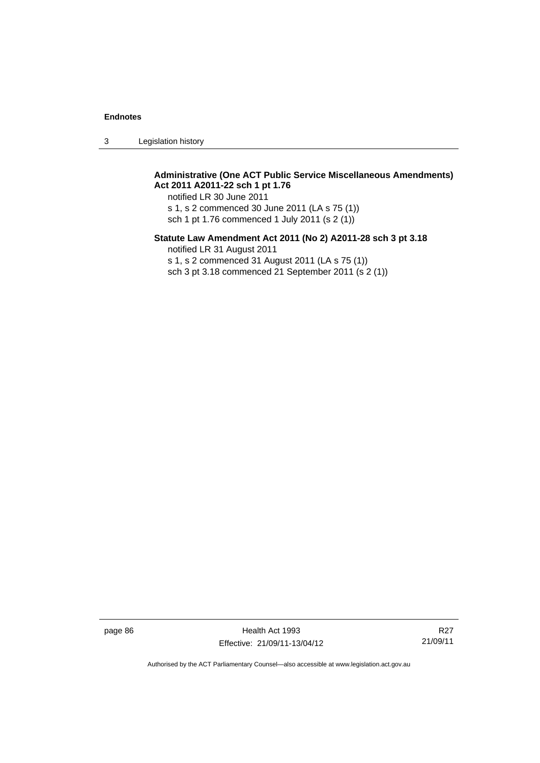3 Legislation history

### **Administrative (One ACT Public Service Miscellaneous Amendments) Act 2011 A2011-22 sch 1 pt 1.76**

notified LR 30 June 2011 s 1, s 2 commenced 30 June 2011 (LA s 75 (1)) sch 1 pt 1.76 commenced 1 July 2011 (s 2 (1))

### **Statute Law Amendment Act 2011 (No 2) A2011-28 sch 3 pt 3.18**

notified LR 31 August 2011

s 1, s 2 commenced 31 August 2011 (LA s 75 (1))

sch 3 pt 3.18 commenced 21 September 2011 (s 2 (1))

page 86 Health Act 1993 Effective: 21/09/11-13/04/12

R27 21/09/11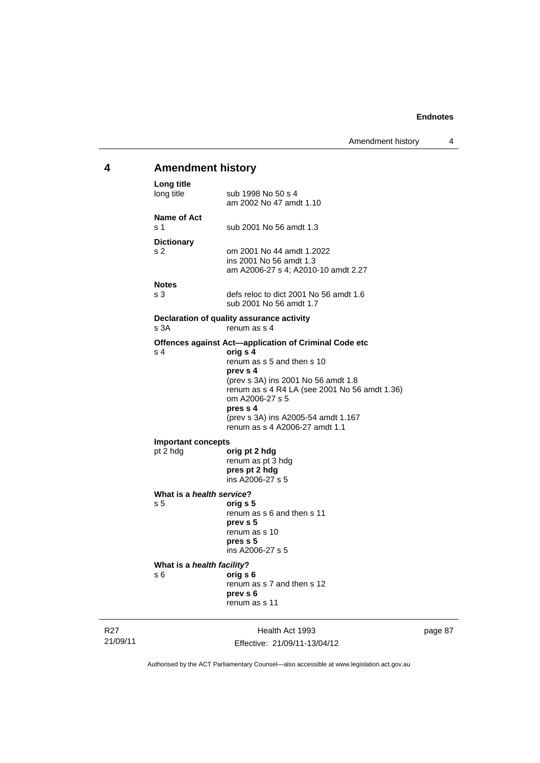### R27 Health Act 1993 **4 Amendment history Long title**  sub 1998 No 50 s 4 am 2002 No 47 amdt 1.10 **Name of Act**  s 1 sub 2001 No 56 amdt 1.3 **Dictionary**  s 2 om 2001 No 44 amdt 1.2022 ins 2001 No 56 amdt 1.3 am A2006-27 s 4; A2010-10 amdt 2.27 **Notes**  s 3 defs reloc to dict 2001 No 56 amdt 1.6 sub 2001 No 56 amdt 1.7 **Declaration of quality assurance activity**  s 3A renum as s 4 **Offences against Act—application of Criminal Code etc** s 4 orig s 4 s 4 **orig s 4** renum as s 5 and then s 10 **prev s 4**  (prev s 3A) ins 2001 No 56 amdt 1.8 renum as s 4 R4 LA (see 2001 No 56 amdt 1.36) om A2006-27 s 5 **pres s 4**  (prev s 3A) ins A2005-54 amdt 1.167 renum as s 4 A2006-27 amdt 1.1 **Important concepts**  pt 2 hdg **orig pt 2 hdg** renum as pt 3 hdg **pres pt 2 hdg**  ins A2006-27 s 5 **What is a** *health service***?** s 5 **orig s 5**  renum as s 6 and then s 11 **prev s 5**  renum as s 10 **pres s 5**  ins A2006-27 s 5 **What is a** *health facility***?** s 6 **orig s 6**  renum as s 7 and then s 12 **prev s 6**  renum as s 11

page 87

Authorised by the ACT Parliamentary Counsel—also accessible at www.legislation.act.gov.au

Effective: 21/09/11-13/04/12

21/09/11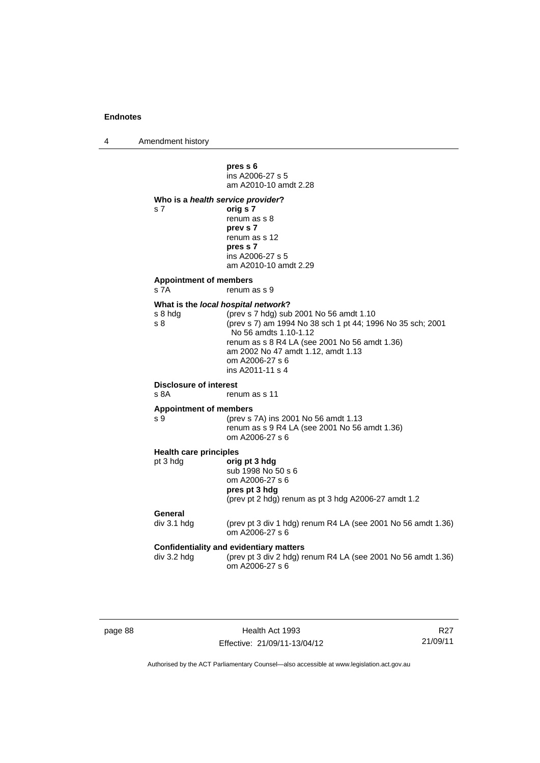4 Amendment history

**pres s 6**  ins A2006-27 s 5 am A2010-10 amdt 2.28 **Who is a** *health service provider***?**  s 7 **orig s 7**  renum as s 8 **prev s 7**  renum as s 12 **pres s 7**  ins A2006-27 s 5 am A2010-10 amdt 2.29 **Appointment of members**  s 7A renum as s 9 **What is the** *local hospital network***?** s 8 hdg (prev s 7 hdg) sub 2001 No 56 amdt 1.10<br>s 8 (prev s 7) am 1994 No 38 sch 1 pt 44; 199 (prev s 7) am 1994 No 38 sch 1 pt 44; 1996 No 35 sch; 2001 No 56 amdts 1.10-1.12 renum as s 8 R4 LA (see 2001 No 56 amdt 1.36) am 2002 No 47 amdt 1.12, amdt 1.13 om A2006-27 s 6 ins A2011-11 s 4 **Disclosure of interest**<br>s 8A ren renum as s 11 **Appointment of members**  s 9 (prev s 7A) ins 2001 No 56 amdt 1.13 renum as  $\sin 9$  R4 LA (see 2001 No 56 amdt 1.36) om A2006-27 s 6 **Health care principles** pt 3 hdg **orig pt 3 hdg** sub 1998 No 50 s 6 om A2006-27 s 6 **pres pt 3 hdg**  (prev pt 2 hdg) renum as pt 3 hdg A2006-27 amdt 1.2 **General**  div 3.1 hdg (prev pt 3 div 1 hdg) renum R4 LA (see 2001 No 56 amdt 1.36) om A2006-27 s 6 **Confidentiality and evidentiary matters**  div 3.2 hdg (prev pt 3 div 2 hdg) renum R4 LA (see 2001 No 56 amdt 1.36) om A2006-27 s 6

page 88 Health Act 1993 Effective: 21/09/11-13/04/12

R27 21/09/11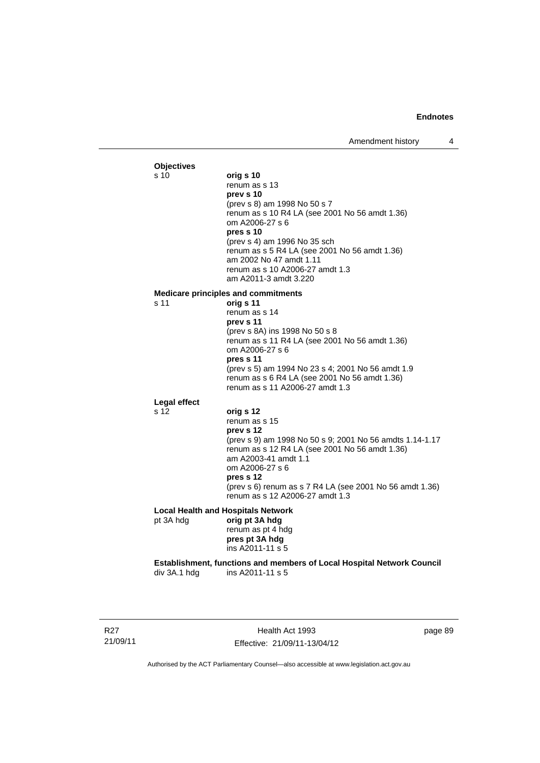#### **Objectives**<br>s 10 s 10 **orig s 10**  renum as s 13 **prev s 10**  (prev s 8) am 1998 No 50 s 7 renum as s 10 R4 LA (see 2001 No 56 amdt 1.36) om A2006-27 s 6 **pres s 10**  (prev s 4) am 1996 No 35 sch renum as s 5 R4 LA (see 2001 No 56 amdt 1.36) am 2002 No 47 amdt 1.11 renum as s 10 A2006-27 amdt 1.3 am A2011-3 amdt 3.220 **Medicare principles and commitments** s 11 **orig s 11**  renum as s 14 **prev s 11**  (prev s 8A) ins 1998 No 50 s 8 renum as s 11 R4 LA (see 2001 No 56 amdt 1.36) om A2006-27 s 6 **pres s 11**  (prev s 5) am 1994 No 23 s 4; 2001 No 56 amdt 1.9 renum as s 6 R4 LA (see 2001 No 56 amdt 1.36) renum as s 11 A2006-27 amdt 1.3 **Legal effect** s 12 **orig s 12**  renum as s 15 **prev s 12**  (prev s 9) am 1998 No 50 s 9; 2001 No 56 amdts 1.14-1.17 renum as s 12 R4 LA (see 2001 No 56 amdt 1.36) am A2003-41 amdt 1.1 om A2006-27 s 6 **pres s 12**  (prev s 6) renum as s 7 R4 LA (see 2001 No 56 amdt 1.36) renum as s 12 A2006-27 amdt 1.3 **Local Health and Hospitals Network**  pt 3A hdg **orig pt 3A hdg** renum as pt 4 hdg **pres pt 3A hdg**  ins A2011-11 s 5 **Establishment, functions and members of Local Hospital Network Council**  ins A2011-11 s 5

R27 21/09/11

Health Act 1993 Effective: 21/09/11-13/04/12 page 89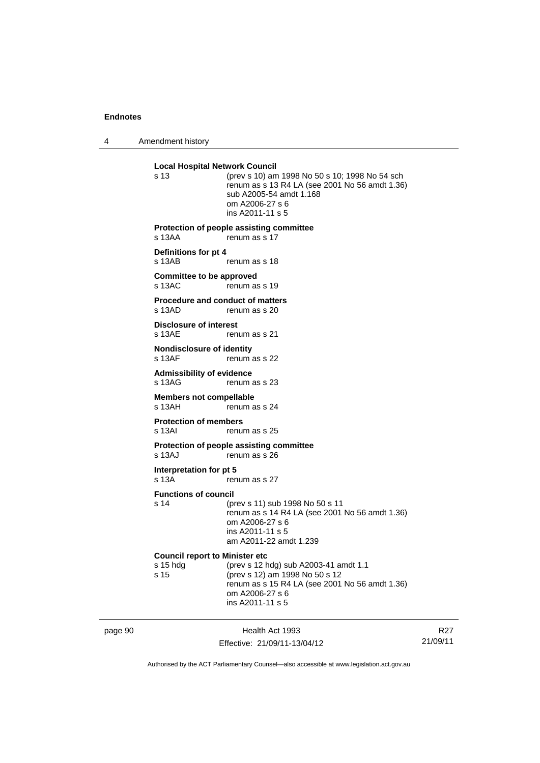page 90

4 Amendment history

| <b>Local Hospital Network Council</b><br>s 13                                              | (prev s 10) am 1998 No 50 s 10; 1998 No 54 sch<br>renum as s 13 R4 LA (see 2001 No 56 amdt 1.36)<br>sub A2005-54 amdt 1.168<br>om A2006-27 s 6<br>ins A2011-11 s 5 |  |
|--------------------------------------------------------------------------------------------|--------------------------------------------------------------------------------------------------------------------------------------------------------------------|--|
| s 13AA                                                                                     | Protection of people assisting committee<br>renum as s 17                                                                                                          |  |
| Definitions for pt 4<br>s 13AB                                                             | renum as s 18                                                                                                                                                      |  |
| <b>Committee to be approved</b><br>s 13AC                                                  | renum as s 19                                                                                                                                                      |  |
| <b>Procedure and conduct of matters</b><br>s 13AD                                          | renum as s 20                                                                                                                                                      |  |
| <b>Disclosure of interest</b><br>s 13AE                                                    | renum as s 21                                                                                                                                                      |  |
| <b>Nondisclosure of identity</b><br>s 13AF                                                 | renum as s 22                                                                                                                                                      |  |
| <b>Admissibility of evidence</b><br>s 13AG                                                 | renum as s 23                                                                                                                                                      |  |
| <b>Members not compellable</b><br>s 13AH                                                   | renum as s 24                                                                                                                                                      |  |
| <b>Protection of members</b><br>s 13AI                                                     | renum as s 25                                                                                                                                                      |  |
| s 13AJ                                                                                     | Protection of people assisting committee<br>renum as s 26                                                                                                          |  |
| Interpretation for pt 5<br>s 13A                                                           | renum as s 27                                                                                                                                                      |  |
| <b>Functions of council</b><br>s 14                                                        | (prev s 11) sub 1998 No 50 s 11<br>renum as s 14 R4 LA (see 2001 No 56 amdt 1.36)<br>om A2006-27 s 6<br>ins A2011-11 s 5<br>am A2011-22 amdt 1.239                 |  |
| <b>Council report to Minister etc</b><br>(prev s 12 hdg) sub A2003-41 amdt 1.1<br>s 15 hdg |                                                                                                                                                                    |  |
| s 15                                                                                       | (prev s 12) am 1998 No 50 s 12<br>renum as s 15 R4 LA (see 2001 No 56 amdt 1.36)<br>om A2006-27 s 6<br>ins A2011-11 s 5                                            |  |
|                                                                                            | Health Act 1993                                                                                                                                                    |  |

Authorised by the ACT Parliamentary Counsel—also accessible at www.legislation.act.gov.au

R27 21/09/11

Effective: 21/09/11-13/04/12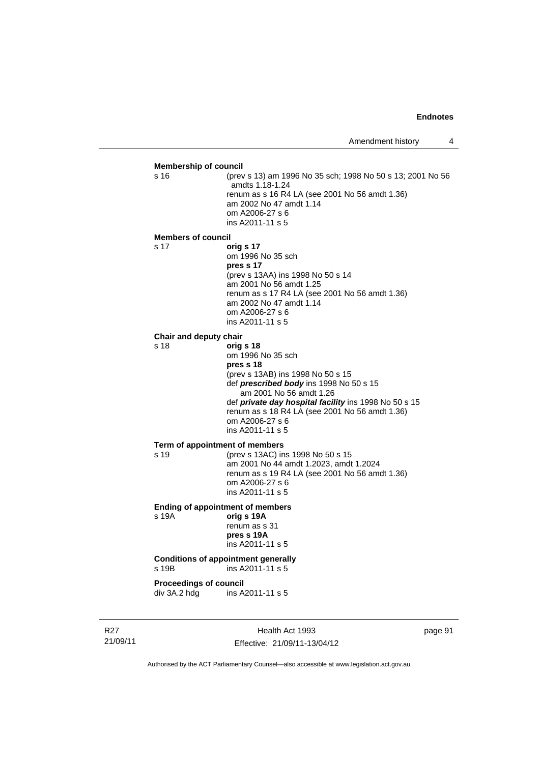#### **Membership of council** s 16 (prev s 13) am 1996 No 35 sch; 1998 No 50 s 13; 2001 No 56 amdts 1.18-1.24 renum as s 16 R4 LA (see 2001 No 56 amdt 1.36) am 2002 No 47 amdt 1.14 om A2006-27 s 6 ins A2011-11 s 5 **Members of council** s 17 **orig s 17** om 1996 No 35 sch **pres s 17**  (prev s 13AA) ins 1998 No 50 s 14 am 2001 No 56 amdt 1.25 renum as s 17 R4 LA (see 2001 No 56 amdt 1.36) am 2002 No 47 amdt 1.14 om A2006-27 s 6 ins A2011-11 s 5 **Chair and deputy chair** s 18 **orig s 18** om 1996 No 35 sch **pres s 18**  (prev s 13AB) ins 1998 No 50 s 15 def *prescribed body* ins 1998 No 50 s 15 am 2001 No 56 amdt 1.26 def *private day hospital facility* ins 1998 No 50 s 15 renum as s 18 R4 LA (see 2001 No 56 amdt 1.36) om A2006-27 s 6 ins A2011-11 s 5 **Term of appointment of members** s 19 (prev s 13AC) ins 1998 No 50 s 15 am 2001 No 44 amdt 1.2023, amdt 1.2024 renum as s 19 R4 LA (see 2001 No 56 amdt 1.36) om A2006-27 s 6 ins A2011-11 s 5 **Ending of appointment of members**  s 19A **orig s 19A** renum as s 31 **pres s 19A**  ins A2011-11 s 5 **Conditions of appointment generally**  s 19B ins A2011-11 s 5

**Proceedings of council<br>div 3A.2 hdg ins A.** ins A2011-11 s 5

R27 21/09/11

Health Act 1993 Effective: 21/09/11-13/04/12 page 91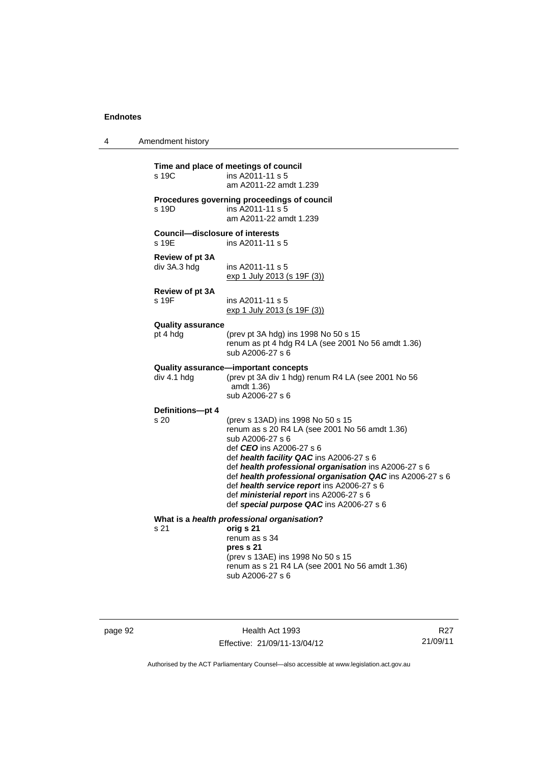4 Amendment history

| Time and place of meetings of council<br>s 19C<br>ins A2011-11 s 5<br>am A2011-22 amdt 1.239 |                                                                                                                                                                                                                                                                                                                                                                                                                                                   |  |
|----------------------------------------------------------------------------------------------|---------------------------------------------------------------------------------------------------------------------------------------------------------------------------------------------------------------------------------------------------------------------------------------------------------------------------------------------------------------------------------------------------------------------------------------------------|--|
| s 19D                                                                                        | Procedures governing proceedings of council<br>ins A2011-11 s 5<br>am A2011-22 amdt 1.239                                                                                                                                                                                                                                                                                                                                                         |  |
| <b>Council-disclosure of interests</b><br>s 19E                                              | ins A2011-11 s 5                                                                                                                                                                                                                                                                                                                                                                                                                                  |  |
| Review of pt 3A<br>div 3A.3 hdg                                                              | ins A2011-11 s 5<br>exp 1 July 2013 (s 19F (3))                                                                                                                                                                                                                                                                                                                                                                                                   |  |
| <b>Review of pt 3A</b><br>s 19F                                                              | ins A2011-11 s 5<br>exp 1 July 2013 (s 19F (3))                                                                                                                                                                                                                                                                                                                                                                                                   |  |
| <b>Quality assurance</b><br>pt 4 hdg                                                         | (prev pt 3A hdg) ins 1998 No 50 s 15<br>renum as pt 4 hdg R4 LA (see 2001 No 56 amdt 1.36)<br>sub A2006-27 s 6                                                                                                                                                                                                                                                                                                                                    |  |
| div 4.1 hdg                                                                                  | Quality assurance-important concepts<br>(prev pt 3A div 1 hdg) renum R4 LA (see 2001 No 56<br>amdt 1.36)<br>sub A2006-27 s 6                                                                                                                                                                                                                                                                                                                      |  |
| Definitions-pt 4<br>s 20                                                                     | (prev s 13AD) ins 1998 No 50 s 15<br>renum as s 20 R4 LA (see 2001 No 56 amdt 1.36)<br>sub A2006-27 s 6<br>def CEO ins A2006-27 s 6<br>def health facility QAC ins A2006-27 s 6<br>def health professional organisation ins A2006-27 s 6<br>def health professional organisation QAC ins A2006-27 s 6<br>def health service report ins A2006-27 s 6<br>def <i>ministerial report</i> ins A2006-27 s 6<br>def special purpose QAC ins A2006-27 s 6 |  |
| s 21                                                                                         | What is a health professional organisation?<br>orig s 21<br>renum as s 34<br>pres s 21<br>(prev s 13AE) ins 1998 No 50 s 15<br>renum as s 21 R4 LA (see 2001 No 56 amdt 1.36)<br>sub A2006-27 s 6                                                                                                                                                                                                                                                 |  |

page 92 Health Act 1993 Effective: 21/09/11-13/04/12

R27 21/09/11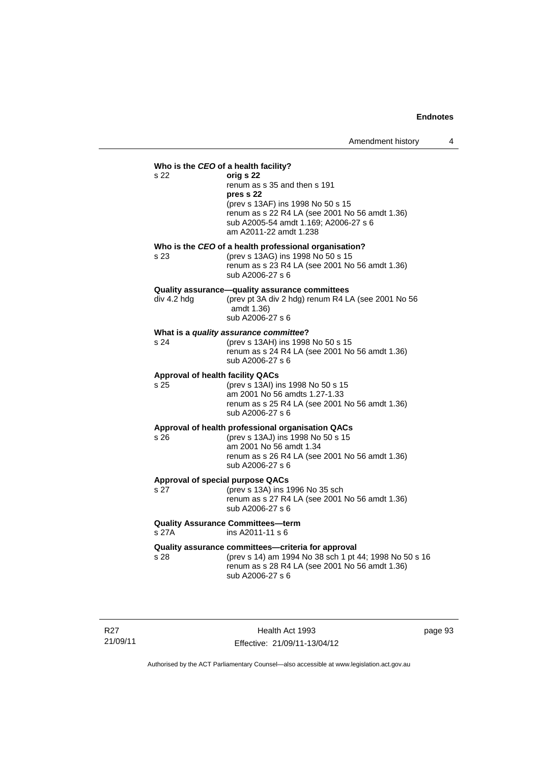### **Who is the** *CEO* **of a health facility?** s 22 **orig s 22**  renum as s 35 and then s 191 **pres s 22**  (prev s 13AF) ins 1998 No 50 s 15 renum as s 22 R4 LA (see 2001 No 56 amdt 1.36) sub A2005-54 amdt 1.169; A2006-27 s 6 am A2011-22 amdt 1.238 **Who is the** *CEO* **of a health professional organisation?** s 23 (prev s 13AG) ins 1998 No 50 s 15 renum as s 23 R4 LA (see 2001 No 56 amdt 1.36) sub A2006-27 s 6 **Quality assurance—quality assurance committees**  div 4.2 hdg (prev pt 3A div 2 hdg) renum R4 LA (see 2001 No 56 amdt 1.36) sub A2006-27 s 6 **What is a** *quality assurance committee***?** s 24 (prev s 13AH) ins 1998 No 50 s 15 renum as s 24 R4 LA (see 2001 No 56 amdt 1.36) sub A2006-27 s 6 **Approval of health facility QACs** s 25 (prev s 13AI) ins 1998 No 50 s 15 am 2001 No 56 amdts 1.27-1.33 renum as s 25 R4 LA (see 2001 No 56 amdt 1.36) sub A2006-27 s 6 **Approval of health professional organisation QACs** s 26 (prev s 13AJ) ins 1998 No 50 s 15 am 2001 No 56 amdt 1.34 renum as s 26 R4 LA (see 2001 No 56 amdt 1.36) sub A2006-27 s 6 **Approval of special purpose QACs** s 27 (prev s 13A) ins 1996 No 35 sch renum as s 27 R4 LA (see 2001 No 56 amdt 1.36) sub A2006-27 s 6 **Quality Assurance Committees—term**   $ins$  A2011-11 s 6 **Quality assurance committees—criteria for approval**

s 28 (prev s 14) am 1994 No 38 sch 1 pt 44; 1998 No 50 s 16 renum as s 28 R4 LA (see 2001 No 56 amdt 1.36) sub A2006-27 s 6

R27 21/09/11

Health Act 1993 Effective: 21/09/11-13/04/12 page 93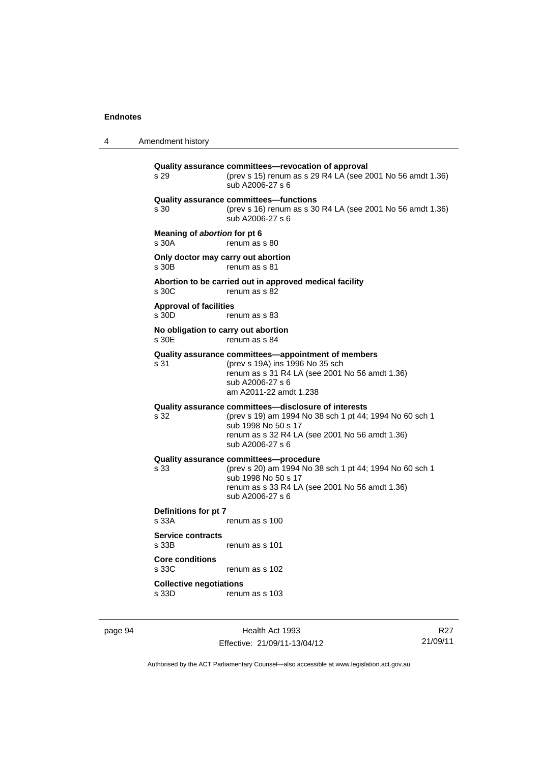4 Amendment history **Quality assurance committees—revocation of approval**  s 29 (prev s 15) renum as s 29 R4 LA (see 2001 No 56 amdt 1.36) sub A2006-27 s 6 **Quality assurance committees—functions**  s 30 (prev s 16) renum as s 30 R4 LA (see 2001 No 56 amdt 1.36) sub A2006-27 s 6 **Meaning of** *abortion* **for pt 6**  s 30A renum as s 80 **Only doctor may carry out abortion**  s 30B renum as s 81 **Abortion to be carried out in approved medical facility**  renum as s 82 **Approval of facilities**  s 30D renum as s 83 **No obligation to carry out abortion**  s 30E renum as s 84 **Quality assurance committees—appointment of members** s 31 (prev s 19A) ins 1996 No 35 sch renum as s 31 R4 LA (see 2001 No 56 amdt 1.36) sub A2006-27 s 6 am A2011-22 amdt 1.238 **Quality assurance committees—disclosure of interests** s 32 (prev s 19) am 1994 No 38 sch 1 pt 44; 1994 No 60 sch 1 sub 1998 No 50 s 17 renum as s 32 R4 LA (see 2001 No 56 amdt 1.36) sub A2006-27 s 6 **Quality assurance committees—procedure** s 33 (prev s 20) am 1994 No 38 sch 1 pt 44; 1994 No 60 sch 1 sub 1998 No 50 s 17 renum as s 33 R4 LA (see 2001 No 56 amdt 1.36) sub A2006-27 s 6 **Definitions for pt 7**  s 33A renum as s 100 **Service contracts**  renum as s 101 **Core conditions**  s 33C renum as s 102 **Collective negotiations**  s 33D renum as s 103

page 94 Health Act 1993 Effective: 21/09/11-13/04/12

R27 21/09/11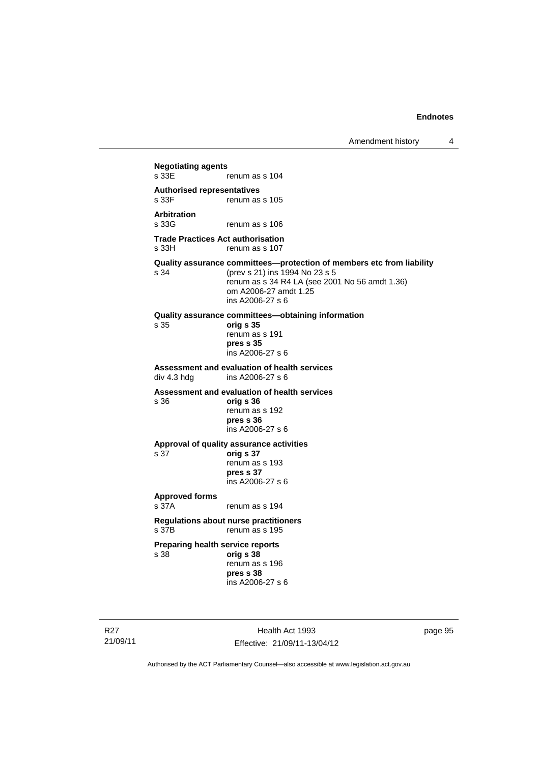**Negotiating agents**  renum as s 104 **Authorised representatives**  renum as s 105 **Arbitration**  renum as s 106 **Trade Practices Act authorisation**  s 33H renum as s 107 **Quality assurance committees—protection of members etc from liability**<br>s 34 (prev s 21) ins 1994 No 23 s 5 s 34 (prev s 21) ins 1994 No 23 s 5 renum as s 34 R4 LA (see 2001 No 56 amdt 1.36) om A2006-27 amdt 1.25 ins A2006-27 s 6 **Quality assurance committees—obtaining information** s 35 **orig s 35**  renum as s 191 **pres s 35**  ins A2006-27 s 6 **Assessment and evaluation of health services**  ins A2006-27 s 6 **Assessment and evaluation of health services**  s 36 **orig s 36**  renum as s 192 **pres s 36**  ins A2006-27 s 6 **Approval of quality assurance activities**  s 37 **orig s 37**  renum as s 193 **pres s 37**  ins A2006-27 s 6 **Approved forms**  s 37A renum as s 194 **Regulations about nurse practitioners**  s 37B renum as s 195 **Preparing health service reports**  s 38 **orig s 38** renum as s 196 **pres s 38**  ins A2006-27 s 6

R27 21/09/11

Health Act 1993 Effective: 21/09/11-13/04/12 page 95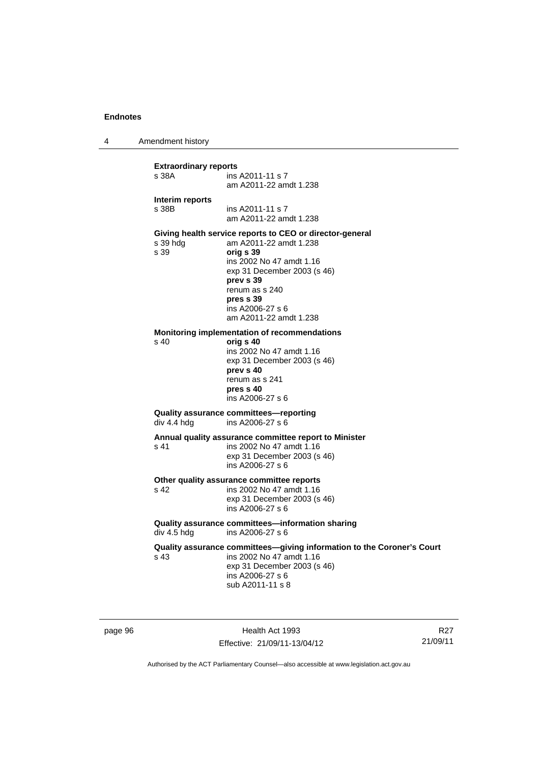4 Amendment history

| <b>Extraordinary reports</b><br>s 38A | ins A2011-11 s 7<br>am A2011-22 amdt 1.238                                                                                                                                                                                                           |
|---------------------------------------|------------------------------------------------------------------------------------------------------------------------------------------------------------------------------------------------------------------------------------------------------|
| Interim reports<br>s 38B              | ins A2011-11 s 7<br>am A2011-22 amdt 1.238                                                                                                                                                                                                           |
| s 39 hdg<br>s 39                      | Giving health service reports to CEO or director-general<br>am A2011-22 amdt 1.238<br>orig s 39<br>ins 2002 No 47 amdt 1.16<br>exp 31 December 2003 (s 46)<br>prev s 39<br>renum as s 240<br>pres s 39<br>ins A2006-27 s 6<br>am A2011-22 amdt 1.238 |
| s 40                                  | Monitoring implementation of recommendations<br>orig s 40<br>ins 2002 No 47 amdt 1.16<br>exp 31 December 2003 (s 46)<br>prev s 40<br>renum as s 241<br>pres s 40<br>ins A2006-27 s 6                                                                 |
| div 4.4 hdg                           | Quality assurance committees-reporting<br>ins A2006-27 s 6                                                                                                                                                                                           |
| s 41                                  | Annual quality assurance committee report to Minister<br>ins 2002 No 47 amdt 1.16<br>exp 31 December 2003 (s 46)<br>ins A2006-27 s 6                                                                                                                 |
| s 42                                  | Other quality assurance committee reports<br>ins 2002 No 47 amdt 1.16<br>exp 31 December 2003 (s 46)<br>ins A2006-27 s 6                                                                                                                             |
| div 4.5 hdg                           | Quality assurance committees-information sharing<br>ins A2006-27 s 6                                                                                                                                                                                 |
| s 43                                  | Quality assurance committees-giving information to the Coroner's Court<br>ins 2002 No 47 amdt 1.16<br>exp 31 December 2003 (s 46)<br>ins A2006-27 s 6<br>sub A2011-11 s 8                                                                            |

page 96 **Health Act 1993** Effective: 21/09/11-13/04/12

R27 21/09/11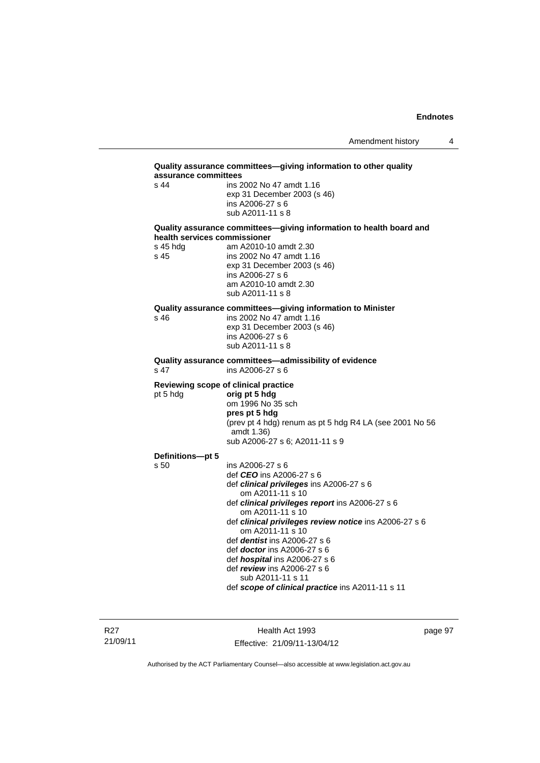| assurance committees<br>$s$ 44 | ins 2002 No 47 amdt 1.16                                                                            |
|--------------------------------|-----------------------------------------------------------------------------------------------------|
|                                | exp 31 December 2003 (s 46)                                                                         |
|                                | ins A2006-27 s 6                                                                                    |
|                                | sub A2011-11 s 8                                                                                    |
|                                | Quality assurance committees-giving information to health board and<br>health services commissioner |
| s 45 hdg                       | am A2010-10 amdt 2.30                                                                               |
| s 45                           | ins 2002 No 47 amdt 1.16                                                                            |
|                                | exp 31 December 2003 (s 46)                                                                         |
|                                | ins A2006-27 s 6<br>am A2010-10 amdt 2.30                                                           |
|                                | sub A2011-11 s 8                                                                                    |
|                                | Quality assurance committees-giving information to Minister                                         |
| s 46                           | ins 2002 No 47 amdt 1.16                                                                            |
|                                | exp 31 December 2003 (s 46)                                                                         |
|                                | ins A2006-27 s 6<br>sub A2011-11 s 8                                                                |
|                                |                                                                                                     |
| s 47                           | Quality assurance committees-admissibility of evidence<br>ins A2006-27 s 6                          |
|                                | Reviewing scope of clinical practice                                                                |
| pt 5 hdg                       | orig pt 5 hdg                                                                                       |
|                                | om 1996 No 35 sch<br>pres pt 5 hdg                                                                  |
|                                | (prev pt 4 hdg) renum as pt 5 hdg R4 LA (see 2001 No 56                                             |
|                                | amdt 1.36)                                                                                          |
|                                | sub A2006-27 s 6; A2011-11 s 9                                                                      |
| Definitions-pt 5               |                                                                                                     |
| s 50                           | ins A2006-27 s 6                                                                                    |
|                                | def <i>CEO</i> ins A2006-27 s 6<br>def clinical privileges ins A2006-27 s 6                         |
|                                |                                                                                                     |
|                                |                                                                                                     |
|                                | om A2011-11 s 10                                                                                    |
|                                | def clinical privileges report ins A2006-27 s 6<br>om A2011-11 s 10                                 |
|                                |                                                                                                     |
|                                | om A2011-11 s 10                                                                                    |
|                                | def <i>dentist</i> ins $A2006-27$ s 6                                                               |
|                                | def <i>doctor</i> ins A2006-27 s 6                                                                  |
|                                | def hospital ins A2006-27 s 6<br>def review ins A2006-27 s 6                                        |
|                                | def clinical privileges review notice ins A2006-27 s 6<br>sub A2011-11 s 11                         |

R27 21/09/11

Health Act 1993 Effective: 21/09/11-13/04/12 page 97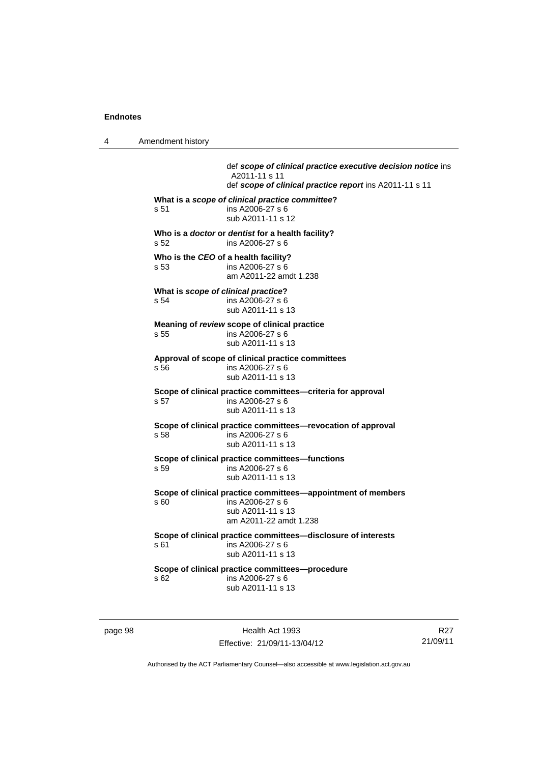4 Amendment history

 def *scope of clinical practice executive decision notice* ins A2011-11 s 11 def *scope of clinical practice report* ins A2011-11 s 11 **What is a** *scope of clinical practice committee***?**  s 51 ins A2006-27 s 6 sub A2011-11 s 12 **Who is a** *doctor* **or** *dentist* **for a health facility?**  s 52 ins A2006-27 s 6 **Who is the** *CEO* **of a health facility?**  s 53 ins A2006-27 s 6 am A2011-22 amdt 1.238 **What is** *scope of clinical practice***?**  s 54 ins A2006-27 s 6 sub A2011-11 s 13 **Meaning of** *review* **scope of clinical practice**  s 55 ins A2006-27 s 6 sub A2011-11 s 13 **Approval of scope of clinical practice committees**  s 56 ins A2006-27 s 6 sub A2011-11 s 13 **Scope of clinical practice committees—criteria for approval**  s 57 ins A2006-27 s 6 sub A2011-11 s 13 **Scope of clinical practice committees—revocation of approval**  s 58 ins A2006-27 s 6 sub A2011-11 s 13 **Scope of clinical practice committees—functions**  s 59 ins A2006-27 s 6 sub A2011-11 s 13 **Scope of clinical practice committees—appointment of members**  s 60 ins A2006-27 s 6 sub A2011-11 s 13 am A2011-22 amdt 1.238 **Scope of clinical practice committees—disclosure of interests**  s 61 ins A2006-27 s 6 sub A2011-11 s 13 **Scope of clinical practice committees—procedure**  s 62 ins A2006-27 s 6 sub A2011-11 s 13

page 98 Health Act 1993 Effective: 21/09/11-13/04/12

R27 21/09/11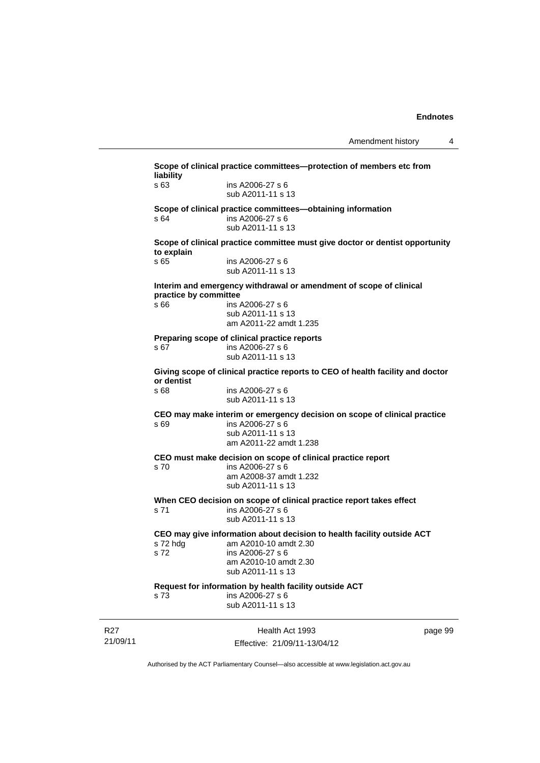|                             | liability                                                                                    | Scope of clinical practice committees-protection of members etc from                                                                                              |         |  |
|-----------------------------|----------------------------------------------------------------------------------------------|-------------------------------------------------------------------------------------------------------------------------------------------------------------------|---------|--|
|                             | s 63                                                                                         | ins A2006-27 s 6<br>sub A2011-11 s 13                                                                                                                             |         |  |
|                             | s 64                                                                                         | Scope of clinical practice committees-obtaining information<br>ins A2006-27 s 6<br>sub A2011-11 s 13                                                              |         |  |
|                             | Scope of clinical practice committee must give doctor or dentist opportunity<br>to explain   |                                                                                                                                                                   |         |  |
|                             | s 65                                                                                         | ins A2006-27 s 6<br>sub A2011-11 s 13                                                                                                                             |         |  |
|                             | Interim and emergency withdrawal or amendment of scope of clinical<br>practice by committee  |                                                                                                                                                                   |         |  |
|                             | s 66                                                                                         | ins A2006-27 s 6<br>sub A2011-11 s 13<br>am A2011-22 amdt 1.235                                                                                                   |         |  |
|                             | s 67                                                                                         | Preparing scope of clinical practice reports<br>ins A2006-27 s 6<br>sub A2011-11 s 13                                                                             |         |  |
|                             | Giving scope of clinical practice reports to CEO of health facility and doctor<br>or dentist |                                                                                                                                                                   |         |  |
|                             | s 68                                                                                         | ins A2006-27 s 6<br>sub A2011-11 s 13                                                                                                                             |         |  |
|                             | s 69                                                                                         | CEO may make interim or emergency decision on scope of clinical practice<br>ins A2006-27 s 6<br>sub A2011-11 s 13<br>am A2011-22 amdt 1.238                       |         |  |
|                             | s 70                                                                                         | CEO must make decision on scope of clinical practice report<br>ins A2006-27 s 6<br>am A2008-37 amdt 1.232<br>sub A2011-11 s 13                                    |         |  |
|                             | s 71                                                                                         | When CEO decision on scope of clinical practice report takes effect<br>ins A2006-27 s 6<br>sub A2011-11 s 13                                                      |         |  |
|                             | s 72 hdg<br>s 72                                                                             | CEO may give information about decision to health facility outside ACT<br>am A2010-10 amdt 2.30<br>ins A2006-27 s 6<br>am A2010-10 amdt 2.30<br>sub A2011-11 s 13 |         |  |
|                             | s 73                                                                                         | Request for information by health facility outside ACT<br>ins A2006-27 s 6<br>sub A2011-11 s 13                                                                   |         |  |
| R <sub>27</sub><br>21/09/11 |                                                                                              | Health Act 1993<br>Effective: 21/09/11-13/04/12                                                                                                                   | page 99 |  |

Authorised by the ACT Parliamentary Counsel—also accessible at www.legislation.act.gov.au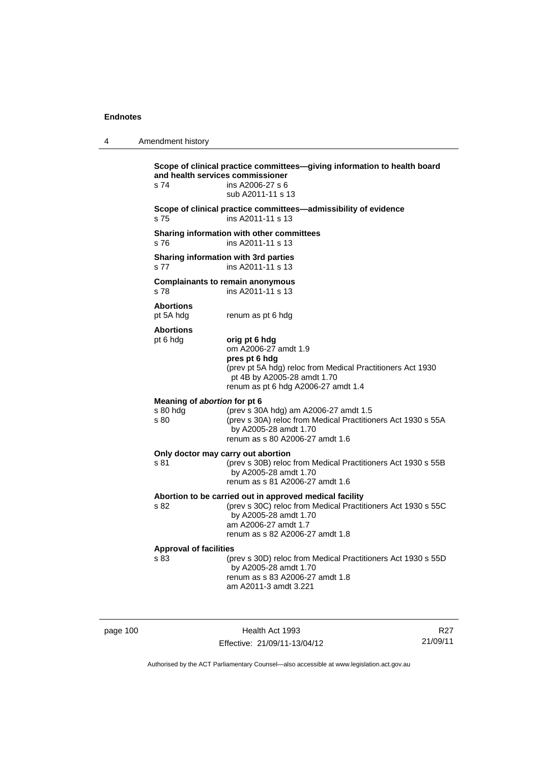| 4 | Amendment history                                |                                                                                                                                                                                                             |
|---|--------------------------------------------------|-------------------------------------------------------------------------------------------------------------------------------------------------------------------------------------------------------------|
|   | and health services commissioner<br>s 74         | Scope of clinical practice committees-giving information to health board<br>ins A2006-27 s 6<br>sub A2011-11 s 13                                                                                           |
|   | s <sub>75</sub>                                  | Scope of clinical practice committees-admissibility of evidence<br>ins A2011-11 s 13                                                                                                                        |
|   | s 76                                             | Sharing information with other committees<br>ins A2011-11 s 13                                                                                                                                              |
|   | s 77                                             | <b>Sharing information with 3rd parties</b><br>ins A2011-11 s 13                                                                                                                                            |
|   | s 78                                             | <b>Complainants to remain anonymous</b><br>ins A2011-11 s 13                                                                                                                                                |
|   | <b>Abortions</b><br>pt 5A hdg                    | renum as pt 6 hdg                                                                                                                                                                                           |
|   | <b>Abortions</b><br>pt 6 hdg                     | orig pt 6 hdg<br>om A2006-27 amdt 1.9<br>pres pt 6 hdg<br>(prev pt 5A hdg) reloc from Medical Practitioners Act 1930<br>pt 4B by A2005-28 amdt 1.70<br>renum as pt 6 hdg A2006-27 amdt 1.4                  |
|   | Meaning of abortion for pt 6<br>s 80 hdg<br>s 80 | (prev s 30A hdg) am A2006-27 amdt 1.5<br>(prev s 30A) reloc from Medical Practitioners Act 1930 s 55A<br>by A2005-28 amdt 1.70<br>renum as s 80 A2006-27 amdt 1.6                                           |
|   | Only doctor may carry out abortion<br>s 81       | (prev s 30B) reloc from Medical Practitioners Act 1930 s 55B<br>by A2005-28 amdt 1.70<br>renum as s 81 A2006-27 amdt 1.6                                                                                    |
|   | s 82                                             | Abortion to be carried out in approved medical facility<br>(prev s 30C) reloc from Medical Practitioners Act 1930 s 55C<br>by A2005-28 amdt 1.70<br>am A2006-27 amdt 1.7<br>renum as s 82 A2006-27 amdt 1.8 |
|   | <b>Approval of facilities</b><br>s 83            | (prev s 30D) reloc from Medical Practitioners Act 1930 s 55D<br>by A2005-28 amdt 1.70<br>renum as s 83 A2006-27 amdt 1.8<br>am A2011-3 amdt 3.221                                                           |

page 100 **Health Act 1993** Effective: 21/09/11-13/04/12

R27 21/09/11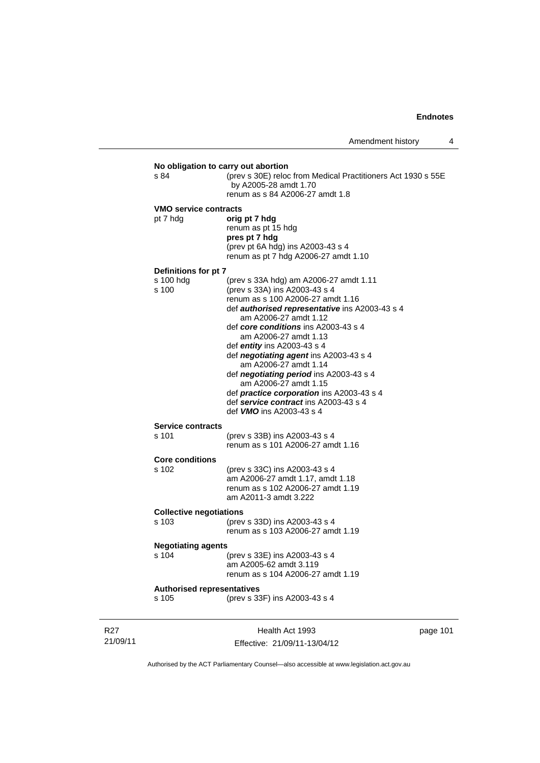| s 84                              | (prev s 30E) reloc from Medical Practitioners Act 1930 s 55E<br>by A2005-28 amdt 1.70<br>renum as s 84 A2006-27 amdt 1.8 |         |
|-----------------------------------|--------------------------------------------------------------------------------------------------------------------------|---------|
| <b>VMO service contracts</b>      |                                                                                                                          |         |
| pt 7 hdg                          | orig pt 7 hdg                                                                                                            |         |
|                                   | renum as pt 15 hdg                                                                                                       |         |
|                                   | pres pt 7 hdg<br>(prev pt 6A hdg) ins A2003-43 s 4                                                                       |         |
|                                   | renum as pt 7 hdg A2006-27 amdt 1.10                                                                                     |         |
| Definitions for pt 7              |                                                                                                                          |         |
| s 100 hdg                         | (prev s 33A hdg) am A2006-27 amdt 1.11                                                                                   |         |
| s 100                             | (prev s 33A) ins A2003-43 s 4                                                                                            |         |
|                                   | renum as s 100 A2006-27 amdt 1.16                                                                                        |         |
|                                   | def <b>authorised representative</b> ins A2003-43 s 4                                                                    |         |
|                                   | am A2006-27 amdt 1.12                                                                                                    |         |
|                                   | def core conditions ins A2003-43 s 4                                                                                     |         |
|                                   | am A2006-27 amdt 1.13<br>def entity ins A2003-43 s 4                                                                     |         |
|                                   | def negotiating agent ins A2003-43 s 4                                                                                   |         |
|                                   | am A2006-27 amdt 1.14                                                                                                    |         |
|                                   | def <i>negotiating period</i> ins A2003-43 s 4                                                                           |         |
|                                   | am A2006-27 amdt 1.15                                                                                                    |         |
|                                   | def <i>practice corporation</i> ins A2003-43 s 4                                                                         |         |
|                                   | def service contract ins A2003-43 s 4                                                                                    |         |
|                                   | def <b>VMO</b> ins A2003-43 s 4                                                                                          |         |
| <b>Service contracts</b>          |                                                                                                                          |         |
| s 101                             | (prev s 33B) ins A2003-43 s 4                                                                                            |         |
|                                   | renum as s 101 A2006-27 amdt 1.16                                                                                        |         |
| <b>Core conditions</b>            |                                                                                                                          |         |
| s 102                             | (prev s 33C) ins A2003-43 s 4                                                                                            |         |
|                                   | am A2006-27 amdt 1.17, amdt 1.18                                                                                         |         |
|                                   | renum as s 102 A2006-27 amdt 1.19                                                                                        |         |
|                                   | am A2011-3 amdt 3.222                                                                                                    |         |
| <b>Collective negotiations</b>    |                                                                                                                          |         |
| s 103                             | (prev s 33D) ins A2003-43 s 4                                                                                            |         |
|                                   | renum as s 103 A2006-27 amdt 1.19                                                                                        |         |
| <b>Negotiating agents</b>         |                                                                                                                          |         |
| s 104                             | (prev s 33E) ins A2003-43 s 4                                                                                            |         |
|                                   | am A2005-62 amdt 3.119                                                                                                   |         |
|                                   | renum as s 104 A2006-27 amdt 1.19                                                                                        |         |
| <b>Authorised representatives</b> |                                                                                                                          |         |
| s 105                             | (prev s 33F) ins A2003-43 s 4                                                                                            |         |
|                                   |                                                                                                                          |         |
|                                   | $H_{\alpha\alpha}$ <sub>th</sub> $\Lambda_{\alpha\beta}$ 1002                                                            | nogo 11 |

R27 21/09/11

Health Act 1993 Effective: 21/09/11-13/04/12 page 101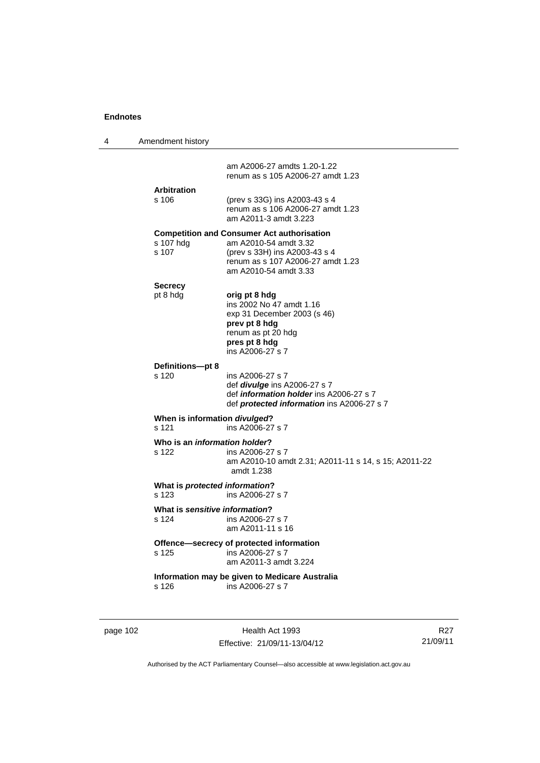| 4 | Amendment history                       |                                                                                                                                                                           |
|---|-----------------------------------------|---------------------------------------------------------------------------------------------------------------------------------------------------------------------------|
|   |                                         | am A2006-27 amdts 1.20-1.22<br>renum as s 105 A2006-27 amdt 1.23                                                                                                          |
|   | <b>Arbitration</b><br>s 106             | (prev s 33G) ins A2003-43 s 4<br>renum as s 106 A2006-27 amdt 1.23<br>am A2011-3 amdt 3.223                                                                               |
|   | s 107 hdg<br>s 107                      | <b>Competition and Consumer Act authorisation</b><br>am A2010-54 amdt 3.32<br>(prev s 33H) ins A2003-43 s 4<br>renum as s 107 A2006-27 amdt 1.23<br>am A2010-54 amdt 3.33 |
|   | <b>Secrecy</b><br>pt 8 hdg              | orig pt 8 hdg<br>ins 2002 No 47 amdt 1.16<br>exp 31 December 2003 (s 46)<br>prev pt 8 hdg<br>renum as pt 20 hdg<br>pres pt 8 hdg<br>ins A2006-27 s 7                      |
|   | Definitions-pt 8<br>s 120               | ins A2006-27 s 7<br>def <i>divulge</i> ins A2006-27 s 7<br>def information holder ins A2006-27 s 7<br>def protected information ins A2006-27 s 7                          |
|   | When is information divulged?<br>s 121  | ins A2006-27 s 7                                                                                                                                                          |
|   | Who is an information holder?<br>s 122  | ins A2006-27 s 7<br>am A2010-10 amdt 2.31; A2011-11 s 14, s 15; A2011-22<br>amdt 1.238                                                                                    |
|   | What is protected information?<br>s 123 | ins A2006-27 s 7                                                                                                                                                          |
|   | What is sensitive information?<br>s 124 | ins A2006-27 s 7<br>am A2011-11 s 16                                                                                                                                      |
|   | s 125                                   | Offence-secrecy of protected information<br>ins A2006-27 s 7<br>am A2011-3 amdt 3.224                                                                                     |
|   | s 126                                   | Information may be given to Medicare Australia<br>ins A2006-27 s 7                                                                                                        |

page 102 **Health Act 1993** Effective: 21/09/11-13/04/12

R27 21/09/11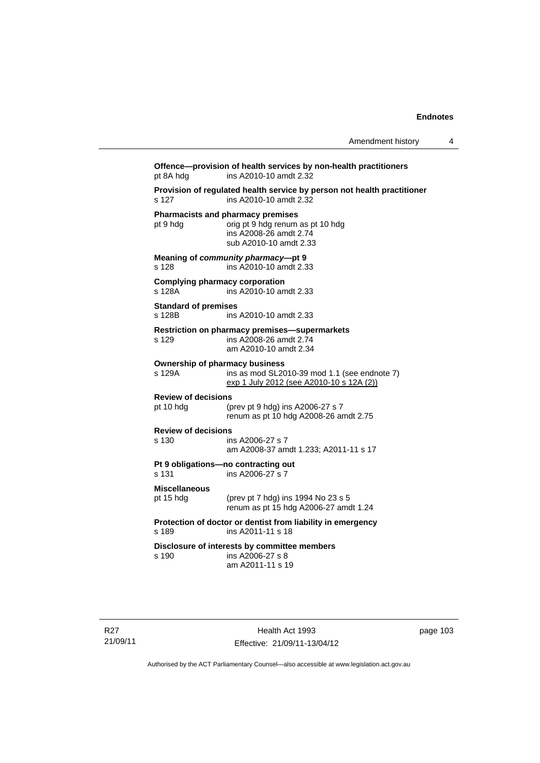**Offence—provision of health services by non-health practitioners**  pt 8A hdg ins A2010-10 amdt 2.32 **Provision of regulated health service by person not health practitioner**  s 127 ins A2010-10 amdt 2.32 **Pharmacists and pharmacy premises**  pt 9 hdg orig pt 9 hdg renum as pt 10 hdg ins A2008-26 amdt 2.74 sub A2010-10 amdt 2.33 **Meaning of** *community pharmacy***—pt 9**  s 128 ins A2010-10 amdt 2.33 **Complying pharmacy corporation**<br>s 128A **ins A2010-10** an ins A2010-10 amdt 2.33 **Standard of premises**  s 128B ins A2010-10 amdt 2.33 **Restriction on pharmacy premises—supermarkets**  s 129 ins A2008-26 amdt 2.74 am A2010-10 amdt 2.34 **Ownership of pharmacy business**  s 129A ins as mod SL2010-39 mod 1.1 (see endnote 7) exp 1 July 2012 (see A2010-10 s 12A (2)) **Review of decisions**  pt 10 hdg (prev pt 9 hdg) ins A2006-27 s 7 renum as pt 10 hdg A2008-26 amdt 2.75 **Review of decisions**  ins A2006-27 s 7 am A2008-37 amdt 1.233; A2011-11 s 17 **Pt 9 obligations—no contracting out**  s 131 ins A2006-27 s 7 **Miscellaneous** pt 15 hdg (prev pt 7 hdg) ins 1994 No 23 s 5 renum as pt 15 hdg A2006-27 amdt 1.24 **Protection of doctor or dentist from liability in emergency**  ins A2011-11 s 18 **Disclosure of interests by committee members**  s 190 ins A2006-27 s 8 am A2011-11 s 19

R27 21/09/11

Health Act 1993 Effective: 21/09/11-13/04/12 page 103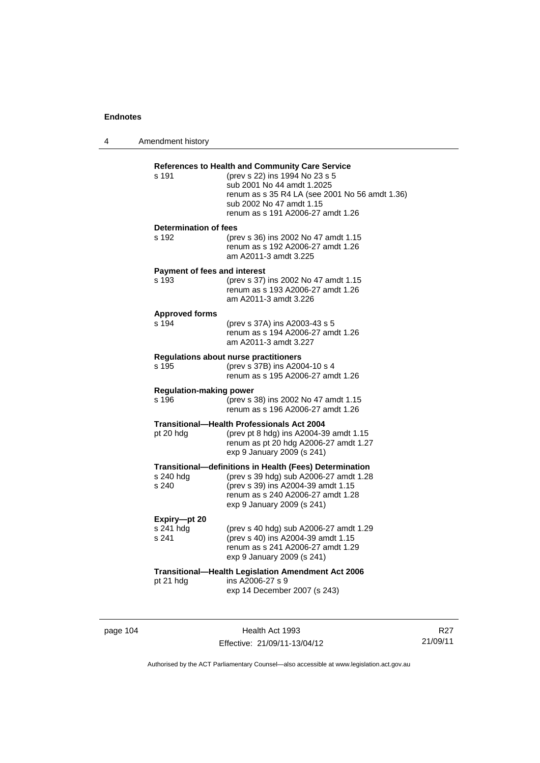| 4 | Amendment history                            |                                                                                                                                                                                                                                           |
|---|----------------------------------------------|-------------------------------------------------------------------------------------------------------------------------------------------------------------------------------------------------------------------------------------------|
|   | s 191                                        | <b>References to Health and Community Care Service</b><br>(prev s 22) ins 1994 No 23 s 5<br>sub 2001 No 44 amdt 1.2025<br>renum as s 35 R4 LA (see 2001 No 56 amdt 1.36)<br>sub 2002 No 47 amdt 1.15<br>renum as s 191 A2006-27 amdt 1.26 |
|   | <b>Determination of fees</b><br>s 192        | (prev s 36) ins 2002 No 47 amdt 1.15<br>renum as s 192 A2006-27 amdt 1.26<br>am A2011-3 amdt 3.225                                                                                                                                        |
|   | <b>Payment of fees and interest</b><br>s 193 | (prev s 37) ins 2002 No 47 amdt 1.15<br>renum as s 193 A2006-27 amdt 1.26<br>am A2011-3 amdt 3.226                                                                                                                                        |
|   | <b>Approved forms</b><br>s 194               | (prev s 37A) ins A2003-43 s 5<br>renum as s 194 A2006-27 amdt 1.26<br>am A2011-3 amdt 3.227                                                                                                                                               |
|   | s 195                                        | <b>Regulations about nurse practitioners</b><br>(prev s 37B) ins A2004-10 s 4<br>renum as s 195 A2006-27 amdt 1.26                                                                                                                        |
|   | <b>Regulation-making power</b><br>s 196      | (prev s 38) ins 2002 No 47 amdt 1.15<br>renum as s 196 A2006-27 amdt 1.26                                                                                                                                                                 |
|   | pt 20 hdg                                    | Transitional—Health Professionals Act 2004<br>(prev pt 8 hdg) ins A2004-39 amdt 1.15<br>renum as pt 20 hdg A2006-27 amdt 1.27<br>exp 9 January 2009 (s 241)                                                                               |
|   | s 240 hdg<br>s 240                           | Transitional-definitions in Health (Fees) Determination<br>(prev s 39 hdg) sub A2006-27 amdt 1.28<br>(prev s 39) ins A2004-39 amdt 1.15<br>renum as s 240 A2006-27 amdt 1.28<br>exp 9 January 2009 (s 241)                                |
|   | Expiry-pt 20<br>s 241 hdg<br>s 241           | (prev s 40 hdg) sub A2006-27 amdt 1.29<br>(prev s 40) ins A2004-39 amdt 1.15<br>renum as s 241 A2006-27 amdt 1.29<br>exp 9 January 2009 (s 241)                                                                                           |
|   | pt 21 hdg                                    | <b>Transitional-Health Legislation Amendment Act 2006</b><br>ins A2006-27 s 9<br>exp 14 December 2007 (s 243)                                                                                                                             |

page 104 **Health Act 1993** Effective: 21/09/11-13/04/12

R27 21/09/11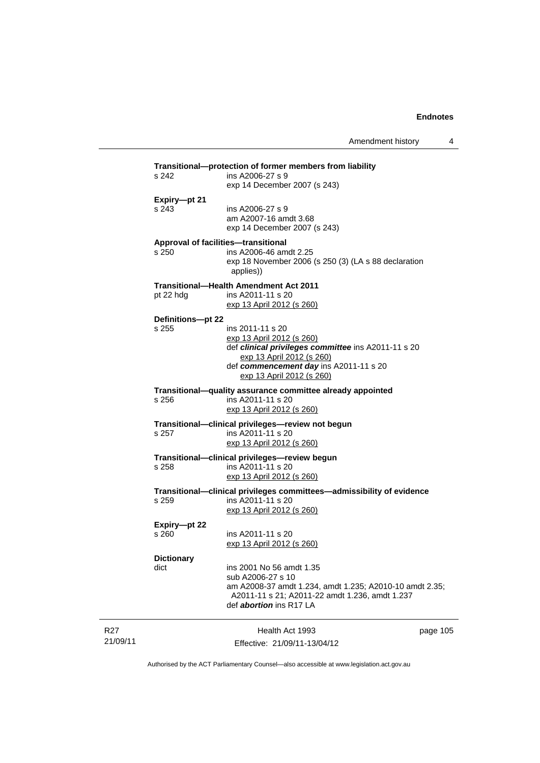| s 242             | ins A2006-27 s 9<br>exp 14 December 2007 (s 243)                                                                    |          |
|-------------------|---------------------------------------------------------------------------------------------------------------------|----------|
| Expiry-pt 21      |                                                                                                                     |          |
| s 243             | ins A2006-27 s 9<br>am A2007-16 amdt 3.68<br>exp 14 December 2007 (s 243)                                           |          |
|                   | Approval of facilities-transitional                                                                                 |          |
| s 250             | ins A2006-46 amdt 2.25<br>exp 18 November 2006 (s 250 (3) (LA s 88 declaration<br>applies))                         |          |
|                   | <b>Transitional-Health Amendment Act 2011</b>                                                                       |          |
| pt 22 hdg         | ins A2011-11 s 20                                                                                                   |          |
|                   | <u>exp 13 April 2012 (s 260)</u>                                                                                    |          |
| Definitions-pt 22 |                                                                                                                     |          |
| s 255             | ins 2011-11 s 20                                                                                                    |          |
|                   | exp 13 April 2012 (s 260)                                                                                           |          |
|                   | def clinical privileges committee ins A2011-11 s 20<br>exp 13 April 2012 (s 260)                                    |          |
|                   | def commencement day ins A2011-11 s 20                                                                              |          |
|                   | exp 13 April 2012 (s 260)                                                                                           |          |
| s 256             | Transitional-quality assurance committee already appointed<br>ins A2011-11 s 20<br><u>exp 13 April 2012 (s 260)</u> |          |
|                   | Transitional-clinical privileges-review not begun                                                                   |          |
| s 257             | ins A2011-11 s 20                                                                                                   |          |
|                   | <u>exp 13 April 2012 (s 260)</u>                                                                                    |          |
|                   | Transitional-clinical privileges-review begun                                                                       |          |
| s 258             | ins A2011-11 s 20                                                                                                   |          |
|                   | exp 13 April 2012 (s 260)                                                                                           |          |
|                   | Transitional—clinical privileges committees—admissibility of evidence                                               |          |
| s 259             | ins A2011-11 s 20                                                                                                   |          |
|                   | exp 13 April 2012 (s 260)                                                                                           |          |
| Expiry-pt 22      |                                                                                                                     |          |
| s 260             | ins A2011-11 s 20                                                                                                   |          |
|                   | <u>exp 13 April 2012 (s 260)</u>                                                                                    |          |
| <b>Dictionary</b> |                                                                                                                     |          |
| dict              | ins 2001 No 56 amdt 1.35                                                                                            |          |
|                   | sub A2006-27 s 10<br>am A2008-37 amdt 1.234, amdt 1.235; A2010-10 amdt 2.35;                                        |          |
|                   | A2011-11 s 21; A2011-22 amdt 1.236, amdt 1.237                                                                      |          |
|                   | def <i>abortion</i> ins R17 LA                                                                                      |          |
|                   |                                                                                                                     |          |
|                   | Health Act 1993                                                                                                     | page 105 |
|                   | Effective: 21/09/11-13/04/12                                                                                        |          |

Authorised by the ACT Parliamentary Counsel—also accessible at www.legislation.act.gov.au

R27 21/09/11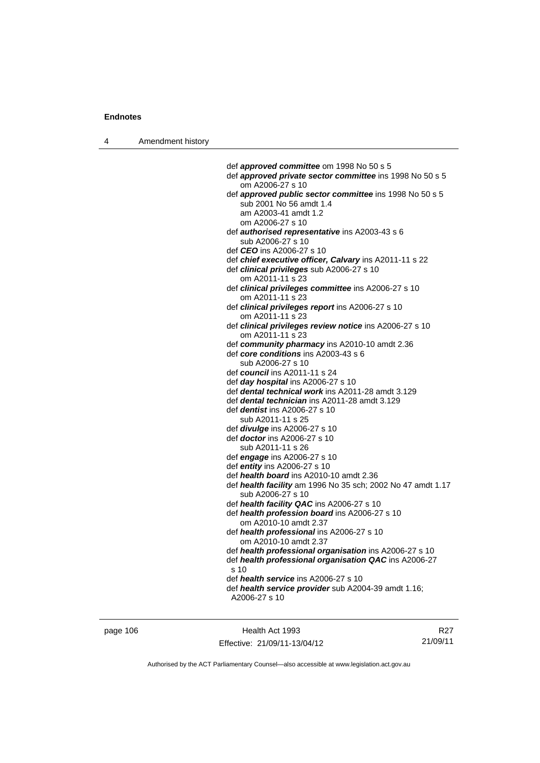4 Amendment history

 def *approved committee* om 1998 No 50 s 5 def *approved private sector committee* ins 1998 No 50 s 5 om A2006-27 s 10 def *approved public sector committee* ins 1998 No 50 s 5 sub 2001 No 56 amdt 1.4 am A2003-41 amdt 1.2 om A2006-27 s 10 def *authorised representative* ins A2003-43 s 6 sub A2006-27 s 10 def *CEO* ins A2006-27 s 10 def *chief executive officer, Calvary* ins A2011-11 s 22 def *clinical privileges* sub A2006-27 s 10 om A2011-11 s 23 def *clinical privileges committee* ins A2006-27 s 10 om A2011-11 s 23 def *clinical privileges report* ins A2006-27 s 10 om A2011-11 s 23 def *clinical privileges review notice* ins A2006-27 s 10 om A2011-11 s 23 def *community pharmacy* ins A2010-10 amdt 2.36 def *core conditions* ins A2003-43 s 6 sub A2006-27 s 10 def *council* ins A2011-11 s 24 def *day hospital* ins A2006-27 s 10 def *dental technical work* ins A2011-28 amdt 3.129 def *dental technician* ins A2011-28 amdt 3.129 def *dentist* ins A2006-27 s 10 sub A2011-11 s 25 def *divulge* ins A2006-27 s 10 def *doctor* ins A2006-27 s 10 sub A2011-11 s 26 def *engage* ins A2006-27 s 10 def *entity* ins A2006-27 s 10 def *health board* ins A2010-10 amdt 2.36 def *health facility* am 1996 No 35 sch; 2002 No 47 amdt 1.17 sub A2006-27 s 10 def *health facility QAC* ins A2006-27 s 10 def *health profession board* ins A2006-27 s 10 om A2010-10 amdt 2.37 def *health professional* ins A2006-27 s 10 om A2010-10 amdt 2.37 def *health professional organisation* ins A2006-27 s 10 def *health professional organisation QAC* ins A2006-27 s 10 def *health service* ins A2006-27 s 10 def *health service provider* sub A2004-39 amdt 1.16; A2006-27 s 10

page 106 Health Act 1993 Effective: 21/09/11-13/04/12

R27 21/09/11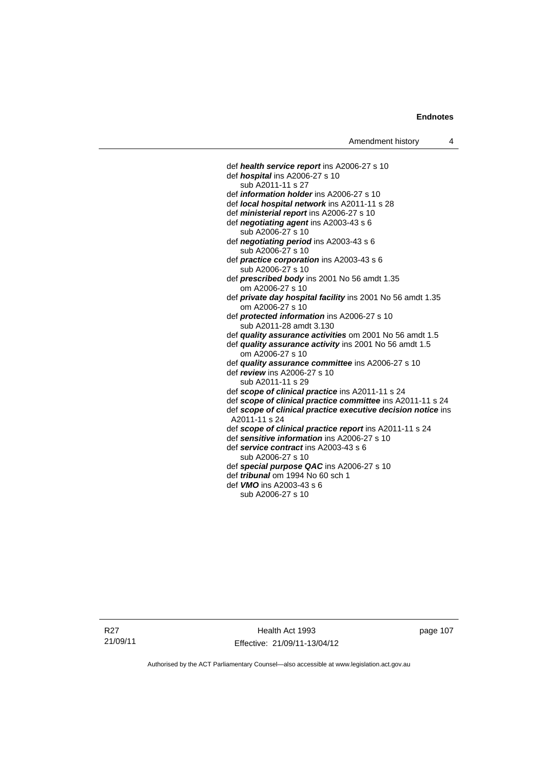def *health service report* ins A2006-27 s 10 def *hospital* ins A2006-27 s 10 sub A2011-11 s 27 def *information holder* ins A2006-27 s 10 def *local hospital network* ins A2011-11 s 28 def *ministerial report* ins A2006-27 s 10 def *negotiating agent* ins A2003-43 s 6 sub A2006-27 s 10 def *negotiating period* ins A2003-43 s 6 sub A2006-27 s 10 def *practice corporation* ins A2003-43 s 6 sub A2006-27 s 10 def *prescribed body* ins 2001 No 56 amdt 1.35 om A2006-27 s 10 def *private day hospital facility* ins 2001 No 56 amdt 1.35 om A2006-27 s 10 def *protected information* ins A2006-27 s 10 sub A2011-28 amdt 3.130 def *quality assurance activities* om 2001 No 56 amdt 1.5 def *quality assurance activity* ins 2001 No 56 amdt 1.5 om A2006-27 s 10 def *quality assurance committee* ins A2006-27 s 10 def *review* ins A2006-27 s 10 sub A2011-11 s 29 def *scope of clinical practice* ins A2011-11 s 24 def *scope of clinical practice committee* ins A2011-11 s 24 def scope of clinical practice executive decision notice ins A2011-11 s 24 def *scope of clinical practice report* ins A2011-11 s 24 def *sensitive information* ins A2006-27 s 10 def *service contract* ins A2003-43 s 6 sub A2006-27 s 10 def *special purpose QAC* ins A2006-27 s 10 def *tribunal* om 1994 No 60 sch 1 def *VMO* ins A2003-43 s 6 sub A2006-27 s 10

Health Act 1993 Effective: 21/09/11-13/04/12 page 107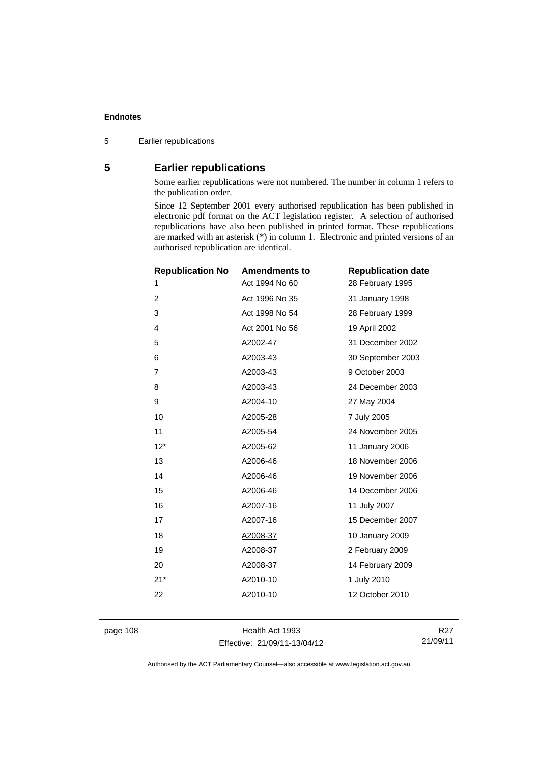5 Earlier republications

### **5 Earlier republications**

Some earlier republications were not numbered. The number in column 1 refers to the publication order.

Since 12 September 2001 every authorised republication has been published in electronic pdf format on the ACT legislation register. A selection of authorised republications have also been published in printed format. These republications are marked with an asterisk (\*) in column 1. Electronic and printed versions of an authorised republication are identical.

| <b>Republication No</b> | <b>Amendments to</b> | <b>Republication date</b> |
|-------------------------|----------------------|---------------------------|
| 1                       | Act 1994 No 60       | 28 February 1995          |
| $\overline{c}$          | Act 1996 No 35       | 31 January 1998           |
| 3                       | Act 1998 No 54       | 28 February 1999          |
| $\overline{4}$          | Act 2001 No 56       | 19 April 2002             |
| 5                       | A2002-47             | 31 December 2002          |
| 6                       | A2003-43             | 30 September 2003         |
| $\overline{7}$          | A2003-43             | 9 October 2003            |
| 8                       | A2003-43             | 24 December 2003          |
| 9                       | A2004-10             | 27 May 2004               |
| 10                      | A2005-28             | 7 July 2005               |
| 11                      | A2005-54             | 24 November 2005          |
| $12*$                   | A2005-62             | 11 January 2006           |
| 13                      | A2006-46             | 18 November 2006          |
| 14                      | A2006-46             | 19 November 2006          |
| 15                      | A2006-46             | 14 December 2006          |
| 16                      | A2007-16             | 11 July 2007              |
| 17                      | A2007-16             | 15 December 2007          |
| 18                      | A2008-37             | 10 January 2009           |
| 19                      | A2008-37             | 2 February 2009           |
| 20                      | A2008-37             | 14 February 2009          |
| $21*$                   | A2010-10             | 1 July 2010               |
| 22                      | A2010-10             | 12 October 2010           |
|                         |                      |                           |

page 108 Health Act 1993 Effective: 21/09/11-13/04/12

R27 21/09/11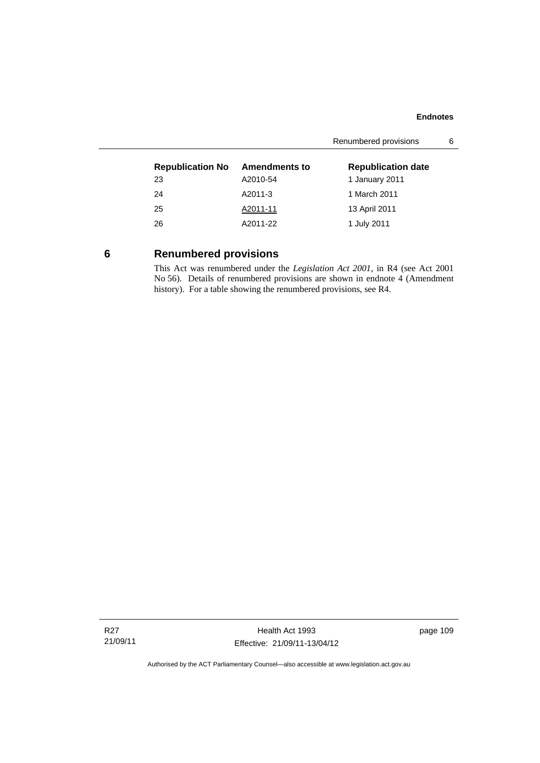|                         | Renumbered provisions |                           |  |
|-------------------------|-----------------------|---------------------------|--|
| <b>Republication No</b> | <b>Amendments to</b>  | <b>Republication date</b> |  |
| 23                      | A2010-54              | 1 January 2011            |  |
| 24                      | A2011-3               | 1 March 2011              |  |
| 25                      | A2011-11              | 13 April 2011             |  |
| 26                      | A2011-22              | 1 July 2011               |  |
|                         |                       |                           |  |

# **6 Renumbered provisions**

This Act was renumbered under the *Legislation Act 2001*, in R4 (see Act 2001 No 56). Details of renumbered provisions are shown in endnote 4 (Amendment history). For a table showing the renumbered provisions, see R4.

Health Act 1993 Effective: 21/09/11-13/04/12 page 109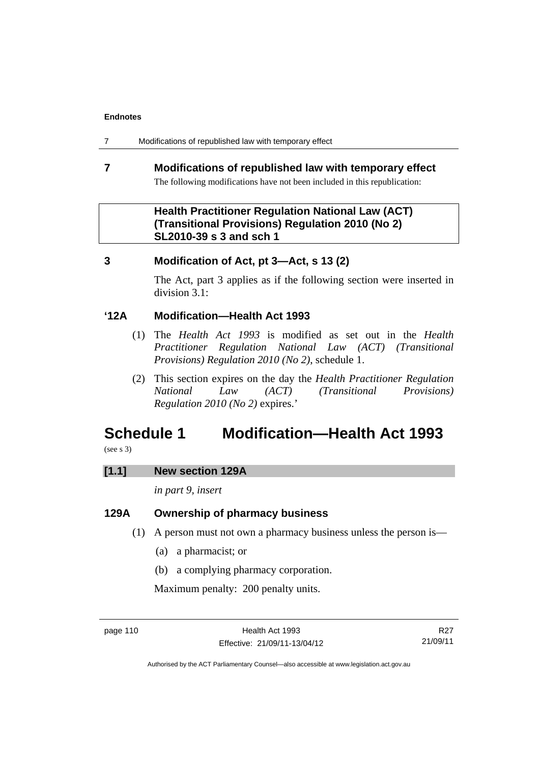7 Modifications of republished law with temporary effect

# **7 Modifications of republished law with temporary effect**  The following modifications have not been included in this republication:

# **Health Practitioner Regulation National Law (ACT) (Transitional Provisions) Regulation 2010 (No 2) SL2010-39 s 3 and sch 1**

# **3 Modification of Act, pt 3—Act, s 13 (2)**

The Act, part 3 applies as if the following section were inserted in division 3.1:

# **'12A Modification—Health Act 1993**

- (1) The *Health Act 1993* is modified as set out in the *Health Practitioner Regulation National Law (ACT) (Transitional Provisions) Regulation 2010 (No 2)*, schedule 1.
- (2) This section expires on the day the *Health Practitioner Regulation National Law (ACT) (Transitional Provisions) Regulation 2010 (No 2)* expires.'

# **Schedule 1 Modification—Health Act 1993**

(see s 3)

### **[1.1] New section 129A**

*in part 9, insert* 

# **129A Ownership of pharmacy business**

- (1) A person must not own a pharmacy business unless the person is—
	- (a) a pharmacist; or
	- (b) a complying pharmacy corporation.

Maximum penalty: 200 penalty units.

R27 21/09/11